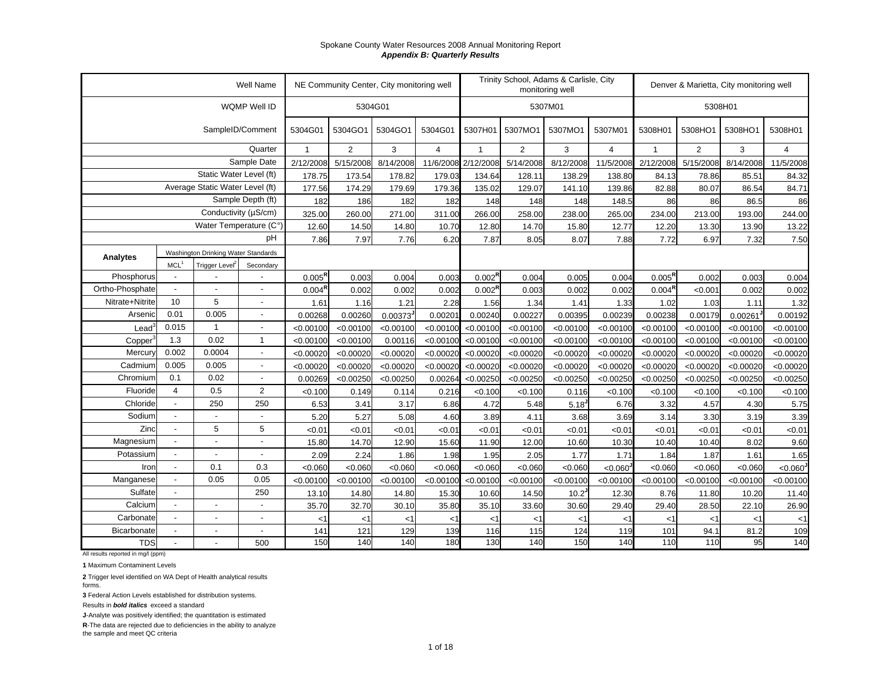|                 |                          |                                     | Well Name                |                    |           | NE Community Center, City monitoring well |                |                     |                | Trinity School, Adams & Carlisle, City<br>monitoring well |                |                    | Denver & Marietta, City monitoring well |           |                |
|-----------------|--------------------------|-------------------------------------|--------------------------|--------------------|-----------|-------------------------------------------|----------------|---------------------|----------------|-----------------------------------------------------------|----------------|--------------------|-----------------------------------------|-----------|----------------|
|                 |                          |                                     | WQMP Well ID             |                    |           | 5304G01                                   |                |                     |                | 5307M01                                                   |                |                    |                                         | 5308H01   |                |
|                 |                          |                                     | SampleID/Comment         | 5304G01            | 5304GO1   | 5304GO1                                   | 5304G01        | 5307H01             | 5307MO1        | 5307MO1                                                   | 5307M01        | 5308H01            | 5308HO1                                 | 5308HO1   | 5308H01        |
|                 |                          |                                     | Quarter                  | $\mathbf{1}$       | 2         | 3                                         | $\overline{4}$ | $\overline{1}$      | $\overline{2}$ | 3                                                         | $\overline{4}$ | $\mathbf{1}$       | $\overline{2}$                          | 3         | $\overline{4}$ |
|                 |                          |                                     | Sample Date              | 2/12/2008          | 5/15/2008 | 8/14/2008                                 |                | 11/6/2008 2/12/2008 | 5/14/2008      | 8/12/2008                                                 | 11/5/2008      | 2/12/2008          | 5/15/2008                               | 8/14/2008 | 11/5/2008      |
|                 |                          | Static Water Level (ft)             |                          | 178.75             | 173.54    | 178.82                                    | 179.03         | 134.64              | 128.11         | 138.29                                                    | 138.80         | 84.13              | 78.86                                   | 85.51     | 84.32          |
|                 |                          | Average Static Water Level (ft)     |                          | 177.56             | 174.29    | 179.69                                    | 179.36         | 135.02              | 129.07         | 141.10                                                    | 139.86         | 82.88              | 80.07                                   | 86.54     | 84.71          |
|                 |                          |                                     | Sample Depth (ft)        | 182                | 186       | 182                                       | 182            | 148                 | 148            | 148                                                       | 148.5          | 86                 | 86                                      | 86.5      | 86             |
|                 |                          | Conductivity (µS/cm)                |                          | 325.00             | 260.00    | 271.00                                    | 311.00         | 266.00              | 258.00         | 238.00                                                    | 265.00         | 234.00             | 213.00                                  | 193.00    | 244.00         |
|                 |                          | Water Temperature (C°)              |                          | 12.60              | 14.50     | 14.80                                     | 10.70          | 12.80               | 14.70          | 15.80                                                     | 12.77          | 12.20              | 13.30                                   | 13.90     | 13.22          |
|                 |                          |                                     | pH                       | 7.86               | 7.97      | 7.76                                      | 6.20           | 7.87                | 8.05           | 8.07                                                      | 7.88           | 7.72               | 6.97                                    | 7.32      | 7.50           |
| Analytes        |                          | Washington Drinking Water Standards |                          |                    |           |                                           |                |                     |                |                                                           |                |                    |                                         |           |                |
|                 | MCL <sup>1</sup>         | Trigger Level <sup>2</sup>          | Secondary                |                    |           |                                           |                |                     |                |                                                           |                |                    |                                         |           |                |
| Phosphorus      |                          |                                     |                          | $0.005^{\text{R}}$ | 0.003     | 0.004                                     | 0.003          | $0.002^{\text{R}}$  | 0.004          | 0.005                                                     | 0.004          | $0.005^{\text{R}}$ | 0.002                                   | 0.003     | 0.004          |
| Ortho-Phosphate |                          |                                     |                          | 0.004 <sup>R</sup> | 0.002     | 0.002                                     | 0.002          | 0.002 <sup>R</sup>  | 0.003          | 0.002                                                     | 0.002          | 0.004 <sup>R</sup> | < 0.001                                 | 0.002     | 0.002          |
| Nitrate+Nitrite | 10                       | 5                                   | $\sim$                   | 1.61               | 1.16      | 1.21                                      | 2.28           | 1.56                | 1.34           | 1.41                                                      | 1.33           | 1.02               | 1.03                                    | 1.11      | 1.32           |
| Arsenic         | 0.01                     | 0.005                               | $\overline{\phantom{a}}$ | 0.00268            | 0.00260   | 0.00373                                   | 0.00201        | 0.00240             | 0.00227        | 0.00395                                                   | 0.00239        | 0.00238            | 0.00179                                 | 0.00261   | 0.00192        |
| $\text{Lead}^3$ | 0.015                    | $\mathbf{1}$                        | $\sim$                   | < 0.00100          | < 0.00100 | < 0.00100                                 | < 0.00100      | < 0.00100           | < 0.00100      | < 0.00100                                                 | < 0.00100      | < 0.00100          | < 0.00100                               | < 0.00100 | < 0.00100      |
| Copper          | 1.3                      | 0.02                                | $\mathbf{1}$             | < 0.00100          | < 0.00100 | 0.00116                                   | < 0.00100      | < 0.00100           | < 0.00100      | < 0.00100                                                 | < 0.00100      | < 0.00100          | < 0.00100                               | < 0.00100 | < 0.00100      |
| Mercury         | 0.002                    | 0.0004                              | $\overline{\phantom{a}}$ | < 0.00020          | < 0.00020 | < 0.00020                                 | < 0.00020      | < 0.00020           | < 0.00020      | < 0.00020                                                 | < 0.00020      | < 0.00020          | < 0.00020                               | < 0.00020 | < 0.00020      |
| Cadmium         | 0.005                    | 0.005                               | $\sim$                   | < 0.00020          | < 0.00020 | < 0.00020                                 | < 0.00020      | < 0.00020           | < 0.00020      | < 0.00020                                                 | < 0.00020      | < 0.00020          | < 0.00020                               | < 0.00020 | < 0.00020      |
| Chromium        | 0.1                      | 0.02                                |                          | 0.00269            | < 0.00250 | < 0.00250                                 | 0.00264        | < 0.00250           | < 0.00250      | < 0.00250                                                 | < 0.00250      | < 0.00250          | < 0.00250                               | < 0.00250 | < 0.00250      |
| Fluoride        | $\overline{4}$           | 0.5                                 | 2                        | < 0.100            | 0.149     | 0.114                                     | 0.216          | < 0.100             | < 0.100        | 0.116                                                     | < 0.100        | < 0.100            | < 0.100                                 | < 0.100   | < 0.100        |
| Chloride        | $\overline{\phantom{a}}$ | 250                                 | 250                      | 6.53               | 3.41      | 3.17                                      | 6.86           | 4.72                | 5.48           | 5.18                                                      | 6.76           | 3.32               | 4.57                                    | 4.30      | 5.75           |
| Sodium          |                          | $\overline{a}$                      | $\overline{\phantom{a}}$ | 5.20               | 5.27      | 5.08                                      | 4.60           | 3.89                | 4.11           | 3.68                                                      | 3.69           | 3.14               | 3.30                                    | 3.19      | 3.39           |
| Zinc            |                          | 5                                   | 5                        | < 0.01             | < 0.01    | < 0.01                                    | < 0.01         | < 0.01              | < 0.01         | < 0.01                                                    | < 0.01         | < 0.01             | < 0.01                                  | < 0.01    | &0.01          |
| Magnesium       | $\overline{a}$           | $\blacksquare$                      | $\overline{\phantom{a}}$ | 15.80              | 14.70     | 12.90                                     | 15.60          | 11.90               | 12.00          | 10.60                                                     | 10.30          | 10.40              | 10.40                                   | 8.02      | 9.60           |
| Potassium       |                          |                                     |                          | 2.09               | 2.24      | 1.86                                      | 1.98           | 1.95                | 2.05           | 1.77                                                      | 1.71           | 1.84               | 1.87                                    | 1.61      | 1.65           |
| Iron            | $\overline{\phantom{a}}$ | 0.1                                 | 0.3                      | <0.060             | < 0.060   | < 0.060                                   | < 0.060        | < 0.060             | < 0.060        | < 0.060                                                   | < 0.060        | < 0.060            | < 0.060                                 | < 0.060   | <0.060         |
| Manganese       |                          | 0.05                                | 0.05                     | < 0.00100          | < 0.00100 | < 0.00100                                 | < 0.00100      | < 0.00100           | < 0.00100      | < 0.00100                                                 | < 0.00100      | < 0.00100          | < 0.00100                               | < 0.00100 | < 0.00100      |
| Sulfate         | $\overline{\phantom{a}}$ |                                     | 250                      | 13.10              | 14.80     | 14.80                                     | 15.30          | 10.60               | 14.50          | $10.2^{J}$                                                | 12.30          | 8.76               | 11.80                                   | 10.20     | 11.40          |
| Calcium         |                          |                                     |                          | 35.70              | 32.70     | 30.10                                     | 35.80          | 35.10               | 33.60          | 30.60                                                     | 29.40          | 29.40              | 28.50                                   | 22.10     | 26.90          |
| Carbonate       |                          |                                     |                          | $<$ 1              | <1        | < 1                                       | <1             | $<$ 1               | $<$ 1          | $\leq$ 1                                                  | $<$ 1          | $<$ 1              | < 1                                     | < 1       | $<$ 1          |
| Bicarbonate     |                          | $\overline{a}$                      | $\blacksquare$           | 141                | 121       | 129                                       | 139            | 116                 | 115            | 124                                                       | 119            | 101                | 94.1                                    | 81.2      | 109            |
| <b>TDS</b>      | $\blacksquare$           |                                     | 500                      | 150                | 140       | 140                                       | 180            | 130                 | 140            | 150                                                       | 140            | 110                | 110                                     | 95        | 140            |

All results reported in mg/l (ppm)

**1** Maximum Contaminent Levels

**2** Trigger level identified on WA Dept of Health analytical results forms.

**3** Federal Action Levels established for distribution systems.

Results in *bold italics* exceed a standard

**J**-Analyte was positively identified; the quantitation is estimated

**R**-The data are rejected due to deficiencies in the ability to analyze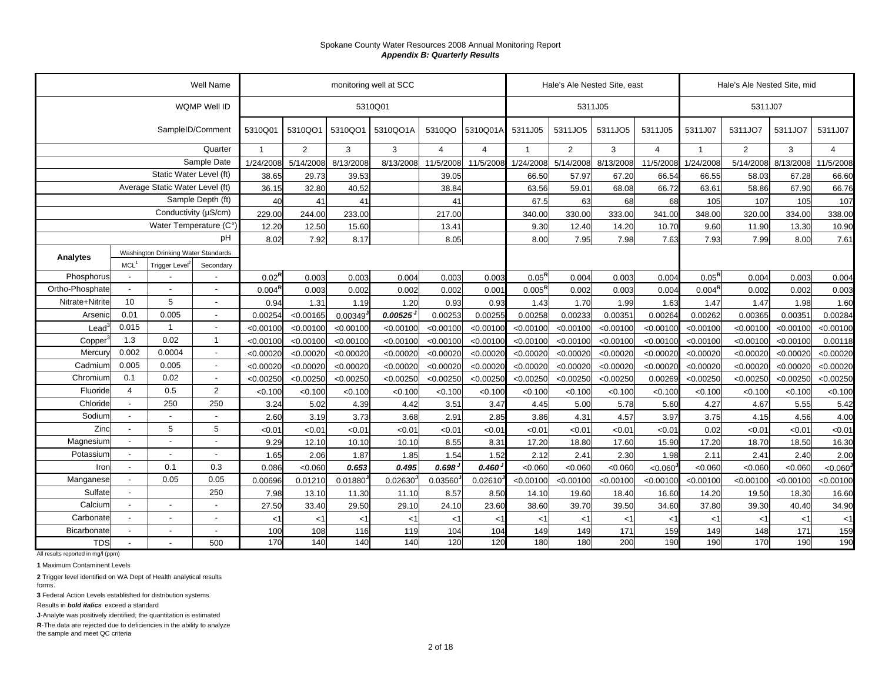|                     |                          |                                     | Well Name                |                    |           |           | monitoring well at SCC |                        |                 |                | Hale's Ale Nested Site, east |           |                |                    | Hale's Ale Nested Site, mid |           |                |
|---------------------|--------------------------|-------------------------------------|--------------------------|--------------------|-----------|-----------|------------------------|------------------------|-----------------|----------------|------------------------------|-----------|----------------|--------------------|-----------------------------|-----------|----------------|
|                     |                          |                                     | WQMP Well ID             |                    |           |           | 5310Q01                |                        |                 |                |                              | 5311J05   |                |                    | 5311J07                     |           |                |
|                     |                          | SampleID/Comment                    |                          | 5310Q01            | 5310QO1   | 5310QO1   | 5310QO1A               | 5310QO                 | 5310Q01A        | 5311J05        | 5311JO5                      | 5311JO5   | 5311J05        | 5311J07            | 5311JO7                     | 5311JO7   | 5311J07        |
|                     |                          |                                     | Quarter                  | $\overline{1}$     | 2         | 3         | 3                      | $\overline{4}$         | $\overline{4}$  |                | $\overline{2}$               | 3         | $\overline{4}$ | $\overline{1}$     | $\overline{2}$              | 3         | $\overline{4}$ |
|                     |                          |                                     | Sample Date              | 1/24/2008          | 5/14/2008 | 8/13/2008 | 8/13/2008              | 11/5/2008              | 11/5/2008       | 1/24/2008      | 5/14/2008                    | 8/13/2008 | 11/5/2008      | 1/24/2008          | 5/14/2008                   | 8/13/2008 | 11/5/2008      |
|                     |                          | Static Water Level (ft)             |                          | 38.65              | 29.73     | 39.53     |                        | 39.05                  |                 | 66.50          | 57.97                        | 67.20     | 66.54          | 66.55              | 58.03                       | 67.28     | 66.60          |
|                     |                          | Average Static Water Level (ft)     |                          | 36.15              | 32.80     | 40.52     |                        | 38.84                  |                 | 63.56          | 59.01                        | 68.08     | 66.72          | 63.61              | 58.86                       | 67.90     | 66.76          |
|                     |                          |                                     | Sample Depth (ft)        | 40                 | 41        | 41        |                        | 41                     |                 | 67.5           | 63                           | 68        | 68             | 105                | 107                         | 105       | 107            |
|                     |                          | Conductivity (µS/cm)                |                          | 229.00             | 244.00    | 233.00    |                        | 217.00                 |                 | 340.00         | 330.00                       | 333.00    | 341.00         | 348.00             | 320.00                      | 334.00    | 338.00         |
|                     |                          | Water Temperature (C°)              |                          | 12.20              | 12.50     | 15.60     |                        | 13.41                  |                 | 9.30           | 12.40                        | 14.20     | 10.70          | 9.60               | 11.90                       | 13.30     | 10.90          |
|                     |                          |                                     | рH                       | 8.02               | 7.92      | 8.17      |                        | 8.05                   |                 | 8.00           | 7.95                         | 7.98      | 7.63           | 7.93               | 7.99                        | 8.00      | 7.61           |
| Analytes            |                          | Washington Drinking Water Standards |                          |                    |           |           |                        |                        |                 |                |                              |           |                |                    |                             |           |                |
|                     | MCL <sup>1</sup>         | Trigger Level <sup>®</sup>          | Secondary                |                    |           |           |                        |                        |                 |                |                              |           |                |                    |                             |           |                |
| Phosphorus          |                          |                                     |                          | $0.02^{F}$         | 0.003     | 0.003     | 0.004                  | 0.003                  | 0.003           | $0.05^{\sf R}$ | 0.004                        | 0.003     | 0.004          | $0.05^{R}$         | 0.004                       | 0.003     | 0.004          |
| Ortho-Phosphate     | $\overline{\phantom{a}}$ | $\sim$                              | $\overline{\phantom{a}}$ | 0.004 <sup>R</sup> | 0.003     | 0.002     | 0.002                  | 0.002                  | 0.001           | $0.005^R$      | 0.002                        | 0.003     | 0.004          | 0.004 <sup>R</sup> | 0.002                       | 0.002     | 0.003          |
| Nitrate+Nitrite     | 10                       | 5                                   | $\blacksquare$           | 0.94               | 1.31      | 1.19      | 1.20                   | 0.93                   | 0.93            | 1.43           | 1.70                         | 1.99      | 1.63           | 1.47               | 1.47                        | 1.98      | 1.60           |
| Arsenic             | 0.01                     | 0.005                               |                          | 0.00254            | < 0.00165 | 0.00349   | 0.00525                | 0.00253                | 0.00255         | 0.00258        | 0.00233                      | 0.00351   | 0.00264        | 0.00262            | 0.00365                     | 0.00351   | 0.00284        |
| Lead                | 0.015                    | $\overline{1}$                      | $\blacksquare$           | < 0.00100          | < 0.00100 | < 0.00100 | < 0.00100              | < 0.00100              | < 0.00100       | < 0.00100      | < 0.00100                    | < 0.00100 | < 0.00100      | < 0.00100          | < 0.00100                   | < 0.00100 | < 0.00100      |
| Copper <sup>3</sup> | 1.3                      | 0.02                                | $\mathbf{1}$             | < 0.00100          | < 0.00100 | < 0.00100 | < 0.00100              | < 0.00100              | < 0.00100       | < 0.00100      | < 0.00100                    | < 0.00100 | < 0.00100      | < 0.00100          | < 0.00100                   | < 0.00100 | 0.00118        |
| Mercury             | 0.002                    | 0.0004                              | $\blacksquare$           | < 0.00020          | < 0.00020 | < 0.00020 | < 0.00020              | < 0.00020              | < 0.00020       | < 0.00020      | < 0.00020                    | < 0.00020 | < 0.00020      | < 0.00020          | < 0.00020                   | < 0.00020 | < 0.00020      |
| Cadmium             | 0.005                    | 0.005                               |                          | < 0.00020          | < 0.00020 | < 0.00020 | < 0.00020              | < 0.00020              | < 0.00020       | < 0.00020      | < 0.00020                    | < 0.00020 | < 0.00020      | < 0.00020          | < 0.00020                   | < 0.00020 | < 0.00020      |
| Chromium            | 0.1                      | 0.02                                |                          | < 0.00250          | < 0.00250 | < 0.00250 | < 0.00250              | < 0.00250              | < 0.00250       | < 0.00250      | < 0.00250                    | < 0.00250 | 0.00269        | < 0.00250          | < 0.00250                   | < 0.00250 | < 0.00250      |
| Fluoride            | $\overline{4}$           | 0.5                                 | $\overline{2}$           | < 0.100            | < 0.100   | < 0.100   | < 0.100                | < 0.100                | < 0.100         | < 0.100        | < 0.100                      | < 0.100   | < 0.100        | < 0.100            | < 0.100                     | < 0.100   | < 0.100        |
| Chloride            | $\overline{\phantom{a}}$ | 250                                 | 250                      | 3.24               | 5.02      | 4.39      | 4.42                   | 3.51                   | 3.47            | 4.45           | 5.00                         | 5.78      | 5.60           | 4.27               | 4.67                        | 5.55      | 5.42           |
| Sodium              | $\blacksquare$           | $\overline{\phantom{a}}$            |                          | 2.60               | 3.19      | 3.73      | 3.68                   | 2.91                   | 2.85            | 3.86           | 4.31                         | 4.57      | 3.97           | 3.75               | 4.15                        | 4.56      | 4.00           |
| Zinc                | $\blacksquare$           | 5                                   | 5                        | < 0.01             | < 0.01    | <0.01     | <0.01                  | <0.01                  | <0.01           | < 0.01         | < 0.01                       | <0.01     | < 0.01         | 0.02               | < 0.01                      | < 0.01    | < 0.01         |
| Magnesium           | $\sim$                   | $\sim$                              | $\overline{\phantom{a}}$ | 9.29               | 12.10     | 10.10     | 10.10                  | 8.55                   | 8.31            | 17.20          | 18.80                        | 17.60     | 15.90          | 17.20              | 18.70                       | 18.50     | 16.30          |
| Potassium           | $\overline{\phantom{a}}$ | $\overline{a}$                      |                          | 1.65               | 2.06      | 1.87      | 1.85                   | 1.54                   | 1.52            | 2.12           | 2.41                         | 2.30      | 1.98           | 2.11               | 2.41                        | 2.40      | 2.00           |
| Iron                | $\sim$                   | 0.1                                 | 0.3                      | 0.086              | < 0.060   | 0.653     | 0.495                  | 0.698                  | $0.460^{\circ}$ | < 0.060        | < 0.060                      | < 0.060   | < 0.060        | < 0.060            | < 0.060                     | < 0.060   | < 0.060        |
| Manganese           | $\sim$                   | 0.05                                | 0.05                     | 0.00696            | 0.01210   | 0.01880   | 0.02630                | $0.03560$ <sup>J</sup> | $0.02610^{J}$   | < 0.00100      | < 0.00100                    | < 0.00100 | < 0.00100      | < 0.00100          | < 0.00100                   | < 0.00100 | < 0.00100      |
| Sulfate             | $\blacksquare$           |                                     | 250                      | 7.98               | 13.10     | 11.30     | 11.10                  | 8.57                   | 8.50            | 14.10          | 19.60                        | 18.40     | 16.60          | 14.20              | 19.50                       | 18.30     | 16.60          |
| Calcium             | $\overline{\phantom{a}}$ | $\overline{\phantom{a}}$            |                          | 27.50              | 33.40     | 29.50     | 29.10                  | 24.10                  | 23.60           | 38.60          | 39.70                        | 39.50     | 34.60          | 37.80              | 39.30                       | 40.40     | 34.90          |
| Carbonate           | $\blacksquare$           | $\sim$                              | $\overline{\phantom{a}}$ | < 1                | $<$ 1     | $<$ 1     | $<$ 1                  | $<$ 1                  | $<$ 1           | $<$ 1          | $<$ 1                        | <1        | $<$ 1          | $<$ 1              | $<$ 1                       | $<$ 1     | $<$ 1          |
| Bicarbonate         | $\sim$                   | $\sim$                              | $\blacksquare$           | 100                | 108       | 116       | 119                    | 104                    | 104             | 149            | 149                          | 171       | 159            | 149                | 148                         | 171       | 159            |
| <b>TDS</b>          | $\blacksquare$           |                                     | 500                      | 170                | 140       | 140       | 140                    | 120                    | 120             | 180            | 180                          | 200       | 190            | 190                | 170                         | 190       | 190            |

All results reported in mg/l (ppm)

**1** Maximum Contaminent Levels

**2** Trigger level identified on WA Dept of Health analytical results

forms.

**3** Federal Action Levels established for distribution systems.

Results in *bold italics* exceed a standard

**J**-Analyte was positively identified; the quantitation is estimated

**R**-The data are rejected due to deficiencies in the ability to analyze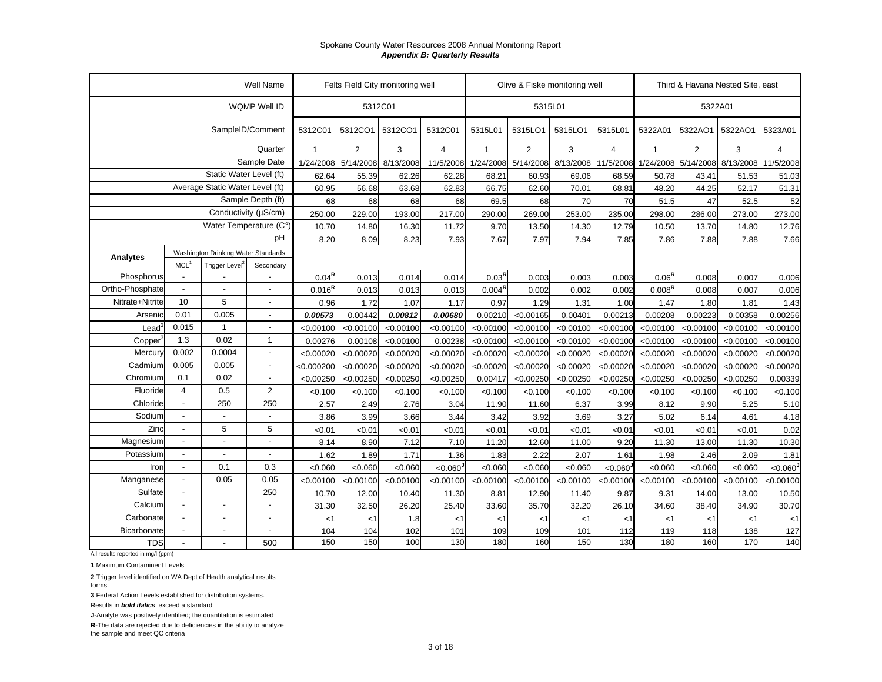|                   |                  |                                     | Well Name                |                | Felts Field City monitoring well |           |                |                    | Olive & Fiske monitoring well |           |                     |                    | Third & Havana Nested Site, east |           |                |
|-------------------|------------------|-------------------------------------|--------------------------|----------------|----------------------------------|-----------|----------------|--------------------|-------------------------------|-----------|---------------------|--------------------|----------------------------------|-----------|----------------|
|                   |                  |                                     | WQMP Well ID             |                |                                  | 5312C01   |                |                    | 5315L01                       |           |                     |                    | 5322A01                          |           |                |
|                   |                  |                                     | SampleID/Comment         | 5312C01        | 5312CO1                          | 5312CO1   | 5312C01        | 5315L01            | 5315LO1                       | 5315LO1   | 5315L01             | 5322A01            | 5322AO1                          | 5322AO1   | 5323A01        |
|                   |                  |                                     | Quarter                  | $\overline{1}$ | $\overline{2}$                   | 3         | $\overline{4}$ | $\overline{1}$     | $\overline{2}$                | 3         | $\overline{4}$      | $\mathbf{1}$       | 2                                | 3         | $\overline{4}$ |
|                   |                  |                                     | Sample Date              | 1/24/2008      | 5/14/2008                        | 8/13/2008 | 11/5/2008      | 1/24/2008          | 5/14/2008                     |           | 8/13/2008 11/5/2008 |                    | 1/24/2008 5/14/2008 8/13/2008    |           | 11/5/2008      |
|                   |                  | Static Water Level (ft)             |                          | 62.64          | 55.39                            | 62.26     | 62.28          | 68.21              | 60.93                         | 69.06     | 68.59               | 50.78              | 43.41                            | 51.53     | 51.03          |
|                   |                  | Average Static Water Level (ft)     |                          | 60.95          | 56.68                            | 63.68     | 62.83          | 66.75              | 62.60                         | 70.01     | 68.81               | 48.20              | 44.25                            | 52.17     | 51.31          |
|                   |                  |                                     | Sample Depth (ft)        | 68             | 68                               | 68        | 68             | 69.5               | 68                            | 70        | 70                  | 51.5               | 47                               | 52.5      | 52             |
|                   |                  | Conductivity ( $\mu$ S/cm)          |                          | 250.00         | 229.00                           | 193.00    | 217.00         | 290.00             | 269.00                        | 253.00    | 235.00              | 298.00             | 286.00                           | 273.00    | 273.00         |
|                   |                  | Water Temperature (C°)              |                          | 10.70          | 14.80                            | 16.30     | 11.72          | 9.70               | 13.50                         | 14.30     | 12.79               | 10.50              | 13.70                            | 14.80     | 12.76          |
|                   |                  |                                     | pH                       | 8.20           | 8.09                             | 8.23      | 7.93           | 7.67               | 7.97                          | 7.94      | 7.85                | 7.86               | 7.88                             | 7.88      | 7.66           |
| Analytes          |                  | Washington Drinking Water Standards |                          |                |                                  |           |                |                    |                               |           |                     |                    |                                  |           |                |
|                   | MCL <sup>1</sup> | Trigger Level <sup>2</sup>          | Secondary                |                |                                  |           |                |                    |                               |           |                     |                    |                                  |           |                |
| Phosphorus        | $\overline{a}$   |                                     |                          | $0.04^{\rm R}$ | 0.013                            | 0.014     | 0.014          | $0.03^{R}$         | 0.003                         | 0.003     | 0.003               | $0.06^{R}$         | 0.008                            | 0.007     | 0.006          |
| Ortho-Phosphate   |                  |                                     |                          | $0.016^{R}$    | 0.013                            | 0.013     | 0.013          | $0.004^{\text{R}}$ | 0.002                         | 0.002     | 0.002               | 0.008 <sup>R</sup> | 0.008                            | 0.007     | 0.006          |
| Nitrate+Nitrite   | 10               | 5                                   | $\overline{\phantom{a}}$ | 0.96           | 1.72                             | 1.07      | 1.17           | 0.97               | 1.29                          | 1.31      | 1.00                | 1.47               | 1.80                             | 1.81      | 1.43           |
| Arsenic           | 0.01             | 0.005                               | $\overline{a}$           | 0.00573        | 0.00442                          | 0.00812   | 0.00680        | 0.00210            | < 0.00165                     | 0.00401   | 0.00213             | 0.00208            | 0.00223                          | 0.00358   | 0.00256        |
| Lead <sup>®</sup> | 0.015            | $\mathbf{1}$                        | $\overline{\phantom{a}}$ | < 0.00100      | < 0.00100                        | < 0.00100 | < 0.00100      | < 0.00100          | < 0.00100                     | < 0.00100 | < 0.00100           | < 0.00100          | < 0.00100                        | < 0.00100 | < 0.00100      |
| Copper            | 1.3              | 0.02                                | $\mathbf{1}$             | 0.00276        | 0.00108                          | < 0.00100 | 0.00238        | < 0.00100          | < 0.00100                     | < 0.00100 | < 0.00100           | < 0.00100          | < 0.00100                        | < 0.00100 | < 0.00100      |
| Mercury           | 0.002            | 0.0004                              | $\overline{a}$           | < 0.00020      | < 0.00020                        | < 0.00020 | < 0.00020      | < 0.00020          | < 0.00020                     | < 0.00020 | < 0.00020           | < 0.00020          | < 0.00020                        | < 0.00020 | < 0.00020      |
| Cadmium           | 0.005            | 0.005                               | $\overline{a}$           | < 0.000200     | < 0.00020                        | < 0.00020 | < 0.00020      | < 0.00020          | < 0.00020                     | < 0.00020 | < 0.00020           | < 0.00020          | < 0.00020                        | < 0.00020 | < 0.00020      |
| Chromium          | 0.1              | 0.02                                |                          | < 0.00250      | < 0.00250                        | < 0.00250 | < 0.00250      | 0.00417            | < 0.00250                     | < 0.00250 | < 0.00250           | < 0.00250          | < 0.00250                        | < 0.00250 | 0.00339        |
| Fluoride          | $\overline{4}$   | 0.5                                 | $\overline{2}$           | < 0.100        | < 0.100                          | < 0.100   | < 0.100        | < 0.100            | < 0.100                       | < 0.100   | < 0.100             | <0.100             | < 0.100                          | < 0.100   | < 0.100        |
| Chloride          | $\overline{a}$   | 250                                 | 250                      | 2.57           | 2.49                             | 2.76      | 3.04           | 11.90              | 11.60                         | 6.37      | 3.99                | 8.12               | 9.90                             | 5.25      | 5.10           |
| Sodium            |                  | $\overline{a}$                      |                          | 3.86           | 3.99                             | 3.66      | 3.44           | 3.42               | 3.92                          | 3.69      | 3.27                | 5.02               | 6.14                             | 4.61      | 4.18           |
| Zinc              | $\overline{a}$   | 5                                   | 5                        | < 0.01         | < 0.01                           | < 0.01    | < 0.01         | < 0.01             | < 0.01                        | < 0.01    | < 0.01              | < 0.01             | < 0.01                           | < 0.01    | 0.02           |
| Magnesium         |                  | $\overline{a}$                      | $\overline{a}$           | 8.14           | 8.90                             | 7.12      | 7.10           | 11.20              | 12.60                         | 11.00     | 9.20                | 11.30              | 13.00                            | 11.30     | 10.30          |
| Potassium         |                  | $\overline{a}$                      |                          | 1.62           | 1.89                             | 1.71      | 1.36           | 1.83               | 2.22                          | 2.07      | 1.61                | 1.98               | 2.46                             | 2.09      | 1.81           |
| Iron              | $\overline{a}$   | 0.1                                 | 0.3                      | < 0.060        | < 0.060                          | < 0.060   | < 0.060        | < 0.060            | < 0.060                       | < 0.060   | < 0.060             | < 0.060            | < 0.060                          | < 0.060   | < 0.060        |
| Manganese         |                  | 0.05                                | 0.05                     | < 0.00100      | < 0.00100                        | < 0.00100 | < 0.00100      | < 0.00100          | < 0.00100                     | < 0.00100 | < 0.00100           | < 0.00100          | < 0.00100                        | < 0.00100 | < 0.00100      |
| Sulfate           | $\overline{a}$   |                                     | 250                      | 10.70          | 12.00                            | 10.40     | 11.30          | 8.81               | 12.90                         | 11.40     | 9.87                | 9.31               | 14.00                            | 13.00     | 10.50          |
| Calcium           | $\overline{a}$   | $\blacksquare$                      |                          | 31.30          | 32.50                            | 26.20     | 25.40          | 33.60              | 35.70                         | 32.20     | 26.10               | 34.60              | 38.40                            | 34.90     | 30.70          |
| Carbonate         | $\blacksquare$   | $\blacksquare$                      | $\blacksquare$           | $<$ 1          | $<$ 1                            | 1.8       | $<$ 1          | $<$ 1              | $<$ 1                         | $<$ 1     | <1                  | $<$ 1              | $<$ 1                            | $<$ 1     | <1             |
| Bicarbonate       |                  | $\overline{\phantom{a}}$            | $\overline{\phantom{a}}$ | 104            | 104                              | 102       | 101            | 109                | 109                           | 101       | 112                 | 119                | 118                              | 138       | 127            |
| <b>TDS</b>        |                  | $\overline{a}$                      | 500                      | 150            | 150                              | 100       | 130            | 180                | 160                           | 150       | 130                 | 180                | 160                              | 170       | 140            |

All results reported in mg/l (ppm)

**1** Maximum Contaminent Levels

**2** Trigger level identified on WA Dept of Health analytical results forms.

**3** Federal Action Levels established for distribution systems.

Results in *bold italics* exceed a standard

**J**-Analyte was positively identified; the quantitation is estimated

**R**-The data are rejected due to deficiencies in the ability to analyze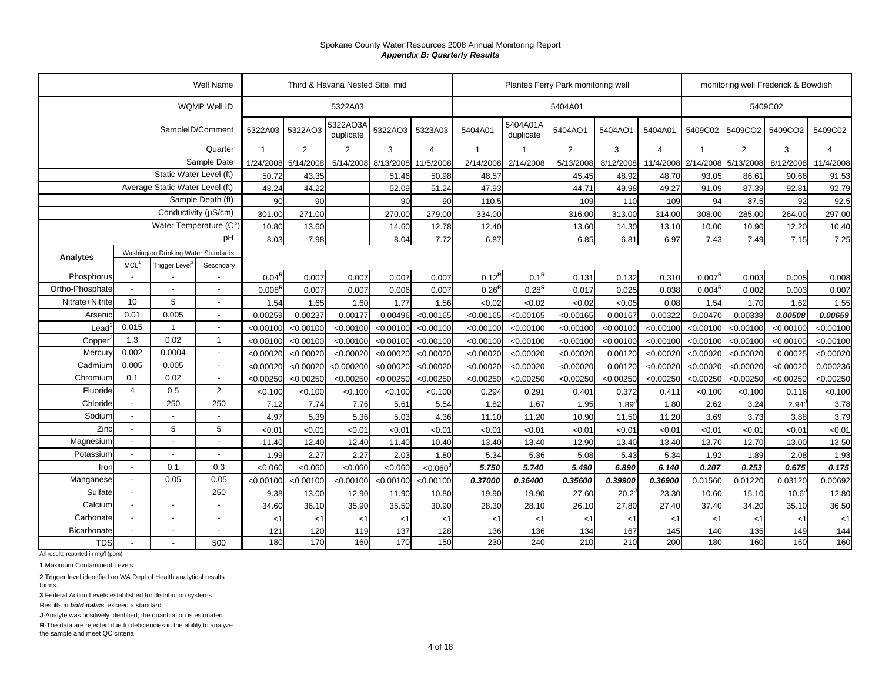|                     |                          |                                     | <b>Well Name</b>         |                    |           | Third & Havana Nested Site, mid |           |                |                |                       | Plantes Ferry Park monitoring well |           |                |                    |                | monitoring well Frederick & Bowdish |                |
|---------------------|--------------------------|-------------------------------------|--------------------------|--------------------|-----------|---------------------------------|-----------|----------------|----------------|-----------------------|------------------------------------|-----------|----------------|--------------------|----------------|-------------------------------------|----------------|
|                     |                          |                                     | WQMP Well ID             |                    |           | 5322A03                         |           |                |                |                       | 5404A01                            |           |                |                    |                | 5409C02                             |                |
|                     |                          |                                     | SampleID/Comment         | 5322A03            | 5322AO3   | 5322AO3A<br>duplicate           | 5322AO3   | 5323A03        | 5404A01        | 5404A01A<br>duplicate | 5404AO1                            | 5404AO1   | 5404A01        | 5409C02            | 5409CO2        | 5409CO2                             | 5409C02        |
|                     |                          |                                     | Quarter                  |                    | 2         | $\overline{2}$                  | 3         | $\overline{4}$ | $\overline{1}$ |                       | $\overline{2}$                     | 3         | $\overline{4}$ | $\overline{1}$     | $\overline{2}$ | 3                                   | $\overline{4}$ |
|                     |                          |                                     | Sample Date              | 1/24/2008          | 5/14/2008 | 5/14/2008                       | 8/13/2008 | 11/5/2008      | 2/14/2008      | 2/14/2008             | 5/13/2008                          | 8/12/2008 | 11/4/2008      | 2/14/2008          | 5/13/2008      | 8/12/2008                           | 11/4/2008      |
|                     |                          | Static Water Level (ft)             |                          | 50.72              | 43.35     |                                 | 51.46     | 50.98          | 48.57          |                       | 45.45                              | 48.92     | 48.70          | 93.05              | 86.61          | 90.66                               | 91.53          |
|                     |                          | Average Static Water Level (ft)     |                          | 48.24              | 44.22     |                                 | 52.09     | 51.24          | 47.93          |                       | 44.71                              | 49.98     | 49.27          | 91.09              | 87.39          | 92.81                               | 92.79          |
|                     |                          |                                     | Sample Depth (ft)        | 90                 | 90        |                                 | 90        | 90             | 110.5          |                       | 109                                | 110       | 109            | 94                 | 87.5           | 92                                  | 92.5           |
|                     |                          | Conductivity (µS/cm)                |                          | 301.00             | 271.00    |                                 | 270.00    | 279.00         | 334.00         |                       | 316.00                             | 313.00    | 314.00         | 308.00             | 285.00         | 264.00                              | 297.00         |
|                     |                          | Water Temperature (C°)              |                          | 10.80              | 13.60     |                                 | 14.60     | 12.78          | 12.40          |                       | 13.60                              | 14.30     | 13.10          | 10.00              | 10.90          | 12.20                               | 10.40          |
|                     |                          |                                     | pH                       | 8.03               | 7.98      |                                 | 8.04      | 7.72           | 6.87           |                       | 6.85                               | 6.81      | 6.97           | 7.43               | 7.49           | 7.15                                | 7.25           |
| Analytes            |                          | Washington Drinking Water Standards |                          |                    |           |                                 |           |                |                |                       |                                    |           |                |                    |                |                                     |                |
|                     | MCL <sup>1</sup>         | Trigger Level <sup>2</sup>          | Secondary                |                    |           |                                 |           |                |                |                       |                                    |           |                |                    |                |                                     |                |
| Phosphorus          |                          |                                     |                          | $0.04^{\text{R}}$  | 0.007     | 0.007                           | 0.007     | 0.007          | $0.12^{R}$     | $0.1^{R}$             | 0.131                              | 0.132     | 0.31C          | $0.007^{R}$        | 0.003          | 0.005                               | 0.008          |
| Ortho-Phosphate     |                          | $\overline{\phantom{a}}$            | $\overline{\phantom{a}}$ | 0.008 <sup>R</sup> | 0.007     | 0.007                           | 0.006     | 0.007          | $0.26^{R}$     | $0.28^{R}$            | 0.017                              | 0.025     | 0.038          | 0.004 <sup>R</sup> | 0.002          | 0.003                               | 0.007          |
| Nitrate+Nitrite     | 10                       | 5                                   | $\blacksquare$           | 1.54               | 1.65      | 1.60                            | 1.77      | 1.56           | < 0.02         | < 0.02                | < 0.02                             | < 0.05    | 0.08           | 1.54               | 1.70           | 1.62                                | 1.55           |
| Arsenic             | 0.01                     | 0.005                               | $\blacksquare$           | 0.00259            | 0.00237   | 0.00177                         | 0.00496   | < 0.00165      | < 0.00165      | < 0.00165             | < 0.00165                          | 0.00167   | 0.00322        | 0.00470            | 0.00338        | 0.00508                             | 0.00659        |
| Lead <sup>®</sup>   | 0.015                    | 1                                   | $\overline{\phantom{a}}$ | < 0.00100          | < 0.00100 | < 0.00100                       | < 0.00100 | < 0.00100      | < 0.00100      | < 0.00100             | < 0.00100                          | < 0.00100 | < 0.00100      | < 0.00100          | < 0.00100      | < 0.00100                           | < 0.00100      |
| Copper <sup>3</sup> | 1.3                      | 0.02                                | $\mathbf{1}$             | $<$ 0.00100        | < 0.00100 | < 0.00100                       | < 0.00100 | < 0.00100      | < 0.00100      | < 0.00100             | < 0.00100                          | < 0.00100 | < 0.00100      | < 0.00100          | < 0.00100      | < 0.00100                           | < 0.00100      |
| Mercury             | 0.002                    | 0.0004                              | $\blacksquare$           | < 0.00020          | < 0.00020 | < 0.00020                       | < 0.00020 | < 0.00020      | < 0.00020      | < 0.00020             | < 0.00020                          | 0.00120   | < 0.00020      | < 0.00020          | < 0.00020      | 0.00025                             | < 0.00020      |
| Cadmium             | 0.005                    | 0.005                               | $\overline{\phantom{a}}$ | < 0.00020          | < 0.00020 | < 0.000200                      | < 0.00020 | < 0.00020      | < 0.00020      | < 0.00020             | < 0.00020                          | 0.00120   | < 0.00020      | < 0.00020          | < 0.00020      | < 0.00020                           | 0.000236       |
| Chromium            | 0.1                      | 0.02                                | $\overline{\phantom{a}}$ | < 0.00250          | < 0.00250 | < 0.00250                       | < 0.00250 | < 0.00250      | < 0.00250      | < 0.00250             | < 0.00250                          | < 0.00250 | < 0.00250      | < 0.00250          | < 0.00250      | < 0.00250                           | < 0.00250      |
| Fluoride            | $\overline{\mathbf{4}}$  | 0.5                                 | $\overline{2}$           | < 0.100            | < 0.100   | < 0.100                         | < 0.100   | < 0.100        | 0.294          | 0.291                 | 0.401                              | 0.372     | 0.411          | < 0.100            | < 0.100        | 0.116                               | < 0.100        |
| Chloride            |                          | 250                                 | 250                      | 7.12               | 7.74      | 7.76                            | 5.61      | 5.54           | 1.82           | 1.67                  | 1.95                               | 1.89      | 1.80           | 2.62               | 3.24           | 2.94                                | 3.78           |
| Sodium              |                          |                                     |                          | 4.97               | 5.39      | 5.36                            | 5.03      | 4.36           | 11.10          | 11.20                 | 10.90                              | 11.50     | 11.20          | 3.69               | 3.73           | 3.88                                | 3.79           |
| Zinc                |                          | 5                                   | 5                        | < 0.01             | < 0.01    | < 0.01                          | < 0.01    | <0.01          | < 0.01         | < 0.01                | < 0.01                             | < 0.01    | < 0.01         | < 0.01             | < 0.01         | < 0.01                              | < 0.01         |
| Magnesium           |                          |                                     | $\overline{a}$           | 11.40              | 12.40     | 12.40                           | 11.40     | 10.40          | 13.40          | 13.40                 | 12.90                              | 13.40     | 13.40          | 13.70              | 12.70          | 13.00                               | 13.50          |
| Potassium           |                          |                                     |                          | 1.99               | 2.27      | 2.27                            | 2.03      | 1.80           | 5.34           | 5.36                  | 5.08                               | 5.43      | 5.34           | 1.92               | 1.89           | 2.08                                | 1.93           |
| Iron                | $\overline{\phantom{a}}$ | 0.1                                 | 0.3                      | < 0.060            | < 0.060   | < 0.060                         | < 0.060   | < 0.060        | 5.750          | 5.740                 | 5.490                              | 6.890     | 6.140          | 0.207              | 0.253          | 0.675                               | 0.175          |
| Manganese           | $\sim$                   | 0.05                                | 0.05                     | < 0.00100          | < 0.00100 | < 0.00100                       | < 0.00100 | < 0.00100      | 0.37000        | 0.36400               | 0.35600                            | 0.39900   | 0.36900        | 0.01560            | 0.01220        | 0.03120                             | 0.00692        |
| Sulfate             |                          |                                     | 250                      | 9.38               | 13.00     | 12.90                           | 11.90     | 10.80          | 19.90          | 19.90                 | 27.60                              | 20.2      | 23.30          | 10.60              | 15.10          | 10.6                                | 12.80          |
| Calcium             | $\overline{\phantom{a}}$ | $\overline{\phantom{a}}$            | $\blacksquare$           | 34.60              | 36.10     | 35.90                           | 35.50     | 30.90          | 28.30          | 28.10                 | 26.10                              | 27.80     | 27.40          | 37.40              | 34.20          | 35.10                               | 36.50          |
| Carbonate           | $\overline{\phantom{a}}$ | $\overline{\phantom{a}}$            | $\overline{\phantom{a}}$ | $<$ 1              | < 1       | $<$ 1                           | $<$ 1     | $<$ 1          | $<$ 1          | $<$ 1                 | $<$ 1                              | $<$ 1     | $<$ 1          | $<$ 1              | <1             | $<$ 1                               | $<$ 1          |
| Bicarbonate         |                          | $\overline{\phantom{a}}$            | $\overline{\phantom{a}}$ | 121                | 120       | 119                             | 137       | 128            | 136            | 136                   | 134                                | 167       | 145            | 140                | 135            | 149                                 | 144            |
| <b>TDS</b>          |                          |                                     | 500                      | 180                | 170       | 160                             | 170       | 150            | 230            | 240                   | 210                                | 210       | 200            | 180                | 160            | 160                                 | 160            |

All results reported in mg/l (ppm)

**1** Maximum Contaminent Levels

**2** Trigger level identified on WA Dept of Health analytical results forms.

**3** Federal Action Levels established for distribution systems.

Results in *bold italics* exceed a standard

**J**-Analyte was positively identified; the quantitation is estimated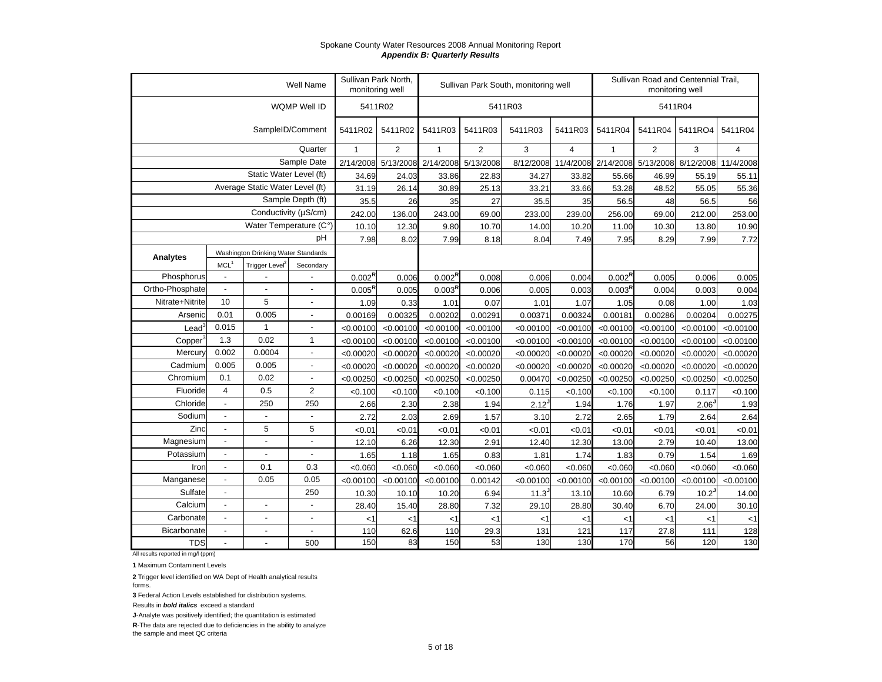|                 |                  |                                     | Well Name                | Sullivan Park North,<br>monitoring well |                |                     |                | Sullivan Park South, monitoring well |                |                               | Sullivan Road and Centennial Trail,<br>monitoring well |                   |           |
|-----------------|------------------|-------------------------------------|--------------------------|-----------------------------------------|----------------|---------------------|----------------|--------------------------------------|----------------|-------------------------------|--------------------------------------------------------|-------------------|-----------|
|                 |                  |                                     | WQMP Well ID             | 5411R02                                 |                |                     |                | 5411R03                              |                |                               | 5411R04                                                |                   |           |
|                 |                  |                                     | SampleID/Comment         | 5411R02                                 | 5411R02        | 5411R03             | 5411R03        | 5411R03                              | 5411R03        | 5411R04                       | 5411R04                                                | 5411RO4           | 5411R04   |
|                 |                  |                                     | Quarter                  | $\mathbf{1}$                            | $\overline{2}$ | $\mathbf{1}$        | $\overline{2}$ | 3                                    | $\overline{4}$ | $\mathbf{1}$                  | $\overline{2}$                                         | 3                 | 4         |
|                 |                  |                                     | Sample Date              | 2/14/2008                               |                | 5/13/2008 2/14/2008 | 5/13/2008      | 8/12/2008                            |                | 11/4/2008 2/14/2008 5/13/2008 |                                                        | 8/12/2008         | 11/4/2008 |
|                 |                  | Static Water Level (ft)             |                          | 34.69                                   | 24.03          | 33.86               | 22.83          | 34.27                                | 33.82          | 55.66                         | 46.99                                                  | 55.19             | 55.11     |
|                 |                  | Average Static Water Level (ft)     |                          | 31.19                                   | 26.14          | 30.89               | 25.13          | 33.21                                | 33.66          | 53.28                         | 48.52                                                  | 55.05             | 55.36     |
|                 |                  |                                     | Sample Depth (ft)        | 35.5                                    | 26             | 35                  | 27             | 35.5                                 | 35             | 56.5                          | 48                                                     | 56.5              | 56        |
|                 |                  | Conductivity (µS/cm)                |                          | 242.00                                  | 136.00         | 243.00              | 69.00          | 233.00                               | 239.00         | 256.00                        | 69.00                                                  | 212.00            | 253.00    |
|                 |                  | Water Temperature (C°)              |                          | 10.10                                   | 12.30          | 9.80                | 10.70          | 14.00                                | 10.20          | 11.00                         | 10.30                                                  | 13.80             | 10.90     |
|                 |                  |                                     | pH                       | 7.98                                    | 8.02           | 7.99                | 8.18           | 8.04                                 | 7.49           | 7.95                          | 8.29                                                   | 7.99              | 7.72      |
| Analytes        |                  | Washington Drinking Water Standards |                          |                                         |                |                     |                |                                      |                |                               |                                                        |                   |           |
|                 | MCL <sup>1</sup> | Trigger Level <sup>2</sup>          | Secondary                |                                         |                |                     |                |                                      |                |                               |                                                        |                   |           |
| Phosphorus      | $\blacksquare$   |                                     |                          | $0.002^{\text{R}}$                      | 0.006          | $0.002^{\text{R}}$  | 0.008          | 0.006                                | 0.004          | $0.002^{\text{R}}$            | 0.005                                                  | 0.006             | 0.005     |
| Ortho-Phosphate | $\mathbf{r}$     | $\overline{a}$                      | $\overline{a}$           | 0.005 <sup>R</sup>                      | 0.005          | 0.003 <sup>R</sup>  | 0.006          | 0.005                                | 0.003          | 0.003 <sup>R</sup>            | 0.004                                                  | 0.003             | 0.004     |
| Nitrate+Nitrite | 10               | 5                                   | ÷,                       | 1.09                                    | 0.33           | 1.01                | 0.07           | 1.01                                 | 1.07           | 1.05                          | 0.08                                                   | 1.00              | 1.03      |
| Arsenic         | 0.01             | 0.005                               | $\overline{a}$           | 0.00169                                 | 0.00325        | 0.00202             | 0.00291        | 0.00371                              | 0.00324        | 0.00181                       | 0.00286                                                | 0.00204           | 0.00275   |
| $\text{Lead}^3$ | 0.015            | $\mathbf{1}$                        | ÷,                       | < 0.00100                               | < 0.00100      | < 0.00100           | < 0.00100      | < 0.00100                            | < 0.00100      | < 0.00100                     | < 0.00100                                              | < 0.00100         | < 0.00100 |
| Copper          | 1.3              | 0.02                                | $\mathbf{1}$             | < 0.00100                               | < 0.00100      | < 0.00100           | < 0.00100      | < 0.00100                            | < 0.00100      | < 0.00100                     | < 0.00100                                              | < 0.00100         | < 0.00100 |
| Mercury         | 0.002            | 0.0004                              | $\overline{a}$           | < 0.00020                               | < 0.00020      | < 0.00020           | < 0.00020      | < 0.00020                            | < 0.00020      | < 0.00020                     | < 0.00020                                              | < 0.00020         | < 0.00020 |
| Cadmium         | 0.005            | 0.005                               | $\overline{a}$           | < 0.00020                               | < 0.00020      | < 0.00020           | < 0.00020      | < 0.00020                            | < 0.00020      | < 0.00020                     | < 0.00020                                              | < 0.00020         | < 0.00020 |
| Chromium        | 0.1              | 0.02                                | L,                       | < 0.00250                               | < 0.00250      | < 0.00250           | < 0.00250      | 0.00470                              | < 0.00250      | < 0.00250                     | < 0.00250                                              | < 0.00250         | < 0.00250 |
| Fluoride        | $\overline{4}$   | 0.5                                 | $\overline{2}$           | < 0.100                                 | < 0.100        | < 0.100             | < 0.100        | 0.115                                | < 0.100        | < 0.100                       | < 0.100                                                | 0.117             | < 0.100   |
| Chloride        | $\mathbf{r}$     | 250                                 | 250                      | 2.66                                    | 2.30           | 2.38                | 1.94           | $2.12$ <sup>J</sup>                  | 1.94           | 1.76                          | 1.97                                                   | 2.06              | 1.93      |
| Sodium          | $\overline{a}$   | $\overline{\phantom{a}}$            | $\overline{\phantom{a}}$ | 2.72                                    | 2.03           | 2.69                | 1.57           | 3.10                                 | 2.72           | 2.65                          | 1.79                                                   | 2.64              | 2.64      |
| Zinc            | $\mathbf{r}$     | 5                                   | 5                        | < 0.01                                  | < 0.01         | <0.01               | <0.01          | < 0.01                               | < 0.01         | <0.01                         | < 0.01                                                 | <0.01             | <0.01     |
| Magnesium       |                  | $\sim$                              | $\overline{a}$           | 12.10                                   | 6.26           | 12.30               | 2.91           | 12.40                                | 12.30          | 13.00                         | 2.79                                                   | 10.40             | 13.00     |
| Potassium       | $\mathbf{r}$     | $\blacksquare$                      | $\overline{a}$           | 1.65                                    | 1.18           | 1.65                | 0.83           | 1.81                                 | 1.74           | 1.83                          | 0.79                                                   | 1.54              | 1.69      |
| Iron            | $\mathbf{r}$     | 0.1                                 | 0.3                      | < 0.060                                 | < 0.060        | < 0.060             | < 0.060        | < 0.060                              | < 0.060        | < 0.060                       | < 0.060                                                | < 0.060           | < 0.060   |
| Manganese       | $\blacksquare$   | 0.05                                | 0.05                     | < 0.00100                               | < 0.00100      | < 0.00100           | 0.00142        | < 0.00100                            | < 0.00100      | < 0.00100                     | < 0.00100                                              | < 0.00100         | < 0.00100 |
| Sulfate         | $\mathbf{r}$     |                                     | 250                      | 10.30                                   | 10.10          | 10.20               | 6.94           | 11.3                                 | 13.10          | 10.60                         | 6.79                                                   | 10.2 <sup>J</sup> | 14.00     |
| Calcium         | $\blacksquare$   | $\blacksquare$                      | ÷,                       | 28.40                                   | 15.40          | 28.80               | 7.32           | 29.10                                | 28.80          | 30.40                         | 6.70                                                   | 24.00             | 30.10     |
| Carbonate       | $\mathbf{r}$     | $\overline{\phantom{a}}$            | $\overline{a}$           | $<$ 1                                   | <1             | $<$ 1               | $<$ 1          | <1                                   | <1             | <1                            | <1                                                     | $<$ 1             | $<$ 1     |
| Bicarbonate     | $\mathbf{r}$     | $\blacksquare$                      | ÷,                       | 110                                     | 62.6           | 110                 | 29.3           | 131                                  | 121            | 117                           | 27.8                                                   | 111               | 128       |
| <b>TDS</b>      | $\overline{a}$   | $\overline{a}$                      | 500                      | 150                                     | 83             | 150                 | 53             | 130                                  | 130            | 170                           | 56                                                     | 120               | 130       |

All results reported in mg/l (ppm)

**1** Maximum Contaminent Levels

**2** Trigger level identified on WA Dept of Health analytical results forms.

**3** Federal Action Levels established for distribution systems.

Results in *bold italics* exceed a standard

**J**-Analyte was positively identified; the quantitation is estimated

**R**-The data are rejected due to deficiencies in the ability to analyze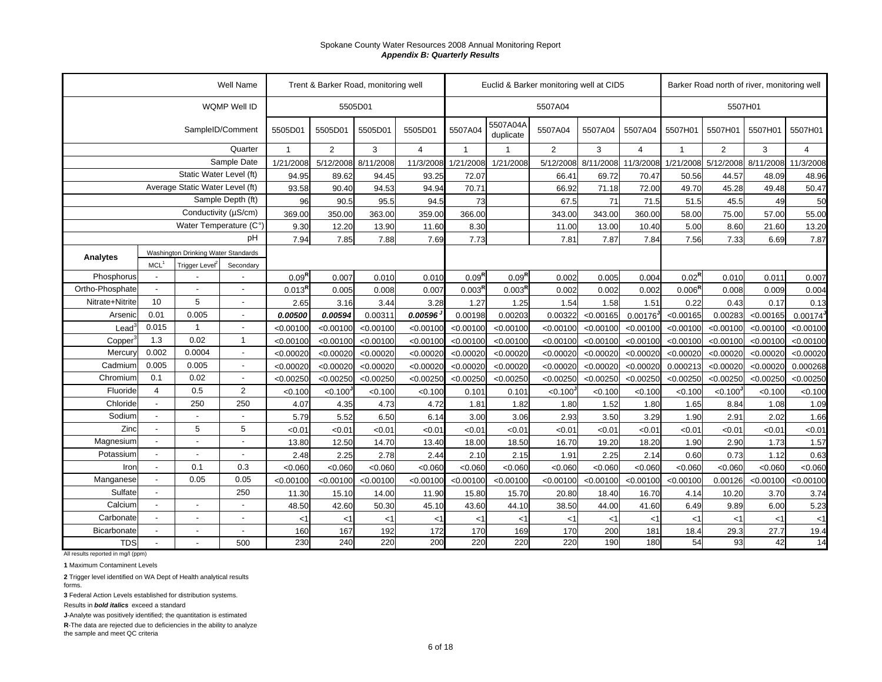|                 |                          |                                     | Well Name                |                   | Trent & Barker Road, monitoring well |           |                |                    |                       | Euclid & Barker monitoring well at CID5 |           |                |                     |                | Barker Road north of river, monitoring well |                |
|-----------------|--------------------------|-------------------------------------|--------------------------|-------------------|--------------------------------------|-----------|----------------|--------------------|-----------------------|-----------------------------------------|-----------|----------------|---------------------|----------------|---------------------------------------------|----------------|
|                 |                          |                                     | WQMP Well ID             |                   |                                      | 5505D01   |                |                    |                       | 5507A04                                 |           |                |                     |                | 5507H01                                     |                |
|                 |                          |                                     | SampleID/Comment         | 5505D01           | 5505D01                              | 5505D01   | 5505D01        | 5507A04            | 5507A04A<br>duplicate | 5507A04                                 | 5507A04   | 5507A04        | 5507H01             | 5507H01        | 5507H01                                     | 5507H01        |
|                 |                          |                                     | Quarter                  | $\overline{1}$    | $\overline{2}$                       | 3         | $\overline{4}$ | $\mathbf{1}$       | $\mathbf 1$           | 2                                       | 3         | $\overline{4}$ | $\overline{1}$      | $\overline{2}$ | 3                                           | $\overline{4}$ |
|                 |                          |                                     | Sample Date              | 1/21/2008         | 5/12/2008                            | 8/11/2008 | 11/3/2008      | 1/21/2008          | 1/21/2008             | 5/12/2008                               | 8/11/2008 |                | 11/3/2008 1/21/2008 | 5/12/2008      | 8/11/2008                                   | 11/3/2008      |
|                 |                          | Static Water Level (ft)             |                          | 94.95             | 89.62                                | 94.45     | 93.25          | 72.07              |                       | 66.41                                   | 69.72     | 70.47          | 50.56               | 44.57          | 48.09                                       | 48.96          |
|                 |                          | Average Static Water Level (ft)     |                          | 93.58             | 90.40                                | 94.53     | 94.94          | 70.71              |                       | 66.92                                   | 71.18     | 72.00          | 49.70               | 45.28          | 49.48                                       | 50.47          |
|                 |                          |                                     | Sample Depth (ft)        | 96                | 90.5                                 | 95.5      | 94.5           | 73                 |                       | 67.5                                    | 71        | 71.5           | 51.5                | 45.5           | 49                                          | 50             |
|                 |                          | Conductivity (µS/cm)                |                          | 369.00            | 350.00                               | 363.00    | 359.00         | 366.00             |                       | 343.00                                  | 343.00    | 360.00         | 58.00               | 75.00          | 57.00                                       | 55.00          |
|                 |                          | Water Temperature (C°)              |                          | 9.30              | 12.20                                | 13.90     | 11.60          | 8.30               |                       | 11.00                                   | 13.00     | 10.40          | 5.00                | 8.60           | 21.60                                       | 13.20          |
|                 |                          |                                     | рH                       | 7.94              | 7.85                                 | 7.88      | 7.69           | 7.73               |                       | 7.81                                    | 7.87      | 7.84           | 7.56                | 7.33           | 6.69                                        | 7.87           |
| <b>Analytes</b> |                          | Washington Drinking Water Standards |                          |                   |                                      |           |                |                    |                       |                                         |           |                |                     |                |                                             |                |
|                 | MCL <sup>1</sup>         | Trigger Level <sup>2</sup>          | Secondary                |                   |                                      |           |                |                    |                       |                                         |           |                |                     |                |                                             |                |
| Phosphorus      | $\overline{\phantom{a}}$ |                                     |                          | 0.09 <sup>R</sup> | 0.007                                | 0.010     | 0.01C          | $0.09^{R}$         | $0.09^{R}$            | 0.002                                   | 0.005     | 0.004          | $0.02^{\text{R}}$   | 0.010          | 0.011                                       | 0.007          |
| Ortho-Phosphate | $\blacksquare$           | $\overline{a}$                      |                          | $0.013^{R}$       | 0.005                                | 0.008     | 0.007          | 0.003 <sup>R</sup> | 0.003 <sup>R</sup>    | 0.002                                   | 0.002     | 0.002          | 0.006 <sup>F</sup>  | 0.008          | 0.009                                       | 0.004          |
| Nitrate+Nitrite | 10                       | 5                                   | $\overline{a}$           | 2.65              | 3.16                                 | 3.44      | 3.28           | 1.27               | 1.25                  | 1.54                                    | 1.58      | 1.51           | 0.22                | 0.43           | 0.17                                        | 0.13           |
| Arsenic         | 0.01                     | 0.005                               |                          | 0.00500           | 0.00594                              | 0.00311   | 0.00596        | 0.00198            | 0.00203               | 0.00322                                 | < 0.00165 | 0.00176        | < 0.00165           | 0.00283        | < 0.00165                                   | 0.00174        |
| Lead            | 0.015                    | $\overline{1}$                      |                          | < 0.00100         | < 0.00100                            | < 0.00100 | < 0.00100      | < 0.00100          | < 0.00100             | < 0.00100                               | < 0.00100 | < 0.00100      | < 0.00100           | < 0.00100      | < 0.00100                                   | < 0.00100      |
| Copper          | 1.3                      | 0.02                                | $\mathbf{1}$             | < 0.00100         | < 0.00100                            | < 0.00100 | < 0.00100      | < 0.00100          | < 0.00100             | < 0.00100                               | < 0.00100 | < 0.00100      | < 0.00100           | < 0.00100      | < 0.00100                                   | < 0.00100      |
| Mercury         | 0.002                    | 0.0004                              |                          | < 0.00020         | < 0.00020                            | < 0.00020 | < 0.00020      | < 0.00020          | < 0.00020             | < 0.00020                               | < 0.00020 | < 0.00020      | < 0.00020           | < 0.00020      | < 0.00020                                   | < 0.00020      |
| Cadmium         | 0.005                    | 0.005                               | $\overline{\phantom{0}}$ | < 0.00020         | < 0.00020                            | < 0.00020 | < 0.00020      | < 0.00020          | < 0.00020             | < 0.00020                               | < 0.00020 | < 0.00020      | 0.000213            | < 0.00020      | < 0.00020                                   | 0.000268       |
| Chromium        | 0.1                      | 0.02                                | $\overline{\phantom{a}}$ | < 0.00250         | < 0.00250                            | < 0.00250 | < 0.00250      | < 0.00250          | < 0.00250             | < 0.00250                               | < 0.00250 | < 0.00250      | < 0.00250           | < 0.00250      | < 0.00250                                   | < 0.00250      |
| Fluoride        | $\overline{4}$           | 0.5                                 | $\overline{2}$           | < 0.100           | $< 0.100$ <sup>J</sup>               | < 0.100   | < 0.100        | 0.101              | 0.101                 | $< 0.100$ <sup>J</sup>                  | < 0.100   | < 0.100        | < 0.100             | < 0.100        | < 0.100                                     | < 0.100        |
| Chloride        | $\overline{\phantom{a}}$ | 250                                 | 250                      | 4.07              | 4.35                                 | 4.73      | 4.72           | 1.81               | 1.82                  | 1.80                                    | 1.52      | 1.80           | 1.65                | 8.84           | 1.08                                        | 1.09           |
| Sodium          | $\blacksquare$           | $\overline{\phantom{a}}$            |                          | 5.79              | 5.52                                 | 6.50      | 6.14           | 3.00               | 3.06                  | 2.93                                    | 3.50      | 3.29           | 1.90                | 2.91           | 2.02                                        | 1.66           |
| Zinc            | $\overline{\phantom{a}}$ | 5                                   | 5                        | <0.01             | < 0.01                               | < 0.01    | < 0.0          | < 0.01             | < 0.01                | < 0.01                                  | < 0.01    | <0.01          | < 0.01              | < 0.01         | < 0.01                                      | < 0.01         |
| Magnesium       |                          | $\overline{\phantom{a}}$            | $\overline{\phantom{a}}$ | 13.80             | 12.50                                | 14.70     | 13.40          | 18.00              | 18.50                 | 16.70                                   | 19.20     | 18.20          | 1.90                | 2.90           | 1.73                                        | 1.57           |
| Potassium       |                          |                                     |                          | 2.48              | 2.25                                 | 2.78      | 2.44           | 2.10               | 2.15                  | 1.91                                    | 2.25      | 2.14           | 0.60                | 0.73           | 1.12                                        | 0.63           |
| Iron            | $\blacksquare$           | 0.1                                 | 0.3                      | < 0.060           | < 0.060                              | < 0.060   | < 0.060        | < 0.060            | < 0.060               | < 0.060                                 | <0.060    | <0.060         | < 0.060             | < 0.060        | < 0.060                                     | < 0.060        |
| Manganese       |                          | 0.05                                | 0.05                     | < 0.00100         | < 0.00100                            | < 0.00100 | < 0.00100      | < 0.00100          | < 0.00100             | < 0.00100                               | < 0.00100 | < 0.00100      | < 0.00100           | 0.00126        | < 0.00100                                   | < 0.00100      |
| Sulfate         |                          |                                     | 250                      | 11.30             | 15.10                                | 14.00     | 11.90          | 15.80              | 15.70                 | 20.80                                   | 18.40     | 16.70          | 4.14                | 10.20          | 3.70                                        | 3.74           |
| Calcium         |                          | $\overline{a}$                      |                          | 48.50             | 42.60                                | 50.30     | 45.10          | 43.60              | 44.10                 | 38.50                                   | 44.00     | 41.60          | 6.49                | 9.89           | 6.00                                        | 5.23           |
| Carbonate       |                          | $\blacksquare$                      |                          | $<$ 1             | $<$ 1                                | < 1       | <1             | <1                 | $<$ 1                 | <1                                      | $<$ 1     | $<$ 1          | $<$ 1               | < 1            | $<$ 1                                       | $<$ 1          |
| Bicarbonate     |                          | $\overline{\phantom{a}}$            |                          | 160               | 167                                  | 192       | 172            | 170                | 169                   | 170                                     | 200       | 181            | 18.4                | 29.3           | 27.7                                        | 19.4           |
| <b>TDS</b>      |                          |                                     | 500                      | 230               | 240                                  | 220       | 200            | 220                | 220                   | 220                                     | 190       | 180            | 54                  | 93             | 42                                          | 14             |

All results reported in mg/l (ppm)

**1** Maximum Contaminent Levels

**2** Trigger level identified on WA Dept of Health analytical results forms.

**3** Federal Action Levels established for distribution systems.

Results in *bold italics* exceed a standard

**J**-Analyte was positively identified; the quantitation is estimated

**R**-The data are rejected due to deficiencies in the ability to analyze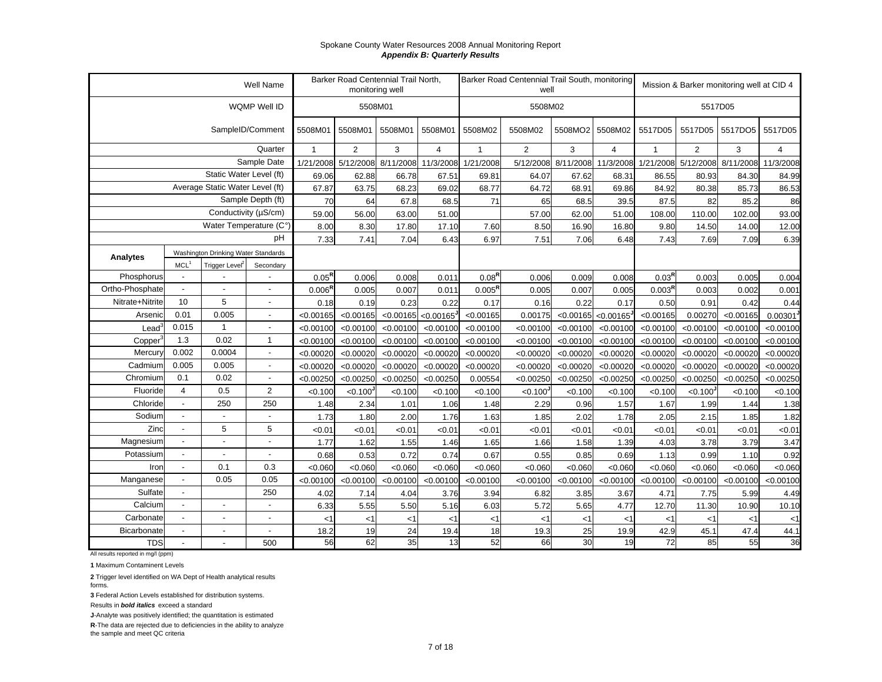|                 |                          |                                     | Well Name                  |                    | Barker Road Centennial Trail North,<br>monitoring well |           |                               |              | Barker Road Centennial Trail South, monitoring<br>well |                               |                               |                 |                      | Mission & Barker monitoring well at CID 4 |           |
|-----------------|--------------------------|-------------------------------------|----------------------------|--------------------|--------------------------------------------------------|-----------|-------------------------------|--------------|--------------------------------------------------------|-------------------------------|-------------------------------|-----------------|----------------------|-------------------------------------------|-----------|
|                 |                          |                                     | WQMP Well ID               |                    | 5508M01                                                |           |                               |              | 5508M02                                                |                               |                               |                 | 5517D05              |                                           |           |
|                 |                          |                                     | SampleID/Comment           | 5508M01            | 5508M01                                                | 5508M01   | 5508M01                       | 5508M02      | 5508M02                                                | 5508MO2                       | 5508M02                       | 5517D05         | 5517D05              | 5517DO5                                   | 5517D05   |
|                 |                          |                                     | Quarter                    | $\mathbf{1}$       | 2                                                      | 3         | $\overline{4}$                | $\mathbf{1}$ | $\overline{2}$                                         | 3                             | $\overline{4}$                | $\mathbf{1}$    | 2                    | 3                                         | 4         |
|                 |                          |                                     | Sample Date                |                    | 1/21/2008 5/12/2008                                    | 8/11/2008 | 11/3/2008                     | 1/21/2008    |                                                        | 5/12/2008 8/11/2008 11/3/2008 |                               |                 |                      | 1/21/2008 5/12/2008 8/11/2008             | 11/3/2008 |
|                 |                          | Static Water Level (ft)             |                            | 69.06              | 62.88                                                  | 66.78     | 67.51                         | 69.81        | 64.07                                                  | 67.62                         | 68.31                         | 86.55           | 80.93                | 84.30                                     | 84.99     |
|                 |                          | Average Static Water Level (ft)     |                            | 67.87              | 63.75                                                  | 68.23     | 69.02                         | 68.77        | 64.72                                                  | 68.91                         | 69.86                         | 84.92           | 80.38                | 85.73                                     | 86.53     |
|                 |                          |                                     | Sample Depth (ft)          | 70                 | 64                                                     | 67.8      | 68.5                          | 71           | 65                                                     | 68.5                          | 39.5                          | 87.5            | 82                   | 85.2                                      | 86        |
|                 |                          |                                     | Conductivity ( $\mu$ S/cm) | 59.00              | 56.00                                                  | 63.00     | 51.00                         |              | 57.00                                                  | 62.00                         | 51.00                         | 108.00          | 110.00               | 102.00                                    | 93.00     |
|                 |                          | Water Temperature (C°               |                            | 8.00               | 8.30                                                   | 17.80     | 17.10                         | 7.60         | 8.50                                                   | 16.90                         | 16.80                         | 9.80            | 14.50                | 14.00                                     | 12.00     |
|                 |                          |                                     | pH                         | 7.33               | 7.41                                                   | 7.04      | 6.43                          | 6.97         | 7.51                                                   | 7.06                          | 6.48                          | 7.43            | 7.69                 | 7.09                                      | 6.39      |
| Analytes        |                          | Washington Drinking Water Standards |                            |                    |                                                        |           |                               |              |                                                        |                               |                               |                 |                      |                                           |           |
|                 | MCL <sup>1</sup>         | Trigger Level <sup>2</sup>          | Secondary                  |                    |                                                        |           |                               |              |                                                        |                               |                               |                 |                      |                                           |           |
| Phosphorus      | $\blacksquare$           |                                     |                            | $0.05^{R}$         | 0.006                                                  | 0.008     | 0.011                         | $0.08^{R}$   | 0.006                                                  | 0.009                         | 0.008                         | $0.03^{R}$      | 0.003                | 0.005                                     | 0.004     |
| Ortho-Phosphate | $\sim$                   |                                     | $\overline{a}$             | $0.006^{\text{R}}$ | 0.005                                                  | 0.007     | 0.011                         | $0.005^R$    | 0.005                                                  | 0.007                         | 0.005                         | $0.003^{\sf R}$ | 0.003                | 0.002                                     | 0.001     |
| Nitrate+Nitrite | 10                       | 5                                   | $\overline{\phantom{0}}$   | 0.18               | 0.19                                                   | 0.23      | 0.22                          | 0.17         | 0.16                                                   | 0.22                          | 0.17                          | 0.50            | 0.91                 | 0.42                                      | 0.44      |
| Arsenic         | 0.01                     | 0.005                               | $\blacksquare$             | < 0.00165          | < 0.00165                                              |           | $\leq 0.00165$ $\leq 0.00165$ | < 0.00165    | 0.00175                                                |                               | $\leq 0.00165$ $\leq 0.00165$ | < 0.00165       | 0.00270              | < 0.00165                                 | 0.00301   |
| Lead            | 0.015                    | $\mathbf{1}$                        | $\overline{a}$             | < 0.00100          | < 0.00100                                              | < 0.00100 | < 0.00100                     | < 0.00100    | < 0.00100                                              | < 0.00100                     | < 0.00100                     | < 0.00100       | < 0.00100            | < 0.00100                                 | < 0.00100 |
| Copper          | 1.3                      | 0.02                                | $\mathbf{1}$               | < 0.00100          | < 0.00100                                              | < 0.00100 | < 0.00100                     | < 0.00100    | < 0.00100                                              | < 0.00100                     | < 0.00100                     | < 0.00100       | < 0.00100            | < 0.00100                                 | < 0.00100 |
| Mercury         | 0.002                    | 0.0004                              | $\overline{a}$             | < 0.00020          | < 0.00020                                              | < 0.00020 | < 0.00020                     | < 0.00020    | < 0.00020                                              | < 0.00020                     | < 0.00020                     | < 0.00020       | < 0.00020            | < 0.00020                                 | < 0.00020 |
| Cadmium         | 0.005                    | 0.005                               |                            | < 0.00020          | < 0.00020                                              | < 0.00020 | < 0.00020                     | < 0.00020    | < 0.00020                                              | < 0.00020                     | < 0.00020                     | < 0.00020       | < 0.00020            | < 0.00020                                 | < 0.00020 |
| Chromium        | 0.1                      | 0.02                                |                            | < 0.00250          | < 0.00250                                              | < 0.00250 | < 0.00250                     | 0.00554      | < 0.00250                                              | < 0.00250                     | < 0.00250                     | < 0.00250       | < 0.00250            | < 0.00250                                 | < 0.00250 |
| Fluoride        | $\overline{4}$           | 0.5                                 | $\overline{2}$             | < 0.100            | < 0.100                                                | < 0.100   | < 0.100                       | < 0.100      | < 0.100                                                | < 0.100                       | < 0.100                       | < 0.100         | < 0.100 <sup>1</sup> | < 0.100                                   | < 0.100   |
| Chloride        | $\sim$                   | 250                                 | 250                        | 1.48               | 2.34                                                   | 1.01      | 1.06                          | 1.48         | 2.29                                                   | 0.96                          | 1.57                          | 1.67            | 1.99                 | 1.44                                      | 1.38      |
| Sodium          | $\overline{\phantom{a}}$ |                                     |                            | 1.73               | 1.80                                                   | 2.00      | 1.76                          | 1.63         | 1.85                                                   | 2.02                          | 1.78                          | 2.05            | 2.15                 | 1.85                                      | 1.82      |
| Zinc            | $\overline{a}$           | 5                                   | 5                          | < 0.01             | < 0.01                                                 | < 0.01    | <0.01                         | <0.01        | < 0.01                                                 | < 0.01                        | <0.01                         | < 0.01          | < 0.01               | < 0.01                                    | <0.01     |
| Magnesium       |                          | $\overline{\phantom{a}}$            | $\overline{a}$             | 1.77               | 1.62                                                   | 1.55      | 1.46                          | 1.65         | 1.66                                                   | 1.58                          | 1.39                          | 4.03            | 3.78                 | 3.79                                      | 3.47      |
| Potassium       | $\overline{a}$           | $\overline{a}$                      |                            | 0.68               | 0.53                                                   | 0.72      | 0.74                          | 0.67         | 0.55                                                   | 0.85                          | 0.69                          | 1.13            | 0.99                 | 1.10                                      | 0.92      |
| Iron            | $\blacksquare$           | 0.1                                 | 0.3                        | < 0.060            | < 0.060                                                | < 0.060   | < 0.060                       | < 0.060      | < 0.060                                                | < 0.060                       | < 0.060                       | < 0.060         | < 0.060              | < 0.060                                   | < 0.060   |
| Manganese       | $\overline{a}$           | 0.05                                | 0.05                       | < 0.00100          | < 0.00100                                              | < 0.00100 | < 0.00100                     | < 0.00100    | < 0.00100                                              | < 0.00100                     | < 0.00100                     | < 0.00100       | < 0.00100            | < 0.00100                                 | < 0.00100 |
| Sulfate         | $\blacksquare$           |                                     | 250                        | 4.02               | 7.14                                                   | 4.04      | 3.76                          | 3.94         | 6.82                                                   | 3.85                          | 3.67                          | 4.71            | 7.75                 | 5.99                                      | 4.49      |
| Calcium         | $\overline{\phantom{a}}$ | $\blacksquare$                      |                            | 6.33               | 5.55                                                   | 5.50      | 5.16                          | 6.03         | 5.72                                                   | 5.65                          | 4.77                          | 12.70           | 11.30                | 10.90                                     | 10.10     |
| Carbonate       | $\blacksquare$           | $\blacksquare$                      | $\blacksquare$             | <1                 | $<$ 1                                                  | $<$ 1     | <1                            | $<$ 1        | $<$ 1                                                  | $<$ 1                         | $<$ 1                         | <1              | $<$ 1                | $<$ 1                                     | $<$ 1     |
| Bicarbonate     | $\overline{\phantom{a}}$ | $\sim$                              |                            | 18.2               | 19                                                     | 24        | 19.4                          | 18           | 19.3                                                   | 25                            | 19.9                          | 42.9            | 45.1                 | 47.4                                      | 44.1      |
| <b>TDS</b>      | $\overline{\phantom{a}}$ | $\blacksquare$                      | 500                        | 56                 | 62                                                     | 35        | 13                            | 52           | 66                                                     | 30                            | 19                            | 72              | 85                   | 55                                        | 36        |

All results reported in mg/l (ppm)

**1** Maximum Contaminent Levels

**2** Trigger level identified on WA Dept of Health analytical results forms.

**3** Federal Action Levels established for distribution systems.

Results in *bold italics* exceed a standard

**J**-Analyte was positively identified; the quantitation is estimated

**R**-The data are rejected due to deficiencies in the ability to analyze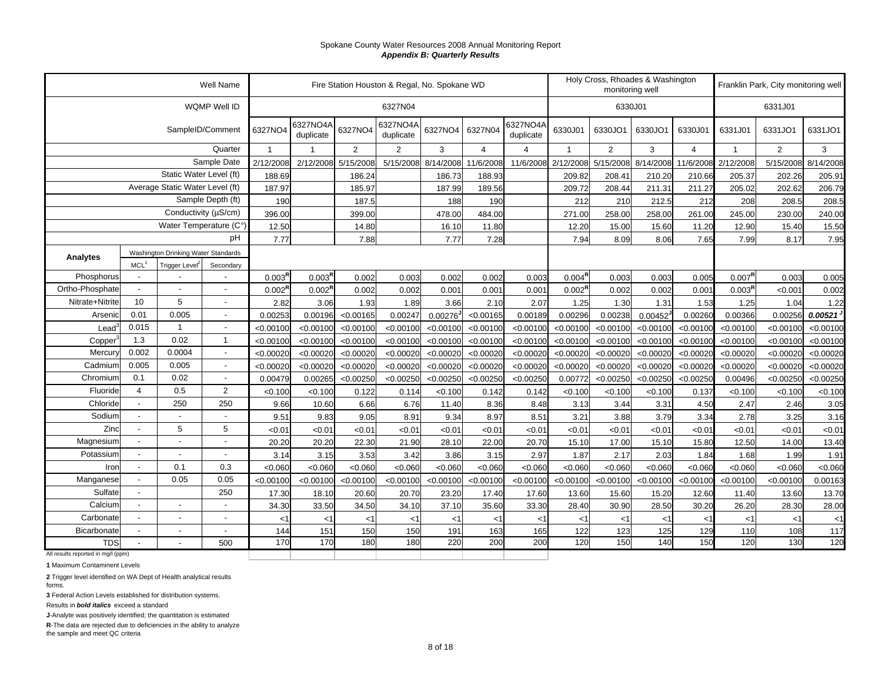|                                    |                  |                                     | Well Name         |                    |                       |                | Fire Station Houston & Regal, No. Spokane WD |                        |                |                       |                    | monitoring well | Holy Cross, Rhoades & Washington |                |                    | Franklin Park, City monitoring well |           |
|------------------------------------|------------------|-------------------------------------|-------------------|--------------------|-----------------------|----------------|----------------------------------------------|------------------------|----------------|-----------------------|--------------------|-----------------|----------------------------------|----------------|--------------------|-------------------------------------|-----------|
|                                    |                  |                                     | WQMP Well ID      |                    |                       |                | 6327N04                                      |                        |                |                       |                    | 6330J01         |                                  |                |                    | 6331J01                             |           |
|                                    |                  |                                     | SampleID/Comment  | 6327NO4            | 6327NO4A<br>duplicate | 6327NO4        | 6327NO4A<br>duplicate                        | 6327NO4                | 6327N04        | 6327NO4A<br>duplicate | 6330J01            | 6330JO1         | 6330JO1                          | 6330J01        | 6331J01            | 6331JO1                             | 6331JO1   |
|                                    |                  |                                     | Quarter           | $\overline{1}$     |                       | $\overline{2}$ | $\overline{2}$                               | 3                      | $\overline{4}$ | 4                     |                    | $\overline{2}$  | 3                                | $\overline{4}$ | $\mathbf{1}$       | $\overline{2}$                      | 3         |
|                                    |                  |                                     | Sample Date       | 2/12/2008          | 2/12/2008             | 5/15/2008      | 5/15/2008                                    | 8/14/2008              | 11/6/2008      | 11/6/2008             | 2/12/2008          | 5/15/2008       | 8/14/2008                        | 11/6/2008      | 2/12/2008          | 5/15/2008                           | 8/14/2008 |
|                                    |                  | Static Water Level (ft)             |                   | 188.69             |                       | 186.24         |                                              | 186.73                 | 188.93         |                       | 209.82             | 208.41          | 210.20                           | 210.66         | 205.37             | 202.26                              | 205.91    |
|                                    |                  | Average Static Water Level (ft)     |                   | 187.97             |                       | 185.97         |                                              | 187.99                 | 189.56         |                       | 209.72             | 208.44          | 211.31                           | 211.27         | 205.02             | 202.62                              | 206.79    |
|                                    |                  |                                     | Sample Depth (ft) | 190                |                       | 187.5          |                                              | 188                    | 190            |                       | 212                | 210             | 212.5                            | 212            | 208                | 208.5                               | 208.5     |
|                                    |                  | Conductivity (µS/cm)                |                   | 396.00             |                       | 399.00         |                                              | 478.00                 | 484.00         |                       | 271.00             | 258.00          | 258.00                           | 261.00         | 245.00             | 230.00                              | 240.00    |
|                                    |                  | Water Temperature (C°)              |                   | 12.50              |                       | 14.80          |                                              | 16.10                  | 11.80          |                       | 12.20              | 15.00           | 15.60                            | 11.20          | 12.90              | 15.40                               | 15.50     |
|                                    |                  |                                     | pH                | 7.77               |                       | 7.88           |                                              | 7.77                   | 7.28           |                       | 7.94               | 8.09            | 8.06                             | 7.65           | 7.99               | 8.17                                | 7.95      |
| Analytes                           |                  | Washington Drinking Water Standards |                   |                    |                       |                |                                              |                        |                |                       |                    |                 |                                  |                |                    |                                     |           |
|                                    | MCL <sup>1</sup> | Trigger Level                       | Secondary         |                    |                       |                |                                              |                        |                |                       |                    |                 |                                  |                |                    |                                     |           |
| Phosphorus                         |                  |                                     |                   | $0.003^{R}$        | 0.003 <sup>R</sup>    | 0.002          | 0.003                                        | 0.002                  | 0.002          | 0.003                 | $0.004^{R}$        | 0.003           | 0.003                            | 0.005          | $0.007^{R}$        | 0.003                               | 0.005     |
| Ortho-Phosphate                    |                  |                                     |                   | 0.002 <sup>R</sup> | $0.002^{\text{R}}$    | 0.002          | 0.002                                        | 0.001                  | 0.001          | 0.001                 | $0.002^{\text{R}}$ | 0.002           | 0.002                            | 0.001          | 0.003 <sup>R</sup> | < 0.001                             | 0.002     |
| Nitrate+Nitrite                    | 10               | 5                                   |                   | 2.82               | 3.06                  | 1.93           | 1.89                                         | 3.66                   | 2.10           | 2.07                  | 1.25               | 1.30            | 1.31                             | 1.53           | 1.25               | 1.04                                | 1.22      |
| Arsenic                            | 0.01             | 0.005                               |                   | 0.00253            | 0.00196               | < 0.00165      | 0.00247                                      | $0.00276$ <sup>J</sup> | < 0.00165      | 0.00189               | 0.00296            | 0.00238         | 0.00452                          | 0.00260        | 0.00366            | 0.00256                             | 0.00521   |
| Lead                               | 0.015            | $\mathbf{1}$                        |                   | < 0.00100          | < 0.00100             | < 0.00100      | < 0.00100                                    | < 0.00100              | < 0.00100      | < 0.00100             | < 0.00100          | < 0.00100       | < 0.00100                        | < 0.00100      | < 0.00100          | < 0.00100                           | < 0.00100 |
| Copper <sup>®</sup>                | 1.3              | 0.02                                | $\mathbf{1}$      | < 0.00100          | < 0.00100             | < 0.00100      | < 0.00100                                    | < 0.00100              | < 0.00100      | < 0.00100             | < 0.00100          | < 0.00100       | < 0.00100                        | < 0.00100      | < 0.00100          | < 0.00100                           | < 0.00100 |
| Mercury                            | 0.002            | 0.0004                              | $\overline{a}$    | < 0.00020          | < 0.00020             | < 0.00020      | < 0.00020                                    | < 0.00020              | < 0.00020      | < 0.00020             | < 0.00020          | < 0.00020       | < 0.00020                        | < 0.00020      | < 0.00020          | < 0.00020                           | < 0.00020 |
| Cadmium                            | 0.005            | 0.005                               | $\overline{a}$    | < 0.00020          | < 0.00020             | < 0.00020      | < 0.00020                                    | < 0.00020              | < 0.00020      | < 0.00020             | < 0.00020          | < 0.00020       | < 0.00020                        | < 0.00020      | < 0.00020          | < 0.00020                           | < 0.00020 |
| Chromium                           | 0.1              | 0.02                                |                   | 0.00479            | 0.00265               | < 0.00250      | < 0.00250                                    | < 0.00250              | < 0.00250      | < 0.00250             | 0.00772            | < 0.00250       | < 0.00250                        | < 0.00250      | 0.00496            | < 0.00250                           | < 0.00250 |
| Fluoride                           | $\overline{4}$   | 0.5                                 | $\overline{2}$    | < 0.100            | < 0.100               | 0.122          | 0.114                                        | < 0.100                | 0.142          | 0.142                 | < 0.100            | < 0.100         | < 0.100                          | 0.137          | < 0.100            | < 0.100                             | < 0.100   |
| Chloride                           |                  | 250                                 | 250               | 9.66               | 10.60                 | 6.66           | 6.76                                         | 11.40                  | 8.36           | 8.48                  | 3.13               | 3.44            | 3.31                             | 4.50           | 2.47               | 2.46                                | 3.05      |
| Sodium                             |                  |                                     |                   | 9.51               | 9.83                  | 9.05           | 8.91                                         | 9.34                   | 8.97           | 8.51                  | 3.21               | 3.88            | 3.79                             | 3.34           | 2.78               | 3.25                                | 3.16      |
| Zinc                               |                  | 5                                   | 5                 | < 0.01             | < 0.01                | < 0.01         | <0.01                                        | < 0.01                 | < 0.01         | < 0.01                | <0.01              | < 0.01          | <0.01                            | < 0.01         | < 0.01             | <0.01                               | < 0.01    |
| Magnesium                          |                  |                                     | $\overline{a}$    | 20.20              | 20.20                 | 22.30          | 21.90                                        | 28.10                  | 22.00          | 20.70                 | 15.10              | 17.00           | 15.10                            | 15.80          | 12.50              | 14.00                               | 13.40     |
| Potassium                          |                  |                                     | $\blacksquare$    | 3.14               | 3.15                  | 3.53           | 3.42                                         | 3.86                   | 3.15           | 2.97                  | 1.87               | 2.17            | 2.03                             | 1.84           | 1.68               | 1.99                                | 1.91      |
| Iron                               |                  | 0.1                                 | 0.3               | < 0.060            | < 0.060               | < 0.060        | < 0.060                                      | < 0.060                | < 0.060        | < 0.060               | < 0.060            | < 0.060         | < 0.060                          | < 0.060        | < 0.060            | < 0.060                             | < 0.060   |
| Manganese                          |                  | 0.05                                | 0.05              | < 0.00100          | < 0.00100             | < 0.00100      | < 0.00100                                    | < 0.00100              | < 0.00100      | < 0.00100             | < 0.00100          | < 0.00100       | < 0.00100                        | < 0.00100      | < 0.00100          | < 0.00100                           | 0.00163   |
| Sulfate                            |                  |                                     | 250               | 17.30              | 18.10                 | 20.60          | 20.70                                        | 23.20                  | 17.40          | 17.60                 | 13.60              | 15.60           | 15.20                            | 12.60          | 11.40              | 13.60                               | 13.70     |
| Calcium                            |                  |                                     |                   | 34.30              | 33.50                 | 34.50          | 34.10                                        | 37.10                  | 35.60          | 33.30                 | 28.40              | 30.90           | 28.50                            | 30.20          | 26.20              | 28.30                               | 28.00     |
| Carbonate                          |                  |                                     | $\blacksquare$    | $<$ 1              | $<$ 1                 | $<$ 1          | $<$ 1                                        | $<$ 1                  | $<$ 1          | $<$ 1                 | <1                 | $<$ 1           | $<$ 1                            | <1             | $<$ 1              | $<$ 1                               | $<$ 1     |
| Bicarbonate                        |                  |                                     | $\blacksquare$    | 144                | 151                   | 150            | 150                                          | 191                    | 163            | 165                   | 122                | 123             | 125                              | 129            | 110                | 108                                 | 117       |
| <b>TDS</b>                         |                  |                                     | 500               | 170                | 170                   | 180            | 180                                          | 220                    | 200            | 200                   | 120                | 150             | 140                              | 150            | 120                | 130                                 | 120       |
| All results reported in mg/l (ppm) |                  |                                     |                   |                    |                       |                |                                              |                        |                |                       |                    |                 |                                  |                |                    |                                     |           |

**1** Maximum Contaminent Levels

**2** Trigger level identified on WA Dept of Health analytical results forms.

**3** Federal Action Levels established for distribution systems.

Results in *bold italics* exceed a standard

**J**-Analyte was positively identified; the quantitation is estimated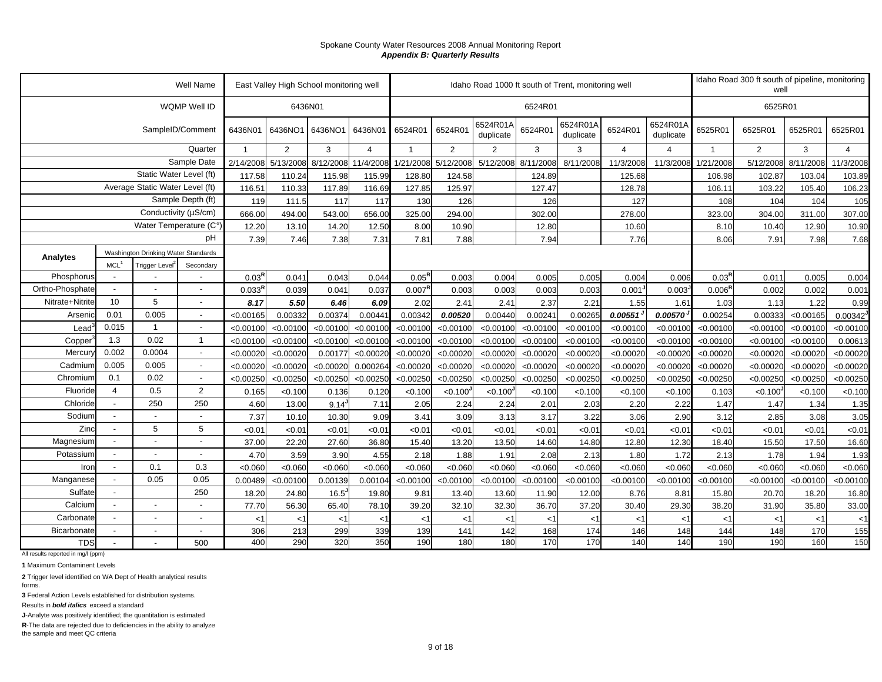|                 |                             |                                     | <b>Well Name</b>         |                | East Valley High School monitoring well |            |                     |                    |                      |                       |           | Idaho Road 1000 ft south of Trent, monitoring well |                |                       |                    | Idaho Road 300 ft south of pipeline, monitoring<br>well |           |                        |
|-----------------|-----------------------------|-------------------------------------|--------------------------|----------------|-----------------------------------------|------------|---------------------|--------------------|----------------------|-----------------------|-----------|----------------------------------------------------|----------------|-----------------------|--------------------|---------------------------------------------------------|-----------|------------------------|
|                 |                             |                                     | WQMP Well ID             |                | 6436N01                                 |            |                     |                    |                      |                       | 6524R01   |                                                    |                |                       |                    | 6525R01                                                 |           |                        |
|                 |                             | SampleID/Comment                    |                          | 6436N01        | 6436NO1                                 | 6436NO1    | 6436N01             | 6524R01            | 6524R01              | 6524R01A<br>duplicate | 6524R01   | 6524R01A<br>duplicate                              | 6524R01        | 6524R01A<br>duplicate | 6525R01            | 6525R01                                                 | 6525R01   | 6525R01                |
|                 |                             |                                     | Quarter                  | $\overline{1}$ | 2                                       | 3          | $\overline{4}$      | $\overline{1}$     | $\overline{2}$       | $\overline{2}$        | 3         | 3                                                  | $\overline{4}$ | $\overline{4}$        | $\overline{1}$     | $\overline{2}$                                          | 3         | $\overline{4}$         |
|                 |                             |                                     | Sample Date              | 2/14/2008      | 5/13/2008                               |            | 8/12/2008 11/4/2008 | 1/21/2008          | 5/12/2008            | 5/12/2008             | 8/11/2008 | 8/11/2008                                          | 11/3/2008      | 11/3/2008             | 1/21/2008          | 5/12/2008                                               | 8/11/2008 | 11/3/2008              |
|                 |                             | Static Water Level (ft)             |                          | 117.58         | 110.24                                  | 115.98     | 115.99              | 128.80             | 124.58               |                       | 124.89    |                                                    | 125.68         |                       | 106.98             | 102.87                                                  | 103.04    | 103.89                 |
|                 |                             | Average Static Water Level (ft)     |                          | 116.51         | 110.33                                  | 117.89     | 116.69              | 127.85             | 125.97               |                       | 127.47    |                                                    | 128.78         |                       | 106.11             | 103.22                                                  | 105.40    | 106.23                 |
|                 |                             |                                     | Sample Depth (ft)        | 119            | 111.5                                   | 117        | 117                 | 130                | 126                  |                       | 126       |                                                    | 127            |                       | 108                | 104                                                     | 104       | 105                    |
|                 |                             | Conductivity (µS/cm)                |                          | 666.00         | 494.00                                  | 543.00     | 656.00              | 325.00             | 294.00               |                       | 302.00    |                                                    | 278.00         |                       | 323.00             | 304.00                                                  | 311.00    | 307.00                 |
|                 |                             | Water Temperature (C°)              |                          | 12.20          | 13.10                                   | 14.20      | 12.50               | 8.00               | 10.90                |                       | 12.80     |                                                    | 10.60          |                       | 8.10               | 10.40                                                   | 12.90     | 10.90                  |
|                 |                             |                                     | pH                       | 7.39           | 7.46                                    | 7.38       | 7.31                | 7.81               | 7.88                 |                       | 7.94      |                                                    | 7.76           |                       | 8.06               | 7.91                                                    | 7.98      | 7.68                   |
| <b>Analytes</b> | MCL <sup>1</sup>            | Washington Drinking Water Standards |                          |                |                                         |            |                     |                    |                      |                       |           |                                                    |                |                       |                    |                                                         |           |                        |
| Phosphorus      | $\overline{\phantom{a}}$    | <b>Trigger Level</b>                | Secondary                | $0.03^{R}$     | 0.041                                   | 0.043      | 0.044               | $0.05^{R}$         | 0.003                | 0.004                 | 0.005     | 0.005                                              | 0.004          | 0.006                 | $0.03^{R}$         | 0.011                                                   | 0.005     | 0.004                  |
| Ortho-Phosphate | $\sim$                      |                                     |                          | $0.033^{R}$    | 0.039                                   | 0.041      | 0.037               | 0.007 <sup>F</sup> | 0.003                | 0.003                 | 0.003     | 0.003                                              | 0.001          | 0.003                 | $0.006^{\text{R}}$ | 0.002                                                   | 0.002     | 0.001                  |
| Nitrate+Nitrite | 10                          | 5                                   |                          | 8.17           | 5.50                                    | 6.46       | 6.09                | 2.02               | 2.41                 | 2.41                  | 2.37      | 2.21                                               | 1.55           | 1.61                  | 1.03               | 1.13                                                    | 1.22      | 0.99                   |
| Arsenic         | 0.01                        | 0.005                               | $\overline{\phantom{a}}$ | < 0.00165      | 0.00332                                 | 0.00374    | 0.00441             | 0.00342            | 0.00520              | 0.00440               | 0.0024'   | 0.00265                                            | 0.00551        | 0.00570               | 0.00254            | 0.00333                                                 | < 0.00165 | $0.00342$ <sup>J</sup> |
| Lead            | 0.015                       | $\mathbf{1}$                        |                          | < 0.00100      | < 0.00100                               | < 0.00100  | < 0.00100           | < 0.00100          | < 0.00100            | < 0.00100             | < 0.00100 | < 0.00100                                          | < 0.00100      | < 0.00100             | < 0.00100          | < 0.00100                                               | < 0.00100 | < 0.00100              |
| Copper          | 1.3                         | 0.02                                | $\overline{1}$           | < 0.00100      | < 0.00100                               | < 0.00100  | < 0.00100           | < 0.00100          | < 0.00100            | < 0.00100             | < 0.00100 | < 0.00100                                          | < 0.00100      | < 0.00100             | < 0.00100          | < 0.00100                                               | < 0.00100 | 0.00613                |
| Mercur          | 0.002                       | 0.0004                              |                          | < 0.00020      | < 0.00020                               | 0.00177    | < 0.00020           | < 0.00020          | < 0.00020            | < 0.00020             | < 0.00020 | < 0.00020                                          | < 0.00020      | < 0.00020             | < 0.00020          | < 0.00020                                               | < 0.00020 | < 0.00020              |
| Cadmiun         | 0.005                       | 0.005                               | $\overline{\phantom{a}}$ | < 0.00020      | < 0.00020                               | < 0.00020  | 0.000264            | < 0.00020          | < 0.00020            | < 0.00020             | < 0.00020 | < 0.00020                                          | < 0.00020      | < 0.00020             | < 0.00020          | < 0.00020                                               | < 0.00020 | < 0.00020              |
| Chromium        | 0.1                         | 0.02                                |                          | < 0.00250      | < 0.00250                               | < 0.00250  | < 0.00250           | < 0.00250          | < 0.00250            | < 0.00250             | < 0.00250 | < 0.00250                                          | < 0.00250      | < 0.00250             | < 0.00250          | < 0.00250                                               | < 0.00250 | < 0.00250              |
| Fluoride        | $\overline{4}$              | 0.5                                 | $\overline{2}$           | 0.165          | < 0.100                                 | 0.136      | 0.120               | < 0.100            | < 0.100 <sup>J</sup> | <0.100                | < 0.100   | < 0.100                                            | < 0.100        | < 0.100               | 0.103              | < 0.100                                                 | < 0.100   | < 0.100                |
| Chloride        | $\mathcal{L}^{\mathcal{A}}$ | 250                                 | 250                      | 4.60           | 13.00                                   | $9.14^{J}$ | 7.11                | 2.05               | 2.24                 | 2.24                  | 2.01      | 2.03                                               | 2.20           | 2.22                  | 1.47               | 1.47                                                    | 1.34      | 1.35                   |
| Sodium          | $\blacksquare$              |                                     |                          | 7.37           | 10.10                                   | 10.30      | 9.09                | 3.41               | 3.09                 | 3.13                  | 3.17      | 3.22                                               | 3.06           | 2.90                  | 3.12               | 2.85                                                    | 3.08      | 3.05                   |
| Zinc            | $\sim$                      | 5                                   | 5                        | <0.01          | < 0.01                                  | < 0.01     | < 0.01              | < 0.01             | < 0.01               | <0.01                 | < 0.01    | < 0.01                                             | < 0.01         | < 0.01                | < 0.01             | < 0.01                                                  | < 0.01    | < 0.01                 |
| Magnesium       |                             |                                     |                          | 37.00          | 22.20                                   | 27.60      | 36.80               | 15.40              | 13.20                | 13.50                 | 14.60     | 14.80                                              | 12.80          | 12.30                 | 18.40              | 15.50                                                   | 17.50     | 16.60                  |
| Potassium       | $\mathcal{L}^{\mathcal{A}}$ |                                     |                          | 4.70           | 3.59                                    | 3.90       | 4.55                | 2.18               | 1.88                 | 1.91                  | 2.08      | 2.13                                               | 1.80           | 1.72                  | 2.13               | 1.78                                                    | 1.94      | 1.93                   |
| Iron            | $\blacksquare$              | 0.1                                 | 0.3                      | < 0.060        | < 0.060                                 | < 0.060    | < 0.060             | < 0.060            | < 0.060              | < 0.060               | < 0.060   | < 0.060                                            | < 0.060        | < 0.060               | < 0.060            | < 0.060                                                 | < 0.060   | < 0.060                |
| Manganese       |                             | 0.05                                | 0.05                     | 0.00489        | < 0.00100                               | 0.00139    | 0.00104             | < 0.00100          | < 0.00100            | < 0.00100             | < 0.00100 | < 0.00100                                          | < 0.00100      | < 0.00100             | < 0.00100          | < 0.00100                                               | < 0.00100 | < 0.00100              |
| Sulfate         | $\blacksquare$              |                                     | 250                      | 18.20          | 24.80                                   | 16.5       | 19.80               | 9.81               | 13.40                | 13.60                 | 11.90     | 12.00                                              | 8.76           | 8.81                  | 15.80              | 20.70                                                   | 18.20     | 16.80                  |
| Calcium         | $\overline{a}$              |                                     |                          | 77.70          | 56.30                                   | 65.40      | 78.10               | 39.20              | 32.10                | 32.30                 | 36.70     | 37.20                                              | 30.40          | 29.30                 | 38.20              | 31.90                                                   | 35.80     | 33.00                  |
| Carbonate       | $\blacksquare$              |                                     |                          | <1             | $<$ 1                                   | <1         | $<$ 1               | $<$ 1              | <1                   | $<$ 1                 | $<$ 1     | $<$ 1                                              | $<$ 1          | $<$ 1                 | $<$ 1              | $<$ 1                                                   | $<$ 1     | $<$ 1                  |
| Bicarbonate     | $\overline{a}$              |                                     |                          | 306            | 213                                     | 299        | 339                 | 139                | 141                  | 142                   | 168       | 174                                                | 146            | 148                   | 144                | 148                                                     | 170       | 155                    |
| <b>TDS</b>      | $\overline{a}$              |                                     | 500                      | 400            | 290                                     | 320        | 350                 | 190                | 180                  | 180                   | 170       | 170                                                | 140            | 140                   | 190                | 190                                                     | 160       | 150                    |

All results reported in mg/l (ppm)

**1** Maximum Contaminent Levels

**2** Trigger level identified on WA Dept of Health analytical results forms.

**3** Federal Action Levels established for distribution systems.

Results in *bold italics* exceed a standard

**J**-Analyte was positively identified; the quantitation is estimated

**R**-The data are rejected due to deficiencies in the ability to analyze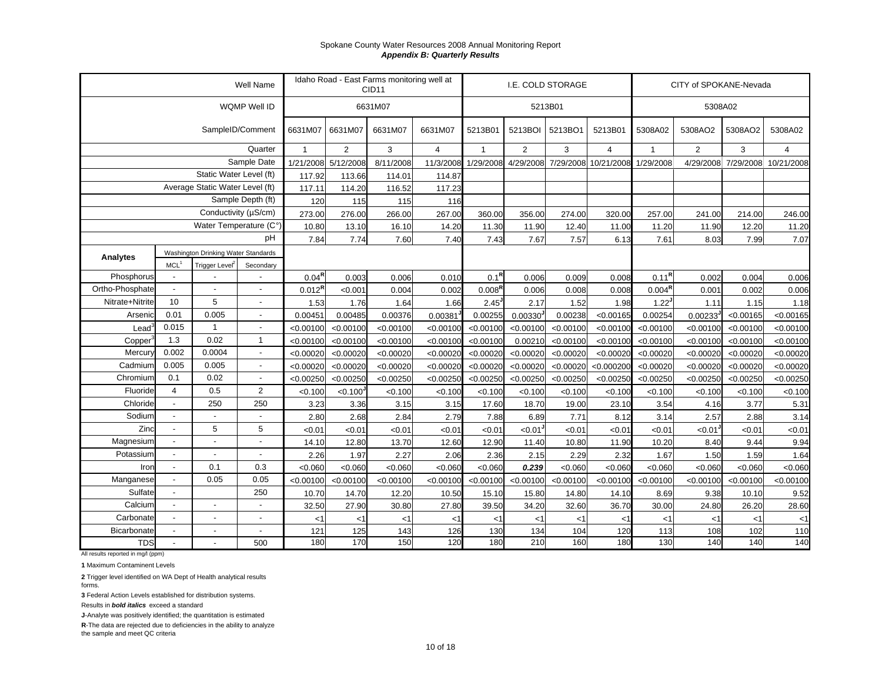|                 |                          |                                     | Well Name                |                    |                      | Idaho Road - East Farms monitoring well at<br>CID <sub>11</sub> |                |                   |                | I.E. COLD STORAGE |                |                    | CITY of SPOKANE-Nevada |           |                                |
|-----------------|--------------------------|-------------------------------------|--------------------------|--------------------|----------------------|-----------------------------------------------------------------|----------------|-------------------|----------------|-------------------|----------------|--------------------|------------------------|-----------|--------------------------------|
|                 |                          |                                     | WQMP Well ID             |                    |                      | 6631M07                                                         |                |                   |                | 5213B01           |                |                    | 5308A02                |           |                                |
|                 |                          |                                     | SampleID/Comment         | 6631M07            | 6631M07              | 6631M07                                                         | 6631M07        | 5213B01           | 5213BOI        | 5213BO1           | 5213B01        | 5308A02            | 5308AO2                | 5308AO2   | 5308A02                        |
|                 |                          |                                     | Quarter                  | $\overline{1}$     | $\overline{2}$       | 3                                                               | $\overline{4}$ | $\mathbf{1}$      | $\overline{2}$ | 3                 | $\overline{4}$ | $\mathbf{1}$       | $\overline{2}$         | 3         | $\overline{4}$                 |
|                 |                          |                                     | Sample Date              | 1/21/2008          | 5/12/2008            | 8/11/2008                                                       | 11/3/2008      | 1/29/2008         | 4/29/2008      | 7/29/2008         | 10/21/2008     | 1/29/2008          |                        |           | 4/29/2008 7/29/2008 10/21/2008 |
|                 |                          | Static Water Level (ft)             |                          | 117.92             | 113.66               | 114.01                                                          | 114.87         |                   |                |                   |                |                    |                        |           |                                |
|                 |                          | Average Static Water Level (ft)     |                          | 117.11             | 114.20               | 116.52                                                          | 117.23         |                   |                |                   |                |                    |                        |           |                                |
|                 |                          |                                     | Sample Depth (ft)        | 120                | 115                  | 115                                                             | 116            |                   |                |                   |                |                    |                        |           |                                |
|                 |                          | Conductivity (µS/cm)                |                          | 273.00             | 276.00               | 266.00                                                          | 267.00         | 360.00            | 356.00         | 274.00            | 320.00         | 257.00             | 241.00                 | 214.00    | 246.00                         |
|                 |                          | Water Temperature (C°)              |                          | 10.80              | 13.10                | 16.10                                                           | 14.20          | 11.30             | 11.90          | 12.40             | 11.00          | 11.20              | 11.90                  | 12.20     | 11.20                          |
|                 |                          |                                     | pH                       | 7.84               | 7.74                 | 7.60                                                            | 7.40           | 7.43              | 7.67           | 7.57              | 6.13           | 7.61               | 8.03                   | 7.99      | 7.07                           |
| Analytes        |                          | Washington Drinking Water Standards |                          |                    |                      |                                                                 |                |                   |                |                   |                |                    |                        |           |                                |
|                 | MCL <sup>1</sup>         | Trigger Level <sup>2</sup>          | Secondary                |                    |                      |                                                                 |                |                   |                |                   |                |                    |                        |           |                                |
| Phosphorus      |                          |                                     |                          | $0.04^{R}$         | 0.003                | 0.006                                                           | 0.010          | 0.1 <sup>R</sup>  | 0.006          | 0.009             | 0.008          | $0.11^{R}$         | 0.002                  | 0.004     | 0.006                          |
| Ortho-Phosphate | $\overline{a}$           |                                     |                          | 0.012 <sup>R</sup> | <0.001               | 0.004                                                           | 0.002          | $0.008^{R}$       | 0.006          | 0.008             | 0.008          | 0.004 <sup>R</sup> | 0.001                  | 0.002     | 0.006                          |
| Nitrate+Nitrite | 10                       | 5                                   | $\overline{a}$           | 1.53               | 1.76                 | 1.64                                                            | 1.66           | 2.45 <sup>J</sup> | 2.17           | 1.52              | 1.98           | 1.22               | 1.11                   | 1.15      | 1.18                           |
| Arsenic         | 0.01                     | 0.005                               | $\overline{a}$           | 0.00451            | 0.00485              | 0.00376                                                         | 0.00381        | 0.00255           | 0.00330        | 0.00238           | < 0.00165      | 0.00254            | $0.00233$ <sup>J</sup> | < 0.00165 | < 0.00165                      |
| Lead            | 0.015                    | $\overline{1}$                      | Ĭ.                       | < 0.00100          | < 0.00100            | < 0.00100                                                       | < 0.00100      | < 0.00100         | < 0.00100      | < 0.00100         | < 0.00100      | < 0.00100          | < 0.00100              | < 0.00100 | < 0.00100                      |
| Copper          | 1.3                      | 0.02                                | $\mathbf{1}$             | < 0.00100          | < 0.00100            | < 0.00100                                                       | < 0.00100      | < 0.00100         | 0.00210        | < 0.00100         | < 0.00100      | < 0.00100          | < 0.00100              | < 0.00100 | < 0.00100                      |
| Mercury         | 0.002                    | 0.0004                              | $\overline{a}$           | < 0.00020          | < 0.00020            | < 0.00020                                                       | < 0.00020      | < 0.00020         | < 0.00020      | < 0.00020         | < 0.00020      | < 0.00020          | < 0.00020              | < 0.00020 | < 0.00020                      |
| Cadmium         | 0.005                    | 0.005                               | $\overline{a}$           | < 0.00020          | < 0.00020            | < 0.00020                                                       | < 0.00020      | < 0.00020         | < 0.00020      | < 0.00020         | < 0.000200     | < 0.00020          | < 0.00020              | < 0.00020 | < 0.00020                      |
| Chromium        | 0.1                      | 0.02                                | $\overline{a}$           | < 0.00250          | < 0.00250            | < 0.00250                                                       | < 0.00250      | < 0.00250         | < 0.00250      | < 0.00250         | < 0.00250      | < 0.00250          | < 0.00250              | < 0.00250 | < 0.00250                      |
| Fluoride        | $\overline{4}$           | 0.5                                 | $\overline{2}$           | < 0.100            | < 0.100 <sup>J</sup> | < 0.100                                                         | < 0.100        | < 0.100           | < 0.100        | < 0.100           | < 0.100        | < 0.100            | < 0.100                | < 0.100   | < 0.100                        |
| Chloride        | $\blacksquare$           | 250                                 | 250                      | 3.23               | 3.36                 | 3.15                                                            | 3.15           | 17.60             | 18.70          | 19.00             | 23.10          | 3.54               | 4.16                   | 3.77      | 5.31                           |
| Sodium          | $\overline{\phantom{a}}$ |                                     |                          | 2.80               | 2.68                 | 2.84                                                            | 2.79           | 7.88              | 6.89           | 7.71              | 8.12           | 3.14               | 2.57                   | 2.88      | 3.14                           |
| Zinc            | $\blacksquare$           | 5                                   | 5                        | < 0.01             | <0.01                | < 0.01                                                          | < 0.01         | < 0.01            | < 0.01         | < 0.01            | < 0.01         | < 0.01             | < 0.01                 | < 0.01    | < 0.01                         |
| Magnesium       | $\blacksquare$           |                                     | $\overline{\phantom{a}}$ | 14.10              | 12.80                | 13.70                                                           | 12.60          | 12.90             | 11.40          | 10.80             | 11.90          | 10.20              | 8.40                   | 9.44      | 9.94                           |
| Potassium       | $\blacksquare$           |                                     |                          | 2.26               | 1.97                 | 2.27                                                            | 2.06           | 2.36              | 2.15           | 2.29              | 2.32           | 1.67               | 1.50                   | 1.59      | 1.64                           |
| Iron            | $\blacksquare$           | 0.1                                 | 0.3                      | < 0.060            | < 0.060              | < 0.060                                                         | < 0.060        | < 0.060           | 0.239          | < 0.060           | < 0.060        | < 0.060            | < 0.060                | < 0.060   | < 0.060                        |
| Manganese       |                          | 0.05                                | 0.05                     | < 0.00100          | < 0.00100            | < 0.00100                                                       | < 0.00100      | < 0.00100         | < 0.00100      | < 0.00100         | < 0.00100      | < 0.00100          | < 0.00100              | < 0.00100 | < 0.00100                      |
| Sulfate         | $\overline{\phantom{a}}$ |                                     | 250                      | 10.70              | 14.70                | 12.20                                                           | 10.50          | 15.10             | 15.80          | 14.80             | 14.10          | 8.69               | 9.38                   | 10.10     | 9.52                           |
| Calcium         |                          |                                     |                          | 32.50              | 27.90                | 30.80                                                           | 27.80          | 39.50             | 34.20          | 32.60             | 36.70          | 30.00              | 24.80                  | 26.20     | 28.60                          |
| Carbonate       | $\sim$                   |                                     | $\overline{a}$           | $<$ 1              | $<$ 1                | $<$ 1                                                           | $<$ 1          | $<$ 1             | $<$ 1          | < 1               | <1             | <1                 | < 1                    | $<$ 1     | $<$ 1                          |
| Bicarbonate     | $\overline{a}$           |                                     | $\overline{a}$           | 121                | 125                  | 143                                                             | 126            | 130               | 134            | 104               | 120            | 113                | 108                    | 102       | 110                            |
| <b>TDS</b>      |                          |                                     | 500                      | 180                | 170                  | 150                                                             | 120            | 180               | 210            | 160               | 180            | 130                | 140                    | 140       | 140                            |

All results reported in mg/l (ppm)

**1** Maximum Contaminent Levels

**2** Trigger level identified on WA Dept of Health analytical results forms.

**3** Federal Action Levels established for distribution systems.

Results in *bold italics* exceed a standard

**J**-Analyte was positively identified; the quantitation is estimated

**R**-The data are rejected due to deficiencies in the ability to analyze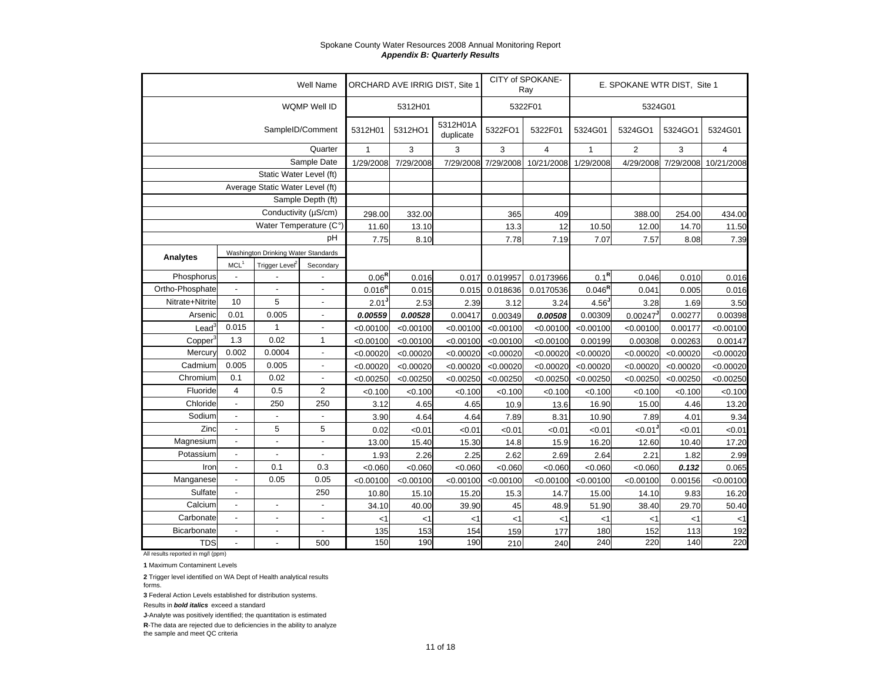|                     |                                          |                                     | <b>Well Name</b>         |              |           | ORCHARD AVE IRRIG DIST, Site 1 |           | CITY of SPOKANE-<br>Ray |                    | E. SPOKANE WTR DIST, Site 1 |           |            |
|---------------------|------------------------------------------|-------------------------------------|--------------------------|--------------|-----------|--------------------------------|-----------|-------------------------|--------------------|-----------------------------|-----------|------------|
|                     |                                          |                                     | WQMP Well ID             |              | 5312H01   |                                |           | 5322F01                 |                    | 5324G01                     |           |            |
|                     |                                          |                                     | SampleID/Comment         | 5312H01      | 5312HO1   | 5312H01A<br>duplicate          | 5322FO1   | 5322F01                 | 5324G01            | 5324GO1                     | 5324GO1   | 5324G01    |
|                     |                                          |                                     | Quarter                  | $\mathbf{1}$ | 3         | 3                              | 3         | 4                       | $\mathbf{1}$       | $\overline{2}$              | 3         | 4          |
|                     |                                          |                                     | Sample Date              | 1/29/2008    | 7/29/2008 | 7/29/2008                      | 7/29/2008 | 10/21/2008              | 1/29/2008          | 4/29/2008                   | 7/29/2008 | 10/21/2008 |
|                     |                                          | Static Water Level (ft)             |                          |              |           |                                |           |                         |                    |                             |           |            |
|                     |                                          | Average Static Water Level (ft)     |                          |              |           |                                |           |                         |                    |                             |           |            |
|                     |                                          |                                     | Sample Depth (ft)        |              |           |                                |           |                         |                    |                             |           |            |
|                     |                                          | Conductivity (µS/cm)                |                          | 298.00       | 332.00    |                                | 365       | 409                     |                    | 388.00                      | 254.00    | 434.00     |
|                     |                                          | Water Temperature (C°)              |                          | 11.60        | 13.10     |                                | 13.3      | 12                      | 10.50              | 12.00                       | 14.70     | 11.50      |
|                     |                                          |                                     | рH                       | 7.75         | 8.10      |                                | 7.78      | 7.19                    | 7.07               | 7.57                        | 8.08      | 7.39       |
| Analytes            |                                          | Washington Drinking Water Standards |                          |              |           |                                |           |                         |                    |                             |           |            |
|                     | MCL <sup>1</sup>                         | Trigger Level <sup>2</sup>          | Secondary                |              |           |                                |           |                         |                    |                             |           |            |
| Phosphorus          |                                          |                                     |                          | $0.06^{R}$   | 0.016     | 0.017                          | 0.019957  | 0.0173966               | $0.1^{\mathsf{R}}$ | 0.046                       | 0.010     | 0.016      |
| Ortho-Phosphate     |                                          |                                     |                          | $0.016^{R}$  | 0.015     | 0.015                          | 0.018636  | 0.0170536               | $0.046^{R}$        | 0.041                       | 0.005     | 0.016      |
| Nitrate+Nitrite     | 10                                       | 5                                   |                          | 2.01         | 2.53      | 2.39                           | 3.12      | 3.24                    | 4.56               | 3.28                        | 1.69      | 3.50       |
| Arsenic             | 0.01                                     | 0.005                               | $\overline{\phantom{a}}$ | 0.00559      | 0.00528   | 0.00417                        | 0.00349   | 0.00508                 | 0.00309            | 0.00247                     | 0.00277   | 0.00398    |
| Lead                | 0.015                                    | $\mathbf{1}$                        |                          | < 0.00100    | < 0.00100 | < 0.00100                      | < 0.00100 | < 0.00100               | < 0.00100          | < 0.00100                   | 0.00177   | < 0.00100  |
| Copper <sup>3</sup> | 1.3                                      | 0.02                                | $\mathbf{1}$             | < 0.00100    | < 0.00100 | < 0.00100                      | < 0.00100 | < 0.00100               | 0.00199            | 0.00308                     | 0.00263   | 0.00147    |
| Mercury             | 0.002                                    | 0.0004                              | $\overline{a}$           | < 0.00020    | < 0.00020 | < 0.00020                      | < 0.00020 | < 0.00020               | < 0.00020          | < 0.00020                   | < 0.00020 | < 0.00020  |
| Cadmium             | 0.005                                    | 0.005                               | $\overline{\phantom{a}}$ | < 0.00020    | < 0.00020 | < 0.00020                      | < 0.00020 | < 0.00020               | < 0.00020          | < 0.00020                   | < 0.00020 | < 0.00020  |
| Chromium            | 0.1                                      | 0.02                                | ÷,                       | < 0.00250    | < 0.00250 | < 0.00250                      | < 0.00250 | < 0.00250               | < 0.00250          | < 0.00250                   | < 0.00250 | < 0.00250  |
| Fluoride            | $\overline{4}$                           | 0.5                                 | 2                        | < 0.100      | < 0.100   | < 0.100                        | < 0.100   | < 0.100                 | < 0.100            | < 0.100                     | < 0.100   | < 0.100    |
| Chloride            | $\blacksquare$                           | 250                                 | 250                      | 3.12         | 4.65      | 4.65                           | 10.9      | 13.6                    | 16.90              | 15.00                       | 4.46      | 13.20      |
| Sodium              |                                          |                                     |                          | 3.90         | 4.64      | 4.64                           | 7.89      | 8.31                    | 10.90              | 7.89                        | 4.01      | 9.34       |
| Zinc                | $\blacksquare$                           | 5                                   | 5                        | 0.02         | <0.01     | <0.01                          | < 0.01    | < 0.01                  | < 0.01             | $< 0.01$ <sup>J</sup>       | < 0.01    | < 0.01     |
| Magnesium           | $\blacksquare$                           | $\overline{a}$                      | $\overline{\phantom{a}}$ | 13.00        | 15.40     | 15.30                          | 14.8      | 15.9                    | 16.20              | 12.60                       | 10.40     | 17.20      |
| Potassium           |                                          |                                     |                          | 1.93         | 2.26      | 2.25                           | 2.62      | 2.69                    | 2.64               | 2.21                        | 1.82      | 2.99       |
| Iron                | $\blacksquare$                           | 0.1                                 | 0.3                      | < 0.060      | < 0.060   | < 0.060                        | < 0.060   | < 0.060                 | < 0.060            | < 0.060                     | 0.132     | 0.065      |
| Manganese           | 0.05<br>0.05<br>$\overline{\phantom{a}}$ |                                     |                          | < 0.00100    | < 0.00100 | < 0.00100                      | < 0.00100 | < 0.00100               | < 0.00100          | < 0.00100                   | 0.00156   | < 0.00100  |
| Sulfate             | $\blacksquare$                           |                                     | 250                      | 10.80        | 15.10     | 15.20                          | 15.3      | 14.7                    | 15.00              | 14.10                       | 9.83      | 16.20      |
| Calcium             | $\overline{\phantom{a}}$                 | $\overline{a}$                      |                          | 34.10        | 40.00     | 39.90                          | 45        | 48.9                    | 51.90              | 38.40                       | 29.70     | 50.40      |
| Carbonate           | $\blacksquare$                           | $\overline{\phantom{a}}$            |                          | $<$ 1        | $<$ 1     | <1                             | $<$ 1     | $<$ 1                   | $<$ 1              | $<$ 1                       | $<$ 1     | <1         |
| <b>Bicarbonate</b>  | $\overline{\phantom{a}}$                 | $\overline{a}$                      | ÷,                       | 135          | 153       | 154                            | 159       | 177                     | 180                | 152                         | 113       | 192        |
| <b>TDS</b>          | $\blacksquare$                           |                                     | 500                      | 150          | 190       | 190                            | 210       | 240                     | 240                | 220                         | 140       | 220        |

All results reported in mg/l (ppm)

**1** Maximum Contaminent Levels

**2** Trigger level identified on WA Dept of Health analytical results forms.

**3** Federal Action Levels established for distribution systems.

Results in *bold italics* exceed a standard

**J**-Analyte was positively identified; the quantitation is estimated

**R**-The data are rejected due to deficiencies in the ability to analyze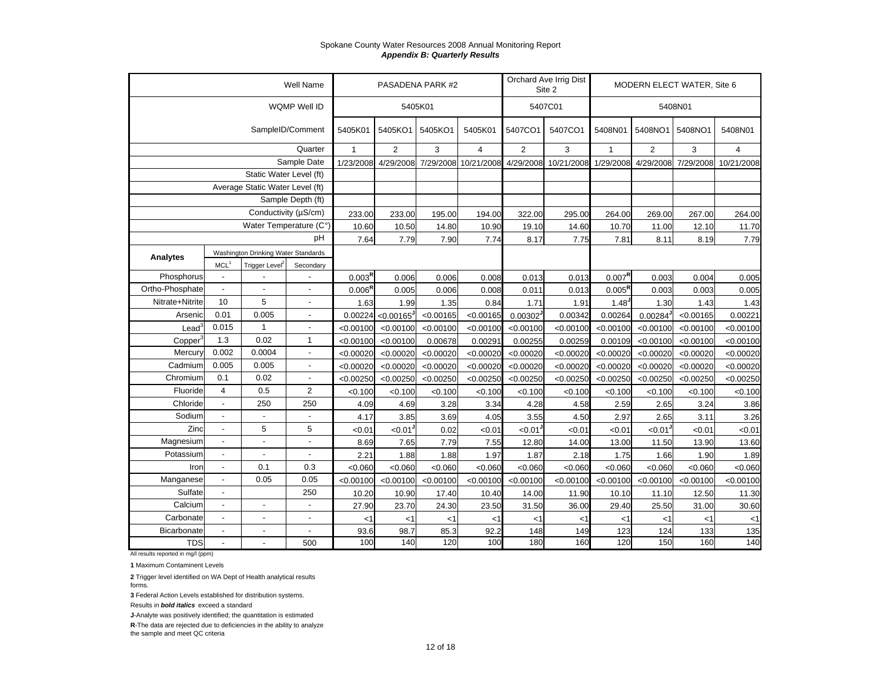|                     |                  |                                     | Well Name                |                    |                | PASADENA PARK #2 |                      |                | Orchard Ave Irrig Dist<br>Site 2 |                    | MODERN ELECT WATER, Site 6 |           |            |
|---------------------|------------------|-------------------------------------|--------------------------|--------------------|----------------|------------------|----------------------|----------------|----------------------------------|--------------------|----------------------------|-----------|------------|
|                     |                  |                                     | WQMP Well ID             |                    |                | 5405K01          |                      |                | 5407C01                          |                    |                            | 5408N01   |            |
|                     |                  |                                     | SampleID/Comment         | 5405K01            | 5405KO1        | 5405KO1          | 5405K01              | 5407CO1        | 5407CO1                          | 5408N01            | 5408NO1                    | 5408NO1   | 5408N01    |
|                     |                  |                                     | Quarter                  | $\mathbf{1}$       | $\overline{2}$ | 3                | $\overline{4}$       | $\overline{2}$ | 3                                |                    | 2                          | 3         | 4          |
|                     |                  |                                     | Sample Date              | 1/23/2008          | 4/29/2008      |                  | 7/29/2008 10/21/2008 | 4/29/2008      | 10/21/2008                       | 1/29/2008          | 4/29/2008                  | 7/29/2008 | 10/21/2008 |
|                     |                  | Static Water Level (ft)             |                          |                    |                |                  |                      |                |                                  |                    |                            |           |            |
|                     |                  | Average Static Water Level (ft)     |                          |                    |                |                  |                      |                |                                  |                    |                            |           |            |
|                     |                  |                                     | Sample Depth (ft)        |                    |                |                  |                      |                |                                  |                    |                            |           |            |
|                     |                  | Conductivity (µS/cm)                |                          | 233.00             | 233.00         | 195.00           | 194.00               | 322.00         | 295.00                           | 264.00             | 269.00                     | 267.00    | 264.00     |
|                     |                  | Water Temperature (C°)              |                          | 10.60              | 10.50          | 14.80            | 10.90                | 19.10          | 14.60                            | 10.70              | 11.00                      | 12.10     | 11.70      |
|                     |                  |                                     | pH                       | 7.64               | 7.79           | 7.90             | 7.74                 | 8.17           | 7.75                             | 7.81               | 8.11                       | 8.19      | 7.79       |
| Analytes            |                  | Washington Drinking Water Standards |                          |                    |                |                  |                      |                |                                  |                    |                            |           |            |
|                     | MCL <sup>1</sup> | Trigger Level <sup>2</sup>          | Secondary                |                    |                |                  |                      |                |                                  |                    |                            |           |            |
| Phosphorus          | $\mathbf{r}$     |                                     |                          | $0.003^{R}$        | 0.006          | 0.006            | 0.008                | 0.013          | 0.013                            | $0.007^{R}$        | 0.003                      | 0.004     | 0.005      |
| Ortho-Phosphate     | $\mathbf{r}$     |                                     | $\overline{a}$           | $0.006^{\text{R}}$ | 0.005          | 0.006            | 0.008                | 0.011          | 0.013                            | $0.005^{\text{R}}$ | 0.003                      | 0.003     | 0.005      |
| Nitrate+Nitrite     | 10               | 5                                   | $\overline{a}$           | 1.63               | 1.99           | 1.35             | 0.84                 | 1.71           | 1.91                             | 1.48               | 1.30                       | 1.43      | 1.43       |
| Arsenic             | 0.01             | 0.005                               | $\overline{a}$           | 0.00224            | < 0.00165      | < 0.00165        | < 0.00165            | 0.00302        | 0.00342                          | 0.00264            | 0.00284                    | < 0.00165 | 0.00221    |
| Lead <sup>3</sup>   | 0.015            | $\mathbf{1}$                        | $\overline{a}$           | < 0.00100          | < 0.00100      | < 0.00100        | < 0.00100            | < 0.00100      | < 0.00100                        | < 0.00100          | < 0.00100                  | < 0.00100 | < 0.00100  |
| Copper <sup>3</sup> | 1.3              | 0.02                                | $\mathbf{1}$             | < 0.00100          | < 0.00100      | 0.00678          | 0.00291              | 0.00255        | 0.00259                          | 0.00109            | < 0.00100                  | < 0.00100 | < 0.00100  |
| Mercury             | 0.002            | 0.0004                              | $\overline{a}$           | < 0.00020          | < 0.00020      | < 0.00020        | < 0.00020            | < 0.00020      | < 0.00020                        | < 0.00020          | < 0.00020                  | < 0.00020 | < 0.00020  |
| Cadmium             | 0.005            | 0.005                               | $\overline{a}$           | < 0.00020          | < 0.00020      | < 0.00020        | < 0.00020            | < 0.00020      | < 0.00020                        | < 0.00020          | < 0.00020                  | < 0.00020 | < 0.00020  |
| Chromium            | 0.1              | 0.02                                | $\overline{a}$           | < 0.00250          | < 0.00250      | < 0.00250        | < 0.00250            | < 0.00250      | < 0.00250                        | < 0.00250          | < 0.00250                  | < 0.00250 | < 0.00250  |
| Fluoride            | $\overline{4}$   | 0.5                                 | $\overline{2}$           | < 0.100            | < 0.100        | < 0.100          | < 0.100              | < 0.100        | < 0.100                          | < 0.100            | < 0.100                    | < 0.100   | < 0.100    |
| Chloride            | $\mathbf{r}$     | 250                                 | 250                      | 4.09               | 4.69           | 3.28             | 3.34                 | 4.28           | 4.58                             | 2.59               | 2.65                       | 3.24      | 3.86       |
| Sodium              | $\mathbf{r}$     | $\overline{\phantom{a}}$            | $\overline{a}$           | 4.17               | 3.85           | 3.69             | 4.05                 | 3.55           | 4.50                             | 2.97               | 2.65                       | 3.11      | 3.26       |
| Zinc                | $\mathbf{r}$     | 5                                   | 5                        | <0.01              | < 0.01         | 0.02             | <0.01                | < 0.01         | <0.01                            | < 0.01             | < 0.01                     | < 0.01    | < 0.01     |
| Magnesium           |                  | ÷,                                  | ÷,                       | 8.69               | 7.65           | 7.79             | 7.55                 | 12.80          | 14.00                            | 13.00              | 11.50                      | 13.90     | 13.60      |
| Potassium           | $\mathbf{r}$     | $\overline{a}$                      | $\overline{a}$           | 2.21               | 1.88           | 1.88             | 1.97                 | 1.87           | 2.18                             | 1.75               | 1.66                       | 1.90      | 1.89       |
| Iron                | $\mathbf{r}$     | 0.1                                 | 0.3                      | < 0.060            | < 0.060        | < 0.060          | < 0.060              | < 0.060        | < 0.060                          | < 0.060            | < 0.060                    | < 0.060   | <0.060     |
| Manganese           |                  | 0.05                                | 0.05                     | < 0.00100          | < 0.00100      | < 0.00100        | < 0.00100            | < 0.00100      | < 0.00100                        | < 0.00100          | < 0.00100                  | < 0.00100 | < 0.00100  |
| Sulfate             | $\blacksquare$   |                                     | 250                      | 10.20              | 10.90          | 17.40            | 10.40                | 14.00          | 11.90                            | 10.10              | 11.10                      | 12.50     | 11.30      |
| Calcium             | $\blacksquare$   | ÷,                                  | $\overline{\phantom{a}}$ | 27.90              | 23.70          | 24.30            | 23.50                | 31.50          | 36.00                            | 29.40              | 25.50                      | 31.00     | 30.60      |
| Carbonate           | $\mathbf{r}$     | $\mathbf{r}$                        | $\overline{a}$           | <1                 | $<$ 1          | <1               | <1                   | <1             | <1                               | <1                 | <1                         | <1        | <1         |
| <b>Bicarbonate</b>  | $\blacksquare$   | $\blacksquare$                      | $\overline{\phantom{a}}$ | 93.6               | 98.7           | 85.3             | 92.2                 | 148            | 149                              | 123                | 124                        | 133       | 135        |
| <b>TDS</b>          |                  |                                     | 500                      | 100                | 140            | 120              | 100                  | 180            | 160                              | 120                | 150                        | 160       | 140        |

All results reported in mg/l (ppm)

**1** Maximum Contaminent Levels

**2** Trigger level identified on WA Dept of Health analytical results forms.

**3** Federal Action Levels established for distribution systems.

Results in *bold italics* exceed a standard

**J**-Analyte was positively identified; the quantitation is estimated

**R**-The data are rejected due to deficiencies in the ability to analyze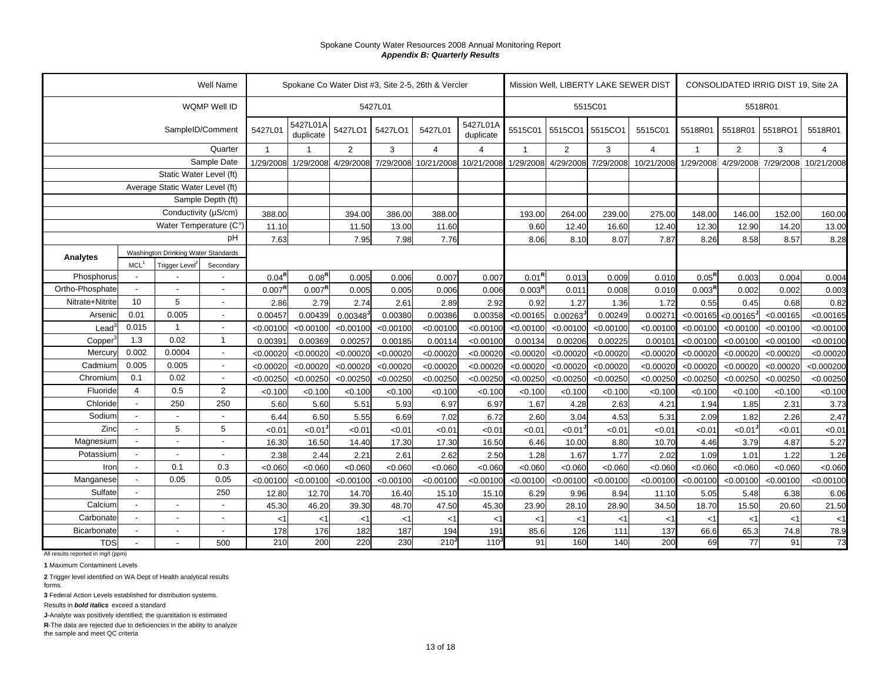|                 |                  |                                     | Well Name                |                    |                       |           |           | Spokane Co Water Dist #3, Site 2-5, 26th & Vercler |                       |                    |           | Mission Well, LIBERTY LAKE SEWER DIST |            |                    | CONSOLIDATED IRRIG DIST 19, Site 2A<br>5518R01<br>5518R01<br>2<br>4/29/2008 7/29/2008<br>146.00<br>12.90<br>8.58<br>0.003<br>0.002<br>0.45<br>< 0.00165<br>< 0.00100<br>< 0.00100<br>< 0.00020<br>< 0.00020<br>< 0.00250<br>< 0.100<br>1.85<br>1.82<br>$< 0.01$ <sup>J</sup><br>3.79<br>1.01<br><0.060<br>< 0.00100<br>5.48<br>15.50 |           |                |  |
|-----------------|------------------|-------------------------------------|--------------------------|--------------------|-----------------------|-----------|-----------|----------------------------------------------------|-----------------------|--------------------|-----------|---------------------------------------|------------|--------------------|--------------------------------------------------------------------------------------------------------------------------------------------------------------------------------------------------------------------------------------------------------------------------------------------------------------------------------------|-----------|----------------|--|
|                 |                  |                                     | WQMP Well ID             |                    |                       |           | 5427L01   |                                                    |                       |                    |           | 5515C01                               |            |                    |                                                                                                                                                                                                                                                                                                                                      |           |                |  |
|                 |                  |                                     | SampleID/Comment         | 5427L01            | 5427L01A<br>duplicate | 5427LO1   | 5427LO1   | 5427L01                                            | 5427L01A<br>duplicate | 5515C01            | 5515CO1   | 5515CO1                               | 5515C01    | 5518R01            |                                                                                                                                                                                                                                                                                                                                      | 5518RO1   | 5518R01        |  |
|                 |                  |                                     | Quarter                  | $\overline{1}$     |                       | 2         | 3         | $\overline{4}$                                     | $\overline{a}$        |                    | 2         | 3                                     | $\Delta$   | $\overline{1}$     |                                                                                                                                                                                                                                                                                                                                      | 3         | $\overline{4}$ |  |
|                 |                  |                                     | Sample Date              | 1/29/2008          | 1/29/2008             | 4/29/2008 | 7/29/2008 | 10/21/2008                                         | 10/21/2008            | 1/29/2008          | 4/29/2008 | 7/29/2008                             | 10/21/2008 | 1/29/2008          |                                                                                                                                                                                                                                                                                                                                      |           | 10/21/2008     |  |
|                 |                  | Static Water Level (ft)             |                          |                    |                       |           |           |                                                    |                       |                    |           |                                       |            |                    |                                                                                                                                                                                                                                                                                                                                      |           |                |  |
|                 |                  | Average Static Water Level (ft)     |                          |                    |                       |           |           |                                                    |                       |                    |           |                                       |            |                    |                                                                                                                                                                                                                                                                                                                                      |           |                |  |
|                 |                  |                                     | Sample Depth (ft)        |                    |                       |           |           |                                                    |                       |                    |           |                                       |            |                    |                                                                                                                                                                                                                                                                                                                                      |           |                |  |
|                 |                  | Conductivity (µS/cm)                |                          | 388.00             |                       | 394.00    | 386.00    | 388.00                                             |                       | 193.00             | 264.00    | 239.00                                | 275.00     | 148.00             |                                                                                                                                                                                                                                                                                                                                      | 152.00    | 160.00         |  |
|                 |                  | Water Temperature (C°)              |                          | 11.10              |                       | 11.50     | 13.00     | 11.60                                              |                       | 9.60               | 12.40     | 16.60                                 | 12.40      | 12.30              |                                                                                                                                                                                                                                                                                                                                      | 14.20     | 13.00          |  |
|                 |                  |                                     | pH                       | 7.63               |                       | 7.95      | 7.98      | 7.76                                               |                       | 8.06               | 8.10      | 8.07                                  | 7.87       | 8.26               |                                                                                                                                                                                                                                                                                                                                      | 8.57      | 8.28           |  |
| Analytes        |                  | Washington Drinking Water Standards |                          |                    |                       |           |           |                                                    |                       |                    |           |                                       |            |                    |                                                                                                                                                                                                                                                                                                                                      |           |                |  |
|                 | MCL <sup>1</sup> | Trigger Level                       | Secondary                |                    |                       |           |           |                                                    |                       |                    |           |                                       |            |                    |                                                                                                                                                                                                                                                                                                                                      |           |                |  |
| Phosphorus      |                  |                                     |                          | $0.04^{R}$         | $0.08^{R}$            | 0.005     | 0.006     | 0.007                                              | 0.007                 | $0.01^{R}$         | 0.013     | 0.009                                 | 0.010      | $0.05^{R}$         |                                                                                                                                                                                                                                                                                                                                      | 0.004     | 0.004          |  |
| Ortho-Phosphate |                  | $\overline{a}$                      |                          | 0.007 <sup>F</sup> | 0.007 <sup>R</sup>    | 0.005     | 0.005     | 0.006                                              | 0.006                 | 0.003 <sup>R</sup> | 0.011     | 0.008                                 | 0.010      | 0.003 <sup>R</sup> |                                                                                                                                                                                                                                                                                                                                      | 0.002     | 0.003          |  |
| Nitrate+Nitrite | 10               | 5                                   | $\blacksquare$           | 2.86               | 2.79                  | 2.74      | 2.61      | 2.89                                               | 2.92                  | 0.92               | 1.27      | 1.36                                  | 1.72       | 0.55               |                                                                                                                                                                                                                                                                                                                                      | 0.68      | 0.82           |  |
| Arsenic         | 0.01             | 0.005                               | $\overline{a}$           | 0.00457            | 0.00439               | 0.00348   | 0.00380   | 0.00386                                            | 0.00358               | < 0.00165          | 0.00263   | 0.00249                               | 0.0027'    | < 0.00165          |                                                                                                                                                                                                                                                                                                                                      | < 0.00165 | < 0.00165      |  |
| $\text{Lead}^3$ | 0.015            | $\overline{1}$                      | $\blacksquare$           | < 0.00100          | < 0.00100             | < 0.00100 | < 0.00100 | < 0.00100                                          | < 0.00100             | < 0.00100          | < 0.00100 | < 0.00100                             | < 0.00100  | < 0.00100          |                                                                                                                                                                                                                                                                                                                                      | < 0.00100 | < 0.00100      |  |
| Copper          | 1.3              | 0.02                                | $\overline{1}$           | 0.00391            | 0.00369               | 0.00257   | 0.00185   | 0.00114                                            | < 0.00100             | 0.00134            | 0.00206   | 0.00225                               | 0.00101    | < 0.00100          |                                                                                                                                                                                                                                                                                                                                      | < 0.00100 | < 0.00100      |  |
| Mercury         | 0.002            | 0.0004                              | $\blacksquare$           | < 0.00020          | < 0.00020             | < 0.00020 | < 0.00020 | < 0.00020                                          | < 0.00020             | < 0.00020          | < 0.00020 | < 0.00020                             | < 0.00020  | < 0.00020          |                                                                                                                                                                                                                                                                                                                                      | < 0.00020 | < 0.00020      |  |
| Cadmium         | 0.005            | 0.005                               | $\overline{\phantom{a}}$ | < 0.00020          | < 0.00020             | < 0.00020 | < 0.00020 | < 0.00020                                          | < 0.00020             | < 0.00020          | < 0.00020 | < 0.00020                             | < 0.00020  | < 0.00020          |                                                                                                                                                                                                                                                                                                                                      | < 0.00020 | < 0.000200     |  |
| Chromium        | 0.1              | 0.02                                | $\blacksquare$           | < 0.00250          | < 0.00250             | < 0.00250 | < 0.00250 | < 0.00250                                          | < 0.00250             | < 0.00250          | < 0.00250 | < 0.00250                             | < 0.00250  | < 0.00250          |                                                                                                                                                                                                                                                                                                                                      | < 0.00250 | < 0.00250      |  |
| Fluoride        | $\overline{4}$   | 0.5                                 | $\overline{2}$           | < 0.100            | < 0.100               | < 0.100   | < 0.100   | < 0.100                                            | < 0.100               | < 0.100            | < 0.100   | < 0.100                               | < 0.100    | < 0.100            |                                                                                                                                                                                                                                                                                                                                      | < 0.100   | < 0.100        |  |
| Chloride        | $\blacksquare$   | 250                                 | 250                      | 5.60               | 5.60                  | 5.51      | 5.93      | 6.97                                               | 6.97                  | 1.67               | 4.28      | 2.63                                  | 4.21       | 1.94               |                                                                                                                                                                                                                                                                                                                                      | 2.31      | 3.73           |  |
| Sodium          |                  | $\overline{\phantom{a}}$            |                          | 6.44               | 6.50                  | 5.55      | 6.69      | 7.02                                               | 6.72                  | 2.60               | 3.04      | 4.53                                  | 5.31       | 2.09               |                                                                                                                                                                                                                                                                                                                                      | 2.26      | 2.47           |  |
| Zinc            | $\blacksquare$   | 5                                   | 5                        | <0.01              | < 0.01                | < 0.01    | < 0.01    | < 0.01                                             | < 0.01                | < 0.01             | 0.01      | < 0.01                                | < 0.01     | <0.01              |                                                                                                                                                                                                                                                                                                                                      | < 0.01    | < 0.01         |  |
| Magnesium       |                  | $\overline{\phantom{a}}$            |                          | 16.30              | 16.50                 | 14.40     | 17.30     | 17.30                                              | 16.50                 | 6.46               | 10.00     | 8.80                                  | 10.70      | 4.46               |                                                                                                                                                                                                                                                                                                                                      | 4.87      | 5.27           |  |
| Potassium       | $\blacksquare$   | $\overline{\phantom{a}}$            |                          | 2.38               | 2.44                  | 2.21      | 2.61      | 2.62                                               | 2.50                  | 1.28               | 1.67      | 1.77                                  | 2.02       | 1.09               |                                                                                                                                                                                                                                                                                                                                      | 1.22      | 1.26           |  |
| Iron            | $\blacksquare$   | 0.1                                 | 0.3                      | < 0.060            | <0.060                | <0.060    | <0.060    | <0.060                                             | <0.060                | <0.060             | <0.060    | <0.060                                | <0.060     | <0.060             |                                                                                                                                                                                                                                                                                                                                      | <0.060    | <0.060         |  |
| Manganese       |                  | 0.05                                | 0.05                     | < 0.00100          | < 0.00100             | < 0.00100 | < 0.00100 | < 0.00100                                          | < 0.00100             | < 0.00100          | < 0.00100 | < 0.00100                             | < 0.00100  | < 0.00100          |                                                                                                                                                                                                                                                                                                                                      | < 0.00100 | < 0.00100      |  |
| Sulfate         | $\blacksquare$   |                                     | 250                      | 12.80              | 12.70                 | 14.70     | 16.40     | 15.10                                              | 15.10                 | 6.29               | 9.96      | 8.94                                  | 11.10      | 5.05               |                                                                                                                                                                                                                                                                                                                                      | 6.38      | 6.06           |  |
| Calcium         |                  | $\overline{\phantom{a}}$            |                          | 45.30              | 46.20                 | 39.30     | 48.70     | 47.50                                              | 45.30                 | 23.90              | 28.10     | 28.90                                 | 34.50      | 18.70              |                                                                                                                                                                                                                                                                                                                                      | 20.60     | 21.50          |  |
| Carbonate       | $\blacksquare$   | $\overline{\phantom{a}}$            |                          | $<$ 1              | $<$ 1                 | $<$ 1     | $<$ 1     | < 1                                                | $<$ 1                 | $<$ 1              | < 1       | < 1                                   | $<$ 1      | $<$ 1              | < 1                                                                                                                                                                                                                                                                                                                                  | <1        | $<$ 1          |  |
| Bicarbonate     |                  | $\overline{\phantom{a}}$            |                          | 178                | 176                   | 182       | 187       | 194                                                | 191                   | 85.6               | 126       | 111                                   | 137        | 66.6               | 65.3                                                                                                                                                                                                                                                                                                                                 | 74.8      | 78.9           |  |
| <b>TDS</b>      | $\mathbf{r}$     |                                     | 500                      | 210                | 200                   | 220       | 230       | 210 <sup>1</sup>                                   | 110 <sup>J</sup>      | 91                 | 160       | 140                                   | 200        | 69                 | 77                                                                                                                                                                                                                                                                                                                                   | 91        | 73             |  |

All results reported in mg/l (ppm)

**1** Maximum Contaminent Levels

**2** Trigger level identified on WA Dept of Health analytical results forms.

**3** Federal Action Levels established for distribution systems.

Results in *bold italics* exceed a standard

**J**-Analyte was positively identified; the quantitation is estimated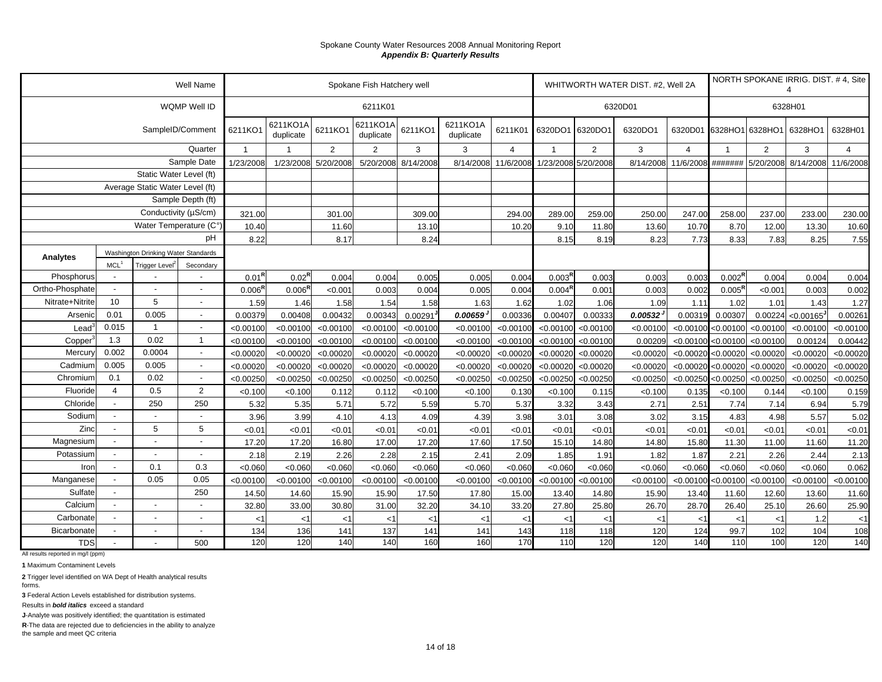|                                    |                          |                                     | Well Name                |                    |                       |                 | Spokane Fish Hatchery well |                 |                       |                 |                    |                     | WHITWORTH WATER DIST. #2, Well 2A |                     | 6328H01<br>6320D01 6328HO1<br>6328HO1<br>2<br>$\overline{1}$<br>#######<br>5/20/2008<br>237.00<br>258.00<br>8.70<br>12.00<br>8.33<br>7.83<br>$0.002^{\text{R}}$<br>0.004<br>$0.005^R$<br>< 0.001<br>1.02<br>1.01<br>0.00307<br>0.00224<br>< 0.00100<br>< 0.00100<br>< 0.00100<br>< 0.00100<br>$< 0.00020$ <0.00020<br>$< 0.00020$ < 0.00020<br>< 0.00250<br>< 0.00250<br>< 0.100<br>0.144<br>7.74<br>7.14<br>4.83<br>4.98<br>< 0.01<br>< 0.01<br>11.30<br>11.00 |           | NORTH SPOKANE IRRIG. DIST. #4, Site |                |  |
|------------------------------------|--------------------------|-------------------------------------|--------------------------|--------------------|-----------------------|-----------------|----------------------------|-----------------|-----------------------|-----------------|--------------------|---------------------|-----------------------------------|---------------------|-----------------------------------------------------------------------------------------------------------------------------------------------------------------------------------------------------------------------------------------------------------------------------------------------------------------------------------------------------------------------------------------------------------------------------------------------------------------|-----------|-------------------------------------|----------------|--|
|                                    |                          |                                     | WQMP Well ID             |                    |                       |                 | 6211K01                    |                 |                       |                 |                    |                     | 6320D01                           |                     |                                                                                                                                                                                                                                                                                                                                                                                                                                                                 |           |                                     |                |  |
|                                    |                          |                                     | SampleID/Comment         | 6211KO1            | 6211KO1A<br>duplicate | 6211KO1         | 6211KO1A<br>duplicate      | 6211KO1         | 6211KO1A<br>duplicate | 6211K01         | 6320DO1            | 6320DO1             | 6320DO1                           |                     |                                                                                                                                                                                                                                                                                                                                                                                                                                                                 |           | 6328HO1                             | 6328H01        |  |
|                                    |                          |                                     | Quarter                  | $\overline{1}$     |                       | 2               | $\overline{2}$             | 3               | 3                     | $\overline{4}$  | $\overline{1}$     | $\overline{2}$      | 3                                 | $\overline{4}$      |                                                                                                                                                                                                                                                                                                                                                                                                                                                                 |           | 3                                   | $\overline{4}$ |  |
|                                    |                          |                                     | Sample Date              | 1/23/2008          | 1/23/2008             | 5/20/2008       | 5/20/2008                  | 8/14/2008       | 8/14/2008             | 11/6/2008       |                    | 1/23/2008 5/20/2008 |                                   | 8/14/2008 11/6/2008 |                                                                                                                                                                                                                                                                                                                                                                                                                                                                 |           | 8/14/2008                           | 11/6/2008      |  |
|                                    |                          | Static Water Level (ft)             |                          |                    |                       |                 |                            |                 |                       |                 |                    |                     |                                   |                     |                                                                                                                                                                                                                                                                                                                                                                                                                                                                 |           |                                     |                |  |
|                                    |                          | Average Static Water Level (ft)     |                          |                    |                       |                 |                            |                 |                       |                 |                    |                     |                                   |                     |                                                                                                                                                                                                                                                                                                                                                                                                                                                                 |           |                                     |                |  |
|                                    |                          |                                     | Sample Depth (ft)        |                    |                       |                 |                            |                 |                       |                 |                    |                     |                                   |                     |                                                                                                                                                                                                                                                                                                                                                                                                                                                                 |           |                                     |                |  |
|                                    |                          | Conductivity (µS/cm)                |                          | 321.00             |                       | 301.00          |                            | 309.00          |                       | 294.00          | 289.00             | 259.00              | 250.00                            | 247.00              |                                                                                                                                                                                                                                                                                                                                                                                                                                                                 |           | 233.00                              | 230.00         |  |
|                                    |                          | Water Temperature (C°)              |                          | 10.40              |                       | 11.60           |                            | 13.10           |                       | 10.20           | 9.10               | 11.80               | 13.60                             | 10.70               |                                                                                                                                                                                                                                                                                                                                                                                                                                                                 |           | 13.30                               | 10.60          |  |
|                                    |                          |                                     | pH                       | 8.22               |                       | 8.17            |                            | 8.24            |                       |                 | 8.15               | 8.19                | 8.23                              | 7.73                |                                                                                                                                                                                                                                                                                                                                                                                                                                                                 |           | 8.25                                | 7.55           |  |
| Analytes                           |                          | Washington Drinking Water Standards |                          |                    |                       |                 |                            |                 |                       |                 |                    |                     |                                   |                     |                                                                                                                                                                                                                                                                                                                                                                                                                                                                 |           |                                     |                |  |
|                                    | MCL <sup>1</sup>         | Trigger Level <sup>2</sup>          | Secondary                |                    |                       |                 |                            |                 |                       |                 |                    |                     |                                   |                     |                                                                                                                                                                                                                                                                                                                                                                                                                                                                 |           |                                     |                |  |
| Phosphorus                         | $\overline{\phantom{a}}$ |                                     | $\overline{a}$           | $0.01^{R}$         | $0.02^{\text{R}}$     | 0.004           | 0.004                      | 0.005           | 0.005                 | 0.004           | 0.003 <sup>F</sup> | 0.003               | 0.003                             | 0.003               |                                                                                                                                                                                                                                                                                                                                                                                                                                                                 |           | 0.004                               | 0.004          |  |
| Ortho-Phosphate<br>Nitrate+Nitrite | 10                       | 5                                   | $\blacksquare$           | 0.006 <sup>R</sup> | $0.006^{\text{R}}$    | < 0.001         | 0.003                      | 0.004           | 0.005                 | 0.004           | 0.004 <sup>R</sup> | 0.001               | 0.003                             | 0.002               |                                                                                                                                                                                                                                                                                                                                                                                                                                                                 |           | 0.003                               | 0.002          |  |
| Arsenic                            | 0.01                     | 0.005                               | $\overline{\phantom{a}}$ | 1.59<br>0.00379    | 1.46<br>0.00408       | 1.58<br>0.00432 | 1.54<br>0.00343            | 1.58<br>0.00291 | 1.63<br>0.00659       | 1.62<br>0.00336 | 1.02<br>0.00407    | 1.06<br>0.00333     | 1.09<br>0.00532                   | 1.11<br>0.00319     |                                                                                                                                                                                                                                                                                                                                                                                                                                                                 |           | 1.43<br>< 0.00165                   | 1.27<br>0.0026 |  |
| Lead                               | 0.015                    | $\overline{1}$                      | $\overline{\phantom{a}}$ | < 0.00100          | < 0.00100             | < 0.00100       | < 0.00100                  | < 0.00100       | < 0.00100             | < 0.00100       | < 0.00100          | < 0.00100           | < 0.00100                         | < 0.00100           |                                                                                                                                                                                                                                                                                                                                                                                                                                                                 |           | < 0.00100                           | < 0.00100      |  |
| Copper                             | 1.3                      | 0.02                                | $\overline{1}$           | < 0.00100          | < 0.00100             | < 0.00100       | < 0.00100                  | < 0.00100       | < 0.00100             | < 0.00100       | < 0.00100          | < 0.00100           | 0.00209                           | < 0.00100           |                                                                                                                                                                                                                                                                                                                                                                                                                                                                 |           | 0.00124                             | 0.00442        |  |
| Mercury                            | 0.002                    | 0.0004                              | $\overline{\phantom{a}}$ | < 0.00020          | < 0.00020             | < 0.00020       | < 0.00020                  | < 0.00020       | < 0.00020             | < 0.00020       | < 0.00020          | < 0.00020           | < 0.00020                         | < 0.00020           |                                                                                                                                                                                                                                                                                                                                                                                                                                                                 |           | < 0.00020                           | < 0.00020      |  |
| Cadmium                            | 0.005                    | 0.005                               | $\sim$                   | < 0.00020          | < 0.00020             | < 0.00020       | < 0.00020                  | < 0.00020       | < 0.00020             | < 0.00020       | < 0.00020          | < 0.00020           | < 0.00020                         | < 0.00020           |                                                                                                                                                                                                                                                                                                                                                                                                                                                                 |           | < 0.00020                           | < 0.00020      |  |
| Chromium                           | 0.1                      | 0.02                                | $\sim$                   | < 0.00250          | < 0.00250             | < 0.00250       | < 0.00250                  | < 0.00250       | < 0.00250             | < 0.00250       | < 0.00250          | < 0.00250           | < 0.00250                         | < 0.00250           |                                                                                                                                                                                                                                                                                                                                                                                                                                                                 |           | < 0.00250                           | < 0.00250      |  |
| Fluoride                           | $\overline{4}$           | 0.5                                 | $\overline{2}$           | < 0.100            | < 0.100               | 0.112           | 0.112                      | < 0.100         | < 0.100               | 0.130           | < 0.100            | 0.115               | < 0.100                           | 0.135               |                                                                                                                                                                                                                                                                                                                                                                                                                                                                 |           | < 0.100                             | 0.159          |  |
| Chloride                           | $\overline{\phantom{a}}$ | 250                                 | 250                      | 5.32               | 5.35                  | 5.71            | 5.72                       | 5.59            | 5.70                  | 5.37            | 3.32               | 3.43                | 2.71                              | 2.51                |                                                                                                                                                                                                                                                                                                                                                                                                                                                                 |           | 6.94                                | 5.79           |  |
| Sodium                             |                          |                                     |                          | 3.96               | 3.99                  | 4.10            | 4.13                       | 4.09            | 4.39                  | 3.98            | 3.01               | 3.08                | 3.02                              | 3.15                |                                                                                                                                                                                                                                                                                                                                                                                                                                                                 |           | 5.57                                | 5.02           |  |
| Zinc                               | $\overline{a}$           | 5                                   | 5                        | < 0.01             | < 0.01                | < 0.01          | < 0.01                     | < 0.01          | < 0.01                | < 0.01          | < 0.01             | < 0.01              | < 0.01                            | < 0.01              |                                                                                                                                                                                                                                                                                                                                                                                                                                                                 |           | < 0.01                              | < 0.01         |  |
| Magnesium                          |                          |                                     | $\overline{\phantom{0}}$ | 17.20              | 17.20                 | 16.80           | 17.00                      | 17.20           | 17.60                 | 17.50           | 15.10              | 14.80               | 14.80                             | 15.80               |                                                                                                                                                                                                                                                                                                                                                                                                                                                                 |           | 11.60                               | 11.20          |  |
| Potassium                          |                          |                                     | $\blacksquare$           | 2.18               | 2.19                  | 2.26            | 2.28                       | 2.15            | 2.41                  | 2.09            | 1.85               | 1.91                | 1.82                              | 1.87                | 2.21                                                                                                                                                                                                                                                                                                                                                                                                                                                            | 2.26      | 2.44                                | 2.13           |  |
| Iron                               | $\overline{\phantom{a}}$ | 0.1                                 | 0.3                      | < 0.060            | < 0.060               | < 0.060         | < 0.060                    | < 0.060         | < 0.060               | < 0.060         | < 0.060            | < 0.060             | < 0.060                           | < 0.060             | < 0.060                                                                                                                                                                                                                                                                                                                                                                                                                                                         | < 0.060   | < 0.060                             | 0.062          |  |
| Manganese                          | $\overline{a}$           | 0.05                                | 0.05                     | < 0.00100          | < 0.00100             | < 0.00100       | < 0.00100                  | < 0.00100       | < 0.00100             | < 0.00100       | < 0.00100          | < 0.00100           | < 0.00100                         | < 0.00100           | < 0.00100                                                                                                                                                                                                                                                                                                                                                                                                                                                       | < 0.00100 | < 0.00100                           | < 0.00100      |  |
| Sulfate                            | $\overline{\phantom{a}}$ |                                     | 250                      | 14.50              | 14.60                 | 15.90           | 15.90                      | 17.50           | 17.80                 | 15.00           | 13.40              | 14.80               | 15.90                             | 13.40               | 11.60                                                                                                                                                                                                                                                                                                                                                                                                                                                           | 12.60     | 13.60                               | 11.60          |  |
| Calcium                            | $\overline{\phantom{a}}$ |                                     | $\blacksquare$           | 32.80              | 33.00                 | 30.80           | 31.00                      | 32.20           | 34.10                 | 33.20           | 27.80              | 25.80               | 26.70                             | 28.70               | 26.40                                                                                                                                                                                                                                                                                                                                                                                                                                                           | 25.10     | 26.60                               | 25.90          |  |
| Carbonate                          | $\mathbf{r}$             |                                     | $\blacksquare$           | $<$ 1              | $<$ 1                 | $\lt'$          | $<$ 1                      | $<$ 1           | $<$ 1                 | $<$ 1           | $<$ 1              | $<$ 1               | $<$ 1                             | $<$ 1               | $<$ 1                                                                                                                                                                                                                                                                                                                                                                                                                                                           | <1        | 1.2                                 | $<$ 1          |  |
| Bicarbonate                        | $\overline{\phantom{a}}$ | $\overline{a}$                      | $\blacksquare$           | 134                | 136                   | 141             | 137                        | 141             | 141                   | 143             | 118                | 118                 | 120                               | 124                 | 99.7                                                                                                                                                                                                                                                                                                                                                                                                                                                            | 102       | 104                                 | 108            |  |
| <b>TDS</b>                         |                          |                                     | 500                      | 120                | 120                   | 140             | 140                        | 160             | 160                   | 170             | 110                | 120                 | 120                               | 140                 | 110                                                                                                                                                                                                                                                                                                                                                                                                                                                             | 100       | 120                                 | 140            |  |

All results reported in mg/l (ppm)

**1** Maximum Contaminent Levels

**2** Trigger level identified on WA Dept of Health analytical results forms.

**3** Federal Action Levels established for distribution systems.

Results in *bold italics* exceed a standard

**J**-Analyte was positively identified; the quantitation is estimated

**R**-The data are rejected due to deficiencies in the ability to analyze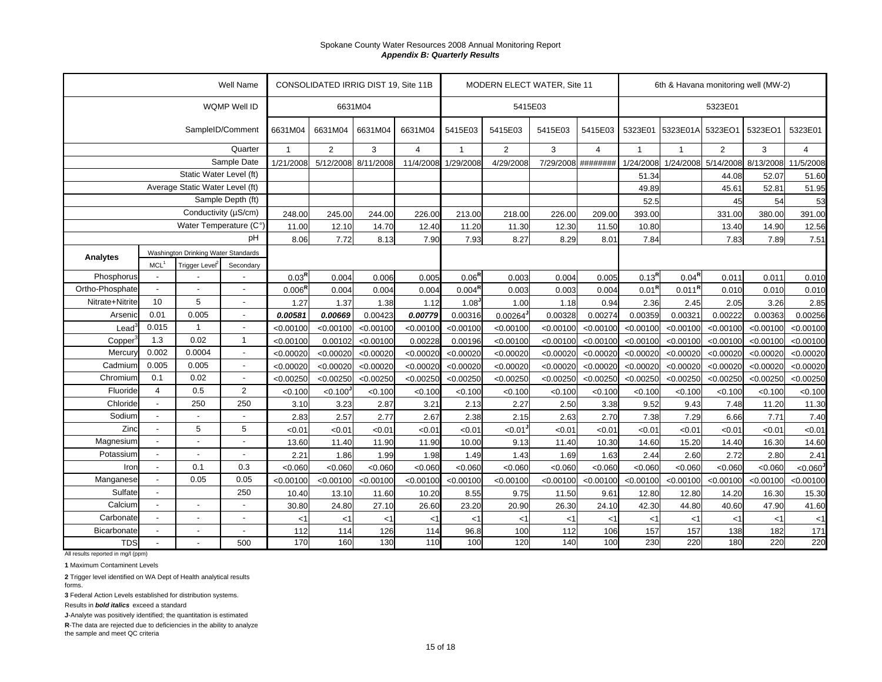|                 |                          |                                     | <b>Well Name</b>         |                    | CONSOLIDATED IRRIG DIST 19, Site 11B |           |                |                    |                       | MODERN ELECT WATER, Site 11 |                |              |           | 6th & Havana monitoring well (MW-2)<br>5323E01<br>5323EO1<br>5323EO1<br>$\overline{2}$<br>3<br>$\overline{1}$<br>5/14/2008<br>8/13/2008<br>44.08<br>52.07<br>52.81<br>45.61<br>45<br>54<br>331.00<br>380.00<br>13.40<br>14.90<br>7.83<br>7.89<br>$0.04^{\sf R}$<br>0.011<br>0.011<br>0.011 <sup>R</sup><br>0.010<br>0.010<br>2.05<br>3.26<br>2.45<br>0.00321<br>0.00222<br>0.00363<br>< 0.00100<br>< 0.00100<br>< 0.00100<br>< 0.00100<br>< 0.00020<br>< 0.00020<br>< 0.00020<br>< 0.00020<br>< 0.00250<br>< 0.00250<br>< 0.100<br>< 0.100<br>< 0.100 |           |                |
|-----------------|--------------------------|-------------------------------------|--------------------------|--------------------|--------------------------------------|-----------|----------------|--------------------|-----------------------|-----------------------------|----------------|--------------|-----------|-------------------------------------------------------------------------------------------------------------------------------------------------------------------------------------------------------------------------------------------------------------------------------------------------------------------------------------------------------------------------------------------------------------------------------------------------------------------------------------------------------------------------------------------------------|-----------|----------------|
|                 |                          |                                     | WQMP Well ID             |                    |                                      | 6631M04   |                |                    | 5415E03               |                             |                |              |           |                                                                                                                                                                                                                                                                                                                                                                                                                                                                                                                                                       |           |                |
|                 |                          | SampleID/Comment                    |                          | 6631M04            | 6631M04                              | 6631M04   | 6631M04        | 5415E03            | 5415E03               | 5415E03                     | 5415E03        | 5323E01      | 5323E01A  |                                                                                                                                                                                                                                                                                                                                                                                                                                                                                                                                                       |           | 5323E01        |
|                 |                          |                                     | Quarter                  | $\overline{1}$     | $\overline{2}$                       | 3         | $\overline{4}$ |                    | $\overline{2}$        | 3                           | $\overline{4}$ | $\mathbf{1}$ |           |                                                                                                                                                                                                                                                                                                                                                                                                                                                                                                                                                       |           | $\overline{4}$ |
|                 |                          |                                     | Sample Date              | 1/21/2008          | 5/12/2008                            | 8/11/2008 | 11/4/2008      | 1/29/2008          | 4/29/2008             | 7/29/2008 ########          |                | 1/24/2008    | 1/24/2008 |                                                                                                                                                                                                                                                                                                                                                                                                                                                                                                                                                       |           | 11/5/2008      |
|                 |                          | Static Water Level (ft)             |                          |                    |                                      |           |                |                    |                       |                             |                | 51.34        |           |                                                                                                                                                                                                                                                                                                                                                                                                                                                                                                                                                       |           | 51.60          |
|                 |                          | Average Static Water Level (ft)     |                          |                    |                                      |           |                |                    |                       |                             |                | 49.89        |           |                                                                                                                                                                                                                                                                                                                                                                                                                                                                                                                                                       |           | 51.95          |
|                 |                          |                                     | Sample Depth (ft)        |                    |                                      |           |                |                    |                       |                             |                | 52.5         |           |                                                                                                                                                                                                                                                                                                                                                                                                                                                                                                                                                       |           | 53             |
|                 |                          | Conductivity (µS/cm)                |                          | 248.00             | 245.00                               | 244.00    | 226.00         | 213.00             | 218.00                | 226.00                      | 209.00         | 393.00       |           |                                                                                                                                                                                                                                                                                                                                                                                                                                                                                                                                                       |           | 391.00         |
|                 |                          | Water Temperature (C°)              |                          | 11.00              | 12.10                                | 14.70     | 12.40          | 11.20              | 11.30                 | 12.30                       | 11.50          | 10.80        |           |                                                                                                                                                                                                                                                                                                                                                                                                                                                                                                                                                       |           | 12.56          |
|                 |                          |                                     | pH                       | 8.06               | 7.72                                 | 8.13      | 7.90           | 7.93               | 8.27                  | 8.29                        | 8.01           | 7.84         |           |                                                                                                                                                                                                                                                                                                                                                                                                                                                                                                                                                       |           | 7.51           |
| Analytes        |                          | Washington Drinking Water Standards |                          |                    |                                      |           |                |                    |                       |                             |                |              |           |                                                                                                                                                                                                                                                                                                                                                                                                                                                                                                                                                       |           |                |
|                 | MCL <sup>1</sup>         | Trigger Level <sup>2</sup>          | Secondary                |                    |                                      |           |                |                    |                       |                             |                |              |           |                                                                                                                                                                                                                                                                                                                                                                                                                                                                                                                                                       |           |                |
| Phosphorus      | $\overline{\phantom{a}}$ |                                     |                          | $0.03^{R}$         | 0.004                                | 0.006     | 0.005          | $0.06^{R}$         | 0.003                 | 0.004                       | 0.005          | $0.13^{R}$   |           |                                                                                                                                                                                                                                                                                                                                                                                                                                                                                                                                                       |           | 0.01C          |
| Ortho-Phosphate | $\overline{\phantom{a}}$ | $\overline{a}$                      | $\blacksquare$           | $0.006^{\text{R}}$ | 0.004                                | 0.004     | 0.004          | 0.004 <sup>R</sup> | 0.003                 | 0.003                       | 0.004          | $0.01^{R}$   |           |                                                                                                                                                                                                                                                                                                                                                                                                                                                                                                                                                       |           | 0.01C          |
| Nitrate+Nitrite | 10                       | 5                                   | $\blacksquare$           | 1.27               | 1.37                                 | 1.38      | 1.12           | 1.08               | 1.00                  | 1.18                        | 0.94           | 2.36         |           |                                                                                                                                                                                                                                                                                                                                                                                                                                                                                                                                                       |           | 2.85           |
| Arsenic         | 0.01                     | 0.005                               | $\overline{\phantom{a}}$ | 0.00581            | 0.00669                              | 0.00423   | 0.00779        | 0.00316            | 0.00264               | 0.00328                     | 0.00274        | 0.00359      |           |                                                                                                                                                                                                                                                                                                                                                                                                                                                                                                                                                       |           | 0.00256        |
| Lead            | 0.015                    | $\mathbf{1}$                        | $\blacksquare$           | < 0.00100          | < 0.00100                            | < 0.00100 | < 0.00100      | < 0.00100          | < 0.00100             | < 0.00100                   | < 0.00100      | < 0.00100    | < 0.00100 |                                                                                                                                                                                                                                                                                                                                                                                                                                                                                                                                                       |           | < 0.00100      |
| Copper          | 1.3                      | 0.02                                | $\mathbf{1}$             | < 0.00100          | 0.00102                              | < 0.00100 | 0.00228        | 0.00196            | < 0.00100             | < 0.00100                   | < 0.00100      | < 0.00100    | < 0.00100 |                                                                                                                                                                                                                                                                                                                                                                                                                                                                                                                                                       |           | < 0.00100      |
| Mercun          | 0.002                    | 0.0004                              | $\blacksquare$           | < 0.00020          | < 0.00020                            | < 0.00020 | < 0.00020      | < 0.00020          | < 0.00020             | < 0.00020                   | < 0.00020      | < 0.00020    | < 0.00020 |                                                                                                                                                                                                                                                                                                                                                                                                                                                                                                                                                       |           | < 0.00020      |
| Cadmium         | 0.005                    | 0.005                               | $\blacksquare$           | < 0.00020          | < 0.00020                            | < 0.00020 | < 0.00020      | < 0.00020          | < 0.00020             | < 0.00020                   | < 0.00020      | < 0.00020    | < 0.00020 |                                                                                                                                                                                                                                                                                                                                                                                                                                                                                                                                                       |           | < 0.00020      |
| Chromium        | 0.1                      | 0.02                                | $\blacksquare$           | < 0.00250          | < 0.00250                            | < 0.00250 | < 0.00250      | < 0.00250          | < 0.00250             | < 0.00250                   | < 0.00250      | < 0.00250    | < 0.00250 |                                                                                                                                                                                                                                                                                                                                                                                                                                                                                                                                                       |           | < 0.00250      |
| Fluoride        | $\overline{4}$           | 0.5                                 | $\overline{2}$           | < 0.100            | < 0.100                              | < 0.100   | < 0.100        | < 0.100            | < 0.100               | < 0.100                     | < 0.100        | < 0.100      |           |                                                                                                                                                                                                                                                                                                                                                                                                                                                                                                                                                       |           | < 0.100        |
| Chloride        | $\overline{\phantom{0}}$ | 250                                 | 250                      | 3.10               | 3.23                                 | 2.87      | 3.21           | 2.13               | 2.27                  | 2.50                        | 3.38           | 9.52         | 9.43      | 7.48                                                                                                                                                                                                                                                                                                                                                                                                                                                                                                                                                  | 11.20     | 11.30          |
| Sodium          | $\blacksquare$           | $\blacksquare$                      | $\overline{\phantom{a}}$ | 2.83               | 2.57                                 | 2.77      | 2.67           | 2.38               | 2.15                  | 2.63                        | 2.70           | 7.38         | 7.29      | 6.66                                                                                                                                                                                                                                                                                                                                                                                                                                                                                                                                                  | 7.71      | 7.40           |
| Zinc            | $\blacksquare$           | 5                                   | 5                        | < 0.01             | < 0.01                               | <0.01     | <0.01          | < 0.01             | $< 0.01$ <sup>J</sup> | < 0.01                      | < 0.01         | < 0.01       | < 0.01    | < 0.01                                                                                                                                                                                                                                                                                                                                                                                                                                                                                                                                                | < 0.01    | < 0.01         |
| Magnesium       | $\overline{a}$           | $\overline{a}$                      | ÷,                       | 13.60              | 11.40                                | 11.90     | 11.90          | 10.00              | 9.13                  | 11.40                       | 10.30          | 14.60        | 15.20     | 14.40                                                                                                                                                                                                                                                                                                                                                                                                                                                                                                                                                 | 16.30     | 14.60          |
| Potassium       |                          | $\overline{a}$                      |                          | 2.21               | 1.86                                 | 1.99      | 1.98           | 1.49               | 1.43                  | 1.69                        | 1.63           | 2.44         | 2.60      | 2.72                                                                                                                                                                                                                                                                                                                                                                                                                                                                                                                                                  | 2.80      | 2.41           |
| Iron            | $\blacksquare$           | 0.1                                 | 0.3                      | < 0.060            | < 0.060                              | < 0.060   | < 0.060        | < 0.060            | < 0.060               | < 0.060                     | < 0.060        | < 0.060      | < 0.060   | < 0.060                                                                                                                                                                                                                                                                                                                                                                                                                                                                                                                                               | < 0.060   | < 0.060        |
| Manganese       |                          | 0.05                                | 0.05                     | < 0.00100          | < 0.00100                            | < 0.00100 | < 0.00100      | < 0.00100          | < 0.00100             | < 0.00100                   | < 0.00100      | < 0.00100    | < 0.00100 | < 0.00100                                                                                                                                                                                                                                                                                                                                                                                                                                                                                                                                             | < 0.00100 | < 0.00100      |
| Sulfate         | $\overline{a}$           |                                     | 250                      | 10.40              | 13.10                                | 11.60     | 10.20          | 8.55               | 9.75                  | 11.50                       | 9.61           | 12.80        | 12.80     | 14.20                                                                                                                                                                                                                                                                                                                                                                                                                                                                                                                                                 | 16.30     | 15.30          |
| Calcium         | $\overline{a}$           | $\overline{a}$                      |                          | 30.80              | 24.80                                | 27.10     | 26.60          | 23.20              | 20.90                 | 26.30                       | 24.10          | 42.30        | 44.80     | 40.60                                                                                                                                                                                                                                                                                                                                                                                                                                                                                                                                                 | 47.90     | 41.60          |
| Carbonate       | $\overline{a}$           | $\blacksquare$                      | $\overline{a}$           | $<$ 1              | < 1                                  | $<$ 1     | $<$ 1          | < 1                | $<$ 1                 | $<$ 1                       | <1             | $<$ 1        | $<$ 1     | $<$ 1                                                                                                                                                                                                                                                                                                                                                                                                                                                                                                                                                 | < 1       | < 1            |
| Bicarbonate     | $\blacksquare$           | $\overline{\phantom{a}}$            | $\overline{\phantom{a}}$ | 112                | 114                                  | 126       | 114            | 96.8               | 100                   | 112                         | 106            | 157          | 157       | 138                                                                                                                                                                                                                                                                                                                                                                                                                                                                                                                                                   | 182       | 171            |
| <b>TDS</b>      |                          |                                     | 500                      | 170                | 160                                  | 130       | 110            | 100                | 120                   | 140                         | 100            | 230          | 220       | 180                                                                                                                                                                                                                                                                                                                                                                                                                                                                                                                                                   | 220       | 220            |

All results reported in mg/l (ppm)

**1** Maximum Contaminent Levels

**2** Trigger level identified on WA Dept of Health analytical results forms.

**3** Federal Action Levels established for distribution systems.

Results in *bold italics* exceed a standard

**J**-Analyte was positively identified; the quantitation is estimated

**R**-The data are rejected due to deficiencies in the ability to analyze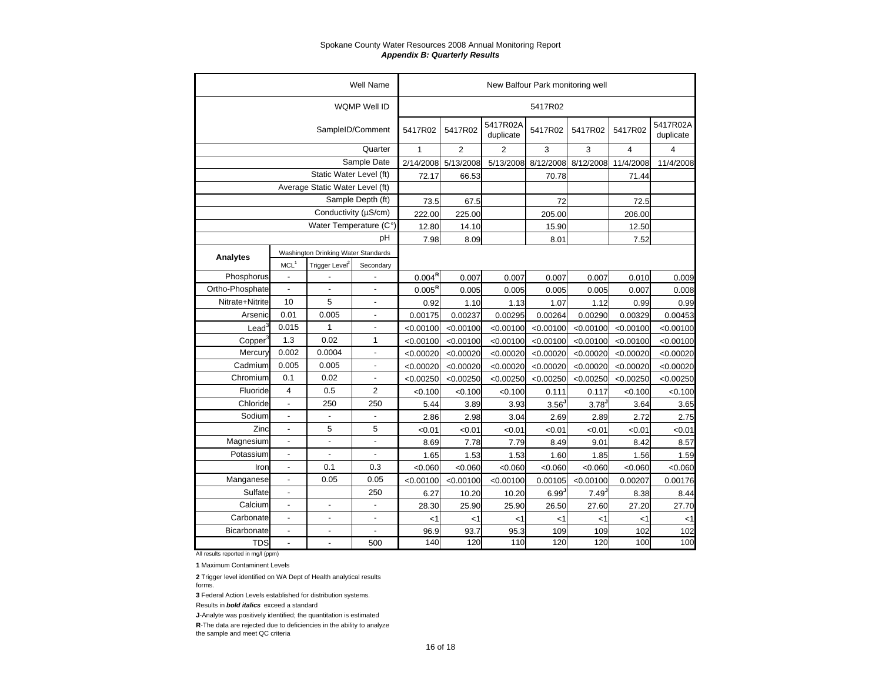|                 |                  |                                     | <b>Well Name</b>         |                    |                |                       | New Balfour Park monitoring well |                     |           |                         |
|-----------------|------------------|-------------------------------------|--------------------------|--------------------|----------------|-----------------------|----------------------------------|---------------------|-----------|-------------------------|
|                 |                  |                                     | WQMP Well ID             |                    |                |                       | 5417R02                          |                     |           |                         |
|                 |                  |                                     | SampleID/Comment         | 5417R02            | 5417R02        | 5417R02A<br>duplicate | 5417R02                          | 5417R02             | 5417R02   | 5417R02A<br>duplicate   |
|                 |                  |                                     | Quarter                  | 1                  | $\overline{2}$ | $\overline{2}$        | 3                                | 3                   | 4         | $\overline{\mathbf{4}}$ |
|                 |                  |                                     | Sample Date              | 2/14/2008          | 5/13/2008      | 5/13/2008             | 8/12/2008                        | 8/12/2008           | 11/4/2008 | 11/4/2008               |
|                 |                  | Static Water Level (ft)             |                          | 72.17              | 66.53          |                       | 70.78                            |                     | 71.44     |                         |
|                 |                  | Average Static Water Level (ft)     |                          |                    |                |                       |                                  |                     |           |                         |
|                 |                  |                                     | Sample Depth (ft)        | 73.5               | 67.5           |                       | 72                               |                     | 72.5      |                         |
|                 |                  | Conductivity (µS/cm)                |                          | 222.00             | 225.00         |                       | 205.00                           |                     | 206.00    |                         |
|                 |                  | Water Temperature (C°)              |                          | 12.80              | 14.10          |                       | 15.90                            |                     | 12.50     |                         |
|                 |                  |                                     | pH                       | 7.98               | 8.09           |                       | 8.01                             |                     | 7.52      |                         |
| Analytes        |                  | Washington Drinking Water Standards |                          |                    |                |                       |                                  |                     |           |                         |
|                 | MCL <sup>1</sup> | Trigger Level <sup>2</sup>          | Secondary                |                    |                |                       |                                  |                     |           |                         |
| Phosphorus      | $\overline{a}$   |                                     |                          | $0.004^{\text{R}}$ | 0.007          | 0.007                 | 0.007                            | 0.007               | 0.010     | 0.009                   |
| Ortho-Phosphate |                  |                                     | $\overline{a}$           | $0.005^{\text{R}}$ | 0.005          | 0.005                 | 0.005                            | 0.005               | 0.007     | 0.008                   |
| Nitrate+Nitrite | 10               | 5                                   |                          | 0.92               | 1.10           | 1.13                  | 1.07                             | 1.12                | 0.99      | 0.99                    |
| Arsenic         | 0.01             | 0.005                               | $\overline{\phantom{a}}$ | 0.00175            | 0.00237        | 0.00295               | 0.00264                          | 0.00290             | 0.00329   | 0.00453                 |
| $\text{Lead}^3$ | 0.015            | 1                                   | $\overline{a}$           | < 0.00100          | < 0.00100      | < 0.00100             | < 0.00100                        | < 0.00100           | < 0.00100 | < 0.00100               |
| Copper          | 1.3              | 0.02                                | 1                        | < 0.00100          | < 0.00100      | < 0.00100             | < 0.00100                        | < 0.00100           | < 0.00100 | < 0.00100               |
| Mercury         | 0.002            | 0.0004                              | $\overline{a}$           | < 0.00020          | < 0.00020      | < 0.00020             | < 0.00020                        | < 0.00020           | < 0.00020 | < 0.00020               |
| Cadmium         | 0.005            | 0.005                               | $\overline{\phantom{a}}$ | < 0.00020          | < 0.00020      | < 0.00020             | < 0.00020                        | < 0.00020           | < 0.00020 | < 0.00020               |
| Chromium        | 0.1              | 0.02                                | $\blacksquare$           | < 0.00250          | < 0.00250      | < 0.00250             | < 0.00250                        | < 0.00250           | < 0.00250 | < 0.00250               |
| Fluoride        | 4                | 0.5                                 | 2                        | < 0.100            | < 0.100        | < 0.100               | 0.111                            | 0.117               | < 0.100   | < 0.100                 |
| Chloride        | $\frac{1}{2}$    | 250                                 | 250                      | 5.44               | 3.89           | 3.93                  | 3.56                             | 3.78                | 3.64      | 3.65                    |
| Sodium          |                  | $\overline{a}$                      |                          | 2.86               | 2.98           | 3.04                  | 2.69                             | 2.89                | 2.72      | 2.75                    |
| Zinc            | $\frac{1}{2}$    | 5                                   | 5                        | < 0.01             | < 0.01         | < 0.01                | < 0.01                           | < 0.01              | < 0.01    | < 0.01                  |
| Magnesium       | $\frac{1}{2}$    | $\blacksquare$                      | $\overline{a}$           | 8.69               | 7.78           | 7.79                  | 8.49                             | 9.01                | 8.42      | 8.57                    |
| Potassium       | L,               | $\blacksquare$                      | $\overline{\phantom{a}}$ | 1.65               | 1.53           | 1.53                  | 1.60                             | 1.85                | 1.56      | 1.59                    |
| Iron            | $\frac{1}{2}$    | 0.1                                 | 0.3                      | < 0.060            | < 0.060        | < 0.060               | < 0.060                          | < 0.060             | < 0.060   | < 0.060                 |
| Manganese       | L,               | 0.05                                | 0.05                     | < 0.00100          | < 0.00100      | < 0.00100             | 0.00105                          | < 0.00100           | 0.00207   | 0.00176                 |
| Sulfate         | $\blacksquare$   |                                     | 250                      | 6.27               | 10.20          | 10.20                 | 6.99                             | $7.49$ <sup>J</sup> | 8.38      | 8.44                    |
| Calcium         | $\frac{1}{2}$    | $\overline{\phantom{a}}$            | $\overline{a}$           | 28.30              | 25.90          | 25.90                 | 26.50                            | 27.60               | 27.20     | 27.70                   |
| Carbonate       | $\blacksquare$   | $\overline{a}$                      | $\overline{a}$           | <1                 | <1             | <1                    | $<$ 1                            | <1                  | <1        | $<$ 1                   |
| Bicarbonate     | $\frac{1}{2}$    | $\overline{\phantom{a}}$            | $\overline{\phantom{a}}$ | 96.9               | 93.7           | 95.3                  | 109                              | 109                 | 102       | 102                     |
| <b>TDS</b>      |                  |                                     | 500                      | 140                | 120            | 110                   | 120                              | 120                 | 100       | 100                     |

All results reported in mg/l (ppm)

**1** Maximum Contaminent Levels

**2** Trigger level identified on WA Dept of Health analytical results forms.

**3** Federal Action Levels established for distribution systems.

Results in *bold italics* exceed a standard

**J**-Analyte was positively identified; the quantitation is estimated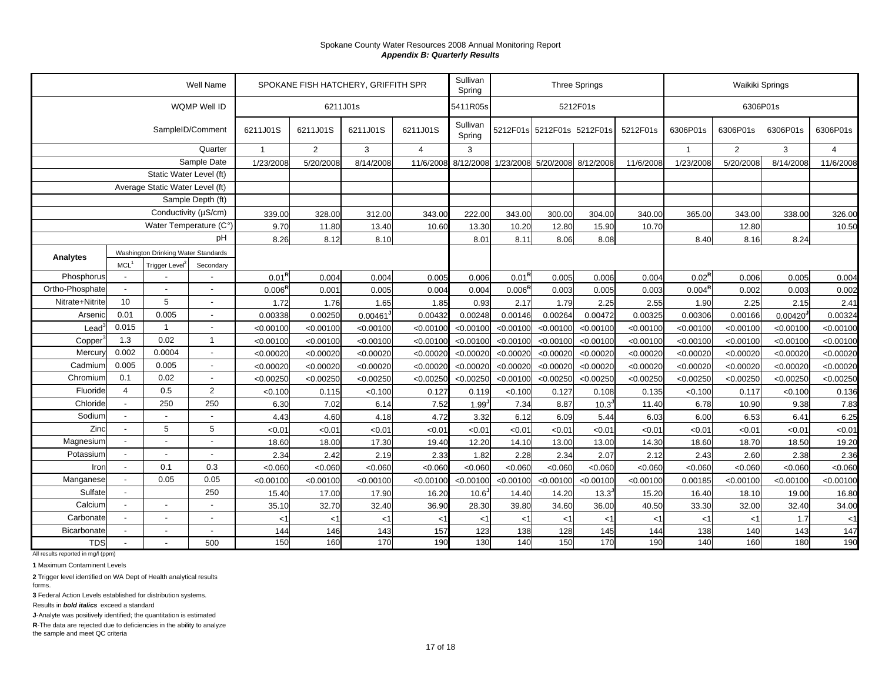|                 |                |                                     | Well Name                |                    | SPOKANE FISH HATCHERY, GRIFFITH SPR | Sullivan<br>Spring |                |                     | <b>Three Springs</b> |           | Waikiki Springs            |           |                    |                |                        |                |
|-----------------|----------------|-------------------------------------|--------------------------|--------------------|-------------------------------------|--------------------|----------------|---------------------|----------------------|-----------|----------------------------|-----------|--------------------|----------------|------------------------|----------------|
|                 |                |                                     | WQMP Well ID             |                    |                                     | 6211J01s           |                | 5411R05s            |                      |           | 5212F01s                   |           |                    |                | 6306P01s               |                |
|                 |                |                                     | SampleID/Comment         | 6211J01S           | 6211J01S                            | 6211J01S           | 6211J01S       | Sullivan<br>Spring  |                      |           | 5212F01s 5212F01s 5212F01s | 5212F01s  | 6306P01s           | 6306P01s       | 6306P01s               | 6306P01s       |
|                 |                |                                     | Quarter                  | $\overline{1}$     | 2                                   | 3                  | $\overline{4}$ | 3                   |                      |           |                            |           | $\overline{1}$     | $\overline{2}$ | 3                      | $\overline{4}$ |
| Sample Date     |                |                                     | 1/23/2008                | 5/20/2008          | 8/14/2008                           | 11/6/200           | 8/12/2008      | 1/23/2008           | 5/20/2008            | 8/12/2008 | 11/6/2008                  | 1/23/2008 | 5/20/2008          | 8/14/2008      | 11/6/2008              |                |
|                 |                | Static Water Level (ft)             |                          |                    |                                     |                    |                |                     |                      |           |                            |           |                    |                |                        |                |
|                 |                | Average Static Water Level (ft)     |                          |                    |                                     |                    |                |                     |                      |           |                            |           |                    |                |                        |                |
|                 |                |                                     | Sample Depth (ft)        |                    |                                     |                    |                |                     |                      |           |                            |           |                    |                |                        |                |
|                 |                | Conductivity (µS/cm)                |                          | 339.00             | 328.00                              | 312.00             | 343.00         | 222.00              | 343.00               | 300.00    | 304.00                     | 340.00    | 365.00             | 343.00         | 338.00                 | 326.00         |
|                 |                | Water Temperature (C°)              |                          | 9.70               | 11.80                               | 13.40              | 10.60          | 13.30               | 10.20                | 12.80     | 15.90                      | 10.70     |                    | 12.80          |                        | 10.50          |
|                 |                |                                     | pH                       | 8.26               | 8.12                                | 8.10               |                | 8.01                | 8.11                 | 8.06      | 8.08                       |           | 8.40               | 8.16           | 8.24                   |                |
| Analytes        |                | Washington Drinking Water Standards |                          |                    |                                     |                    |                |                     |                      |           |                            |           |                    |                |                        |                |
|                 | <b>MCL</b>     | Trigger Level                       | Secondary                |                    |                                     |                    |                |                     |                      |           |                            |           |                    |                |                        |                |
| Phosphorus      |                |                                     |                          | $0.01^{\sf R}$     | 0.004                               | 0.004              | 0.005          | 0.006               | $0.01^{R}$           | 0.005     | 0.006                      | 0.004     | $0.02^{\sf R}$     | 0.006          | 0.005                  | 0.004          |
| Ortho-Phosphate |                |                                     | $\overline{\phantom{a}}$ | $0.006^{\text{R}}$ | 0.001                               | 0.005              | 0.004          | 0.004               | 0.006 <sup>R</sup>   | 0.003     | 0.005                      | 0.003     | $0.004^{\text{R}}$ | 0.002          | 0.003                  | 0.002          |
| Nitrate+Nitrite | 10             | 5                                   | $\overline{\phantom{a}}$ | 1.72               | 1.76                                | 1.65               | 1.85           | 0.93                | 2.17                 | 1.79      | 2.25                       | 2.55      | 1.90               | 2.25           | 2.15                   | 2.41           |
| Arsenic         | 0.01           | 0.005                               | $\overline{\phantom{a}}$ | 0.00338            | 0.00250                             | 0.00461            | 0.00432        | 0.00248             | 0.00146              | 0.00264   | 0.00472                    | 0.00325   | 0.00306            | 0.00166        | $0.00420$ <sup>J</sup> | 0.00324        |
| Lead            | 0.015          | $\overline{1}$                      | $\sim$                   | < 0.00100          | < 0.00100                           | < 0.00100          | < 0.00100      | < 0.00100           | < 0.00100            | < 0.00100 | < 0.00100                  | < 0.00100 | < 0.00100          | < 0.00100      | < 0.00100              | < 0.00100      |
| Copper          | 1.3            | 0.02                                | $\mathbf{1}$             | < 0.00100          | < 0.00100                           | < 0.00100          | < 0.00100      | < 0.00100           | < 0.00100            | < 0.00100 | < 0.00100                  | < 0.00100 | < 0.00100          | < 0.00100      | < 0.00100              | < 0.00100      |
| Mercury         | 0.002          | 0.0004                              | $\overline{\phantom{a}}$ | < 0.00020          | < 0.00020                           | < 0.00020          | < 0.0002       | < 0.00020           | < 0.00020            | < 0.00020 | < 0.00020                  | < 0.00020 | < 0.00020          | < 0.00020      | < 0.00020              | < 0.00020      |
| Cadmium         | 0.005          | 0.005                               | $\overline{\phantom{a}}$ | < 0.00020          | < 0.00020                           | < 0.00020          | < 0.00020      | < 0.00020           | < 0.00020            | < 0.00020 | < 0.00020                  | < 0.00020 | < 0.00020          | < 0.00020      | < 0.00020              | < 0.00020      |
| Chromium        | 0.1            | 0.02                                | $\overline{a}$           | < 0.00250          | < 0.00250                           | < 0.00250          | < 0.0025       | < 0.00250           | < 0.00100            | < 0.00250 | < 0.00250                  | < 0.00250 | < 0.00250          | < 0.00250      | < 0.00250              | < 0.00250      |
| Fluoride        | 4              | 0.5                                 | 2                        | < 0.100            | 0.115                               | < 0.100            | 0.127          | 0.119               | < 0.100              | 0.127     | 0.108                      | 0.135     | < 0.100            | 0.117          | < 0.100                | 0.136          |
| Chloride        |                | 250                                 | 250                      | 6.30               | 7.02                                | 6.14               | 7.52           | $1.99$ <sup>-</sup> | 7.34                 | 8.87      | 10.3                       | 11.40     | 6.78               | 10.90          | 9.38                   | 7.83           |
| Sodium          |                |                                     |                          | 4.43               | 4.60                                | 4.18               | 4.72           | 3.32                | 6.12                 | 6.09      | 5.44                       | 6.03      | 6.00               | 6.53           | 6.41                   | 6.25           |
| Zinc            |                | 5                                   | 5                        | < 0.01             | < 0.01                              | <0.01              | < 0.01         | < 0.01              | < 0.01               | < 0.01    | < 0.01                     | < 0.01    | <0.01              | <0.01          | < 0.01                 | < 0.01         |
| Magnesium       |                | $\overline{a}$                      | $\overline{a}$           | 18.60              | 18.00                               | 17.30              | 19.40          | 12.20               | 14.10                | 13.00     | 13.00                      | 14.30     | 18.60              | 18.70          | 18.50                  | 19.20          |
| Potassium       |                |                                     |                          | 2.34               | 2.42                                | 2.19               | 2.33           | 1.82                | 2.28                 | 2.34      | 2.07                       | 2.12      | 2.43               | 2.60           | 2.38                   | 2.36           |
| Iron            | $\blacksquare$ | 0.1                                 | 0.3                      | < 0.060            | < 0.060                             | < 0.060            | < 0.060        | < 0.060             | < 0.060              | < 0.060   | < 0.060                    | < 0.060   | < 0.060            | < 0.060        | < 0.060                | < 0.060        |
| Manganese       |                | 0.05                                | 0.05                     | < 0.00100          | < 0.00100                           | < 0.00100          | < 0.00100      | < 0.00100           | < 0.00100            | < 0.00100 | < 0.00100                  | < 0.00100 | 0.00185            | < 0.00100      | < 0.00100              | < 0.00100      |
| Sulfate         |                |                                     | 250                      | 15.40              | 17.00                               | 17.90              | 16.20          | $10.6^{\circ}$      | 14.40                | 14.20     | 13.3 <sup>J</sup>          | 15.20     | 16.40              | 18.10          | 19.00                  | 16.80          |
| Calcium         |                | $\overline{a}$                      |                          | 35.10              | 32.70                               | 32.40              | 36.90          | 28.30               | 39.80                | 34.60     | 36.00                      | 40.50     | 33.30              | 32.00          | 32.40                  | 34.00          |
| Carbonate       | $\overline{a}$ | $\overline{a}$                      | $\overline{a}$           | $<$ 1              | $<$ 1                               | $<$ 1              | <1             | $<$ 1               | $<$ 1                | $<$ 1     | $<$ 1                      | <1        | < 1                | $<$ 1          | 1.7                    | $<$ 1          |
| Bicarbonate     |                | $\overline{\phantom{a}}$            | $\overline{\phantom{a}}$ | 144                | 146                                 | 143                | 157            | 123                 | 138                  | 128       | 145                        | 144       | 138                | 140            | 143                    | 147            |
| <b>TDS</b>      |                |                                     | 500                      | 150                | 160                                 | 170                | 190            | 130                 | 140                  | 150       | 170                        | 190       | 140                | 160            | 180                    | 190            |

All results reported in mg/l (ppm)

**1** Maximum Contaminent Levels

**2** Trigger level identified on WA Dept of Health analytical results forms.

**3** Federal Action Levels established for distribution systems.

Results in *bold italics* exceed a standard

**J**-Analyte was positively identified; the quantitation is estimated

**R**-The data are rejected due to deficiencies in the ability to analyze